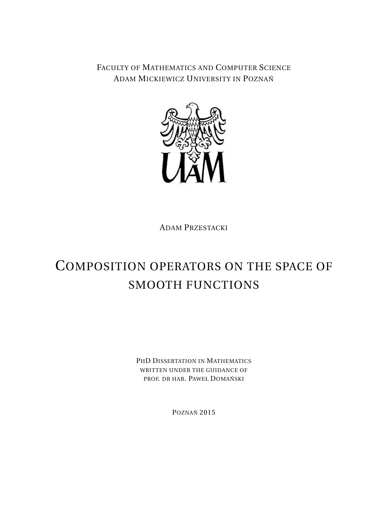FACULTY OF MATHEMATICS AND COMPUTER SCIENCE ADAM MICKIEWICZ UNIVERSITY IN POZNAN´



ADAM PRZESTACKI

# COMPOSITION OPERATORS ON THE SPACE OF SMOOTH FUNCTIONS

PHD DISSERTATION IN MATHEMATICS WRITTEN UNDER THE GUIDANCE OF PROF. DR HAB. PAWEŁ DOMAŃSKI

POZNAŃ 2015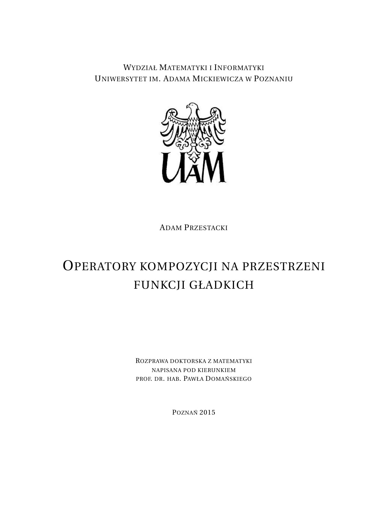WYDZIAŁ MATEMATYKI I INFORMATYKI UNIWERSYTET IM. ADAMA MICKIEWICZA W POZNANIU



ADAM PRZESTACKI

# OPERATORY KOMPOZYCJI NA PRZESTRZENI FUNKCJI GŁADKICH

ROZPRAWA DOKTORSKA Z MATEMATYKI NAPISANA POD KIERUNKIEM PROF. DR. HAB. PAWŁA DOMAŃSKIEGO

POZNAŃ 2015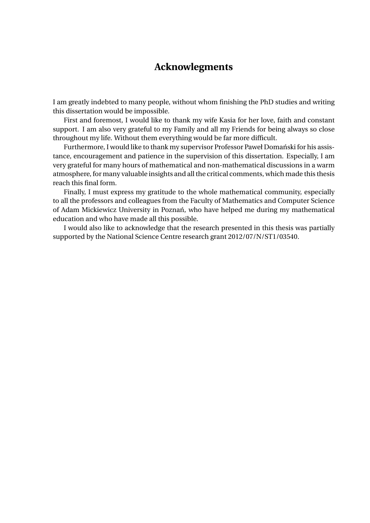## **Acknowlegments**

I am greatly indebted to many people, without whom finishing the PhD studies and writing this dissertation would be impossible.

First and foremost, I would like to thank my wife Kasia for her love, faith and constant support. I am also very grateful to my Family and all my Friends for being always so close throughout my life. Without them everything would be far more difficult.

Furthermore, I would like to thank my supervisor Professor Paweł Domański for his assistance, encouragement and patience in the supervision of this dissertation. Especially, I am very grateful for many hours of mathematical and non-mathematical discussions in a warm atmosphere, for many valuable insights and all the critical comments, which made this thesis reach this final form.

Finally, I must express my gratitude to the whole mathematical community, especially to all the professors and colleagues from the Faculty of Mathematics and Computer Science of Adam Mickiewicz University in Poznań, who have helped me during my mathematical education and who have made all this possible.

I would also like to acknowledge that the research presented in this thesis was partially supported by the National Science Centre research grant 2012/07/N/ST1/03540.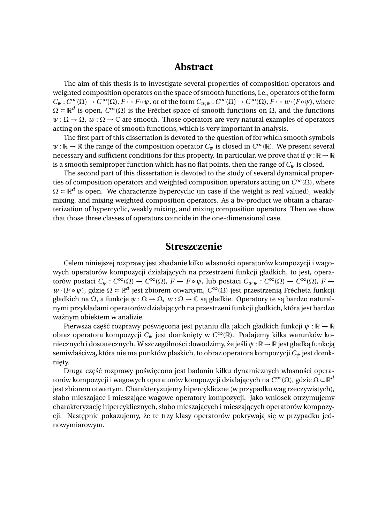### **Abstract**

The aim of this thesis is to investigate several properties of composition operators and weighted composition operators on the space of smooth functions, i.e., operators of the form  $C_{\psi}: C^{\infty}(\Omega) \to C^{\infty}(\Omega)$ ,  $F \to F \circ \psi$ , or of the form  $C_{w,\psi}: C^{\infty}(\Omega) \to C^{\infty}(\Omega)$ ,  $F \to w \cdot (F \circ \psi)$ , where  $\Omega \subset \mathbb{R}^d$  is open,  $C^\infty(\Omega)$  is the Fréchet space of smooth functions on  $\Omega$ , and the functions  $\psi : \Omega \to \Omega$ ,  $\psi : \Omega \to \mathbb{C}$  are smooth. Those operators are very natural examples of operators acting on the space of smooth functions, which is very important in analysis.

The first part of this dissertation is devoted to the question of for which smooth symbols  $\psi : \mathbb{R} \to \mathbb{R}$  the range of the composition operator  $C_{\psi}$  is closed in  $C^{\infty}(\mathbb{R})$ . We present several necessary and sufficient conditions for this property. In particular, we prove that if  $\psi : \mathbb{R} \to \mathbb{R}$ is a smooth semiproper function which has no flat points, then the range of *C<sup>ψ</sup>* is closed.

The second part of this dissertation is devoted to the study of several dynamical properties of composition operators and weighted composition operators acting on *C* <sup>∞</sup>(Ω), where  $\Omega \subset \mathbb{R}^d$  is open. We characterize hypercyclic (in case if the weight is real valued), weakly mixing, and mixing weighted composition operators. As a by-product we obtain a characterization of hypercyclic, weakly mixing, and mixing composition operators. Then we show that those three classes of operators coincide in the one-dimensional case.

### **Streszczenie**

Celem niniejszej rozprawy jest zbadanie kilku własności operatorów kompozycji i wagowych operatorów kompozycji działających na przestrzeni funkcji gładkich, to jest, operatorów postaci *C*<sup> $psi$ </sup> : *C*<sup>∞</sup>(Ω) → *C*<sup>∞</sup>(Ω), *F* → *F* ∘  $\psi$ , lub postaci *C*<sub>*w*, $\psi$ </sub> : *C*<sup>∞</sup>(Ω) → *C*<sup>∞</sup>(Ω), *F* → *w* · (*F* ∘ *ψ*), gdzie Ω ⊂ ℝ<sup>*d*</sup> jest zbiorem otwartym, *C*<sup>∞</sup>(Ω) jest przestrzenią Frécheta funkcji gładkich na Ω, a funkcje  $\psi$  : Ω → Ω,  $w$  : Ω → ℂ są gładkie. Operatory te są bardzo naturalnymi przykładami operatorów działających na przestrzeni funkcji gładkich, która jest bardzo ważnym obiektem w analizie.

Pierwsza część rozprawy poświęcona jest pytaniu dla jakich gładkich funkcji  $\psi : \mathbb{R} \to \mathbb{R}$ obraz operatora kompozycji *C<sup>ψ</sup>* jest domkni˛ety w *C* <sup>∞</sup>(R). Podajemy kilka warunków koniecznych i dostatecznych. W szczególności dowodzimy, że jeśli  $\psi : \mathbb{R} \to \mathbb{R}$  jest gładką funkcją semiwłaściwą, która nie ma punktów płaskich, to obraz operatora kompozycji  $C_\psi$  jest domknięty.

Druga część rozprawy poświęcona jest badaniu kilku dynamicznych własności operatorów kompozycji i wagowych operatorów kompozycji działających na *C*∞(Ω), gdzie Ω ⊂ R<sup>a</sup> jest zbiorem otwartym. Charakteryzujemy hipercykliczne (w przypadku wag rzeczywistych), słabo mieszające i mieszające wagowe operatory kompozycji. Jako wniosek otrzymujemy charakteryzację hipercyklicznych, słabo mieszających i mieszających operatorów kompozycji. Następnie pokazujemy, że te trzy klasy operatorów pokrywają się w przypadku jednowymiarowym.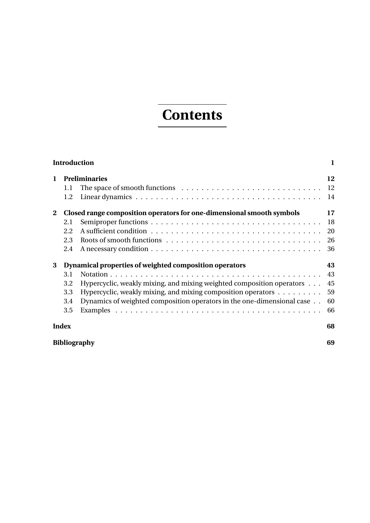# **Contents**

| <b>Introduction</b> |                                                                       |                                                                                  | $\mathbf{1}$ |
|---------------------|-----------------------------------------------------------------------|----------------------------------------------------------------------------------|--------------|
| $\mathbf{1}$        |                                                                       | <b>Preliminaries</b>                                                             | 12           |
|                     | 1.1                                                                   |                                                                                  |              |
|                     | 1.2                                                                   |                                                                                  | 14           |
| $\mathbf{2}$        | Closed range composition operators for one-dimensional smooth symbols |                                                                                  | 17           |
|                     | 2.1                                                                   |                                                                                  | 18           |
|                     | 2.2                                                                   |                                                                                  | 20           |
|                     | 2.3                                                                   |                                                                                  | 26           |
|                     | 2.4                                                                   |                                                                                  | 36           |
| 3                   | Dynamical properties of weighted composition operators                |                                                                                  | 43           |
|                     | 3.1                                                                   |                                                                                  | 43           |
|                     | 3.2                                                                   | Hypercyclic, weakly mixing, and mixing weighted composition operators            | 45           |
|                     | 3.3                                                                   | Hypercyclic, weakly mixing, and mixing composition operators $\dots \dots \dots$ | 59           |
|                     | 3.4                                                                   | Dynamics of weighted composition operators in the one-dimensional case           | 60           |
|                     | 3.5                                                                   |                                                                                  | 66           |
| <b>Index</b>        |                                                                       | 68                                                                               |              |
|                     | <b>Bibliography</b><br>69                                             |                                                                                  |              |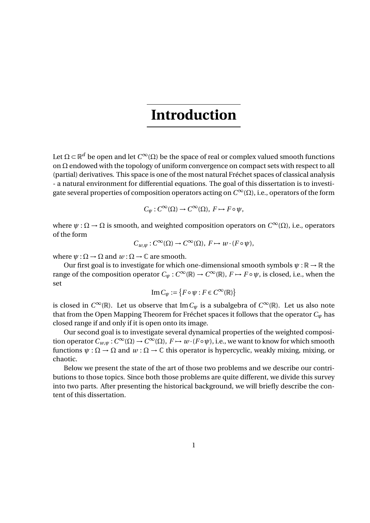Let  $\Omega$   $\subset$   $\mathbb{R}^d$  be open and let  $C^\infty(\Omega)$  be the space of real or complex valued smooth functions on  $\Omega$  endowed with the topology of uniform convergence on compact sets with respect to all (partial) derivatives. This space is one of the most natural Fréchet spaces of classical analysis - a natural environment for differential equations. The goal of this dissertation is to investigate several properties of composition operators acting on *C* <sup>∞</sup>(Ω), i.e., operators of the form

$$
C_{\psi}: C^{\infty}(\Omega) \to C^{\infty}(\Omega), F \mapsto F \circ \psi,
$$

where  $\psi : \Omega \to \Omega$  is smooth, and weighted composition operators on  $C^\infty(\Omega)$ , i.e., operators of the form

$$
C_{w,\psi}: C^{\infty}(\Omega) \to C^{\infty}(\Omega), F \mapsto w \cdot (F \circ \psi),
$$

where  $\psi : \Omega \to \Omega$  and  $\psi : \Omega \to \mathbb{C}$  are smooth.

Our first goal is to investigate for which one-dimensional smooth symbols  $\psi : \mathbb{R} \to \mathbb{R}$  the range of the composition operator  $C_{\psi}: C^{\infty}(\mathbb{R}) \to C^{\infty}(\mathbb{R})$ ,  $F \mapsto F \circ \psi$ , is closed, i.e., when the set

$$
\operatorname{Im} C_{\psi} := \{ F \circ \psi : F \in C^{\infty}(\mathbb{R}) \}
$$

is closed in  $C^{\infty}(\mathbb{R})$ . Let us observe that Im $C_{\psi}$  is a subalgebra of  $C^{\infty}(\mathbb{R})$ . Let us also note that from the Open Mapping Theorem for Fréchet spaces it follows that the operator *C<sup>ψ</sup>* has closed range if and only if it is open onto its image.

Our second goal is to investigate several dynamical properties of the weighted composition operator  $C_{w,\psi}: C^{\infty}(\Omega) \to C^{\infty}(\Omega)$ ,  $F \mapsto w \cdot (F \circ \psi)$ , i.e., we want to know for which smooth functions  $\psi : \Omega \to \Omega$  and  $w : \Omega \to \mathbb{C}$  this operator is hypercyclic, weakly mixing, mixing, or chaotic.

Below we present the state of the art of those two problems and we describe our contributions to those topics. Since both those problems are quite different, we divide this survey into two parts. After presenting the historical background, we will briefly describe the content of this dissertation.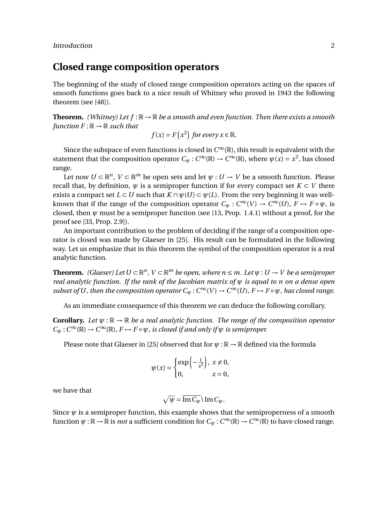### **Closed range composition operators**

The beginning of the study of closed range composition operators acting on the spaces of smooth functions goes back to a nice result of Whitney who proved in 1943 the following theorem (see [48]).

**Theorem.** *(Whitney) Let*  $f : \mathbb{R} \to \mathbb{R}$  *be a smooth and even function. Then there exists a smooth function*  $F : \mathbb{R} \to \mathbb{R}$  *such that* 

$$
f(x) = F(x^2)
$$
 for every  $x \in \mathbb{R}$ .

Since the subspace of even functions is closed in  $C^\infty(\mathbb{R})$ , this result is equivalent with the statement that the composition operator  $C_{\psi}: C^{\infty}(\mathbb{R}) \to C^{\infty}(\mathbb{R})$ , where  $\psi(x) = x^2$ , has closed range.

Let now  $U \subset \mathbb{R}^n$ ,  $V \subset \mathbb{R}^m$  be open sets and let  $\psi : U \to V$  be a smooth function. Please recall that, by definition,  $\psi$  is a semiproper function if for every compact set  $K \subset V$  there exists a compact set  $L \subset U$  such that  $K \cap \psi(U) \subset \psi(L)$ . From the very beginning it was wellknown that if the range of the composition operator  $C_{\psi}: C^{\infty}(V) \to C^{\infty}(U)$ ,  $F \mapsto F \circ \psi$ , is closed, then  $\psi$  must be a semiproper function (see [13, Prop. 1.4.1] without a proof, for the proof see [33, Prop. 2.9]).

An important contribution to the problem of deciding if the range of a composition operator is closed was made by Glaeser in [25]. His result can be formulated in the following way. Let us emphasize that in this theorem the symbol of the composition operator is a real analytic function.

**Theorem.** *(Glaeser)* Let  $U \subset \mathbb{R}^n$ ,  $V \subset \mathbb{R}^m$  be open, where  $n \leq m$ . Let  $\psi : U \to V$  be a semiproper *real analytic function. If the rank of the Jacobian matrix of ψ is equal to n on a dense open subset of U, then the composition operator*  $C_{\psi}: C^{\infty}(V) \to C^{\infty}(U)$ ,  $F \mapsto F \circ \psi$ *, has closed range.* 

As an immediate consequence of this theorem we can deduce the following corollary.

**Corollary.** Let  $\psi: \mathbb{R} \to \mathbb{R}$  be a real analytic function. The range of the composition operator  $C_{\psi}: C^{\infty}(\mathbb{R}) \to C^{\infty}(\mathbb{R})$ ,  $F \mapsto F \circ \psi$ , *is closed if and only if*  $\psi$  *is semiproper.* 

Please note that Glaeser in [25] observed that for  $\psi : \mathbb{R} \to \mathbb{R}$  defined via the formula

$$
\psi(x) = \begin{cases} \exp\left(-\frac{1}{x^2}\right), & x \neq 0, \\ 0, & x = 0, \end{cases}
$$

we have that

$$
\sqrt{\psi} = \overline{\mathrm{Im}\, C_{\psi}} \setminus \mathrm{Im}\, C_{\psi}.
$$

Since  $\psi$  is a semiproper function, this example shows that the semiproperness of a smooth function  $\psi: \mathbb{R} \to \mathbb{R}$  is *not* a sufficient condition for  $C_\psi: C^\infty(\mathbb{R}) \to C^\infty(\mathbb{R})$  to have closed range.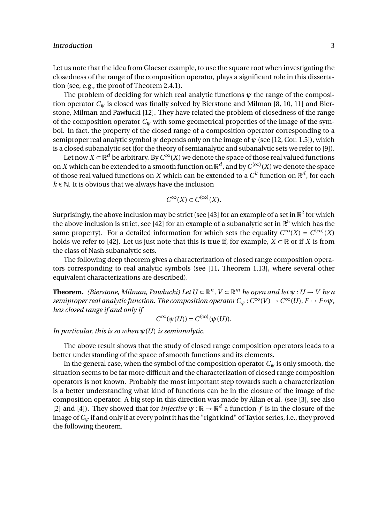Let us note that the idea from Glaeser example, to use the square root when investigating the closedness of the range of the composition operator, plays a significant role in this dissertation (see, e.g., the proof of Theorem 2.4.1).

The problem of deciding for which real analytic functions  $\psi$  the range of the composition operator  $C_w$  is closed was finally solved by Bierstone and Milman [8, 10, 11] and Bierstone, Milman and Pawłucki [12]. They have related the problem of closedness of the range of the composition operator  $C_\psi$  with some geometrical properties of the image of the symbol. In fact, the property of the closed range of a composition operator corresponding to a semiproper real analytic symbol *ψ* depends only on the image of *ψ* (see [12, Cor. 1.5]), which is a closed subanalytic set (for the theory of semianalytic and subanalytic sets we refer to [9]).

Let now  $X \subset \mathbb{R}^d$  be arbitrary. By  $C^\infty(X)$  we denote the space of those real valued functions on *X* which can be extended to a smooth function on  $\mathbb{R}^d$ , and by  $C^{(\infty)}(X)$  we denote the space of those real valued functions on *X* which can be extended to a  $C^k$  function on  $\mathbb{R}^d$ , for each  $k \in \mathbb{N}$ . It is obvious that we always have the inclusion

$$
C^{\infty}(X) \subset C^{(\infty)}(X).
$$

Surprisingly, the above inclusion may be strict (see [43] for an example of a set in  $\mathbb{R}^2$  for which the above inclusion is strict, see [42] for an example of a subanalytic set in  $\mathbb{R}^5$  which has the same property). For a detailed information for which sets the equality  $C^{\infty}(X) = C^{(\infty)}(X)$ holds we refer to [42]. Let us just note that this is true if, for example,  $X \subset \mathbb{R}$  or if *X* is from the class of Nash subanalytic sets.

The following deep theorem gives a characterization of closed range composition operators corresponding to real analytic symbols (see [11, Theorem 1.13], where several other equivalent characterizations are described).

**Theorem.** (Bierstone, Milman, Pawłucki) Let  $U \subset \mathbb{R}^n$ ,  $V \subset \mathbb{R}^m$  be open and let  $\psi : U \to V$  be a *semiproper real analytic function. The composition operator*  $C_\psi$  *:*  $C^\infty(V) \to C^\infty(U)$ *,*  $F \mapsto F \circ \psi$ *, has closed range if and only if*

$$
C^{\infty}(\psi(U))=C^{(\infty)}(\psi(U)).
$$

*In particular, this is so when ψ*(*U*) *is semianalytic.*

The above result shows that the study of closed range composition operators leads to a better understanding of the space of smooth functions and its elements.

In the general case, when the symbol of the composition operator  $C_\psi$  is only smooth, the situation seems to be far more difficult and the characterization of closed range composition operators is not known. Probably the most important step towards such a characterization is a better understanding what kind of functions can be in the closure of the image of the composition operator. A big step in this direction was made by Allan et al. (see [3], see also [2] and [4]). They showed that for *injective*  $\psi : \mathbb{R} \to \mathbb{R}^d$  a function f is in the closure of the image of*C<sup>ψ</sup>* if and only if at every point it has the "right kind" of Taylor series, i.e., they proved the following theorem.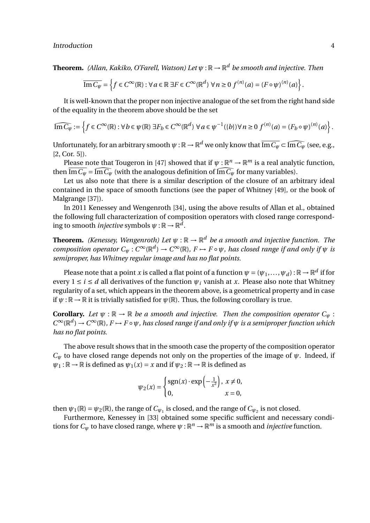**Theorem.** *(Allan, Kakiko, O'Farell, Watson) Let ψ* : R → R *<sup>d</sup> be smooth and injective. Then*

$$
\overline{\text{Im}\,C_{\psi}} = \left\{f \in C^{\infty}(\mathbb{R}) : \forall \, a \in \mathbb{R} \, \exists F \in C^{\infty}(\mathbb{R}^d) \, \forall \, n \ge 0 \, f^{(n)}(a) = (F \circ \psi)^{(n)}(a) \right\}.
$$

It is well-known that the proper non injective analogue of the set from the right hand side of the equality in the theorem above should be the set

$$
\widehat{\text{Im}\,C_{\psi}} := \left\{ f \in C^{\infty}(\mathbb{R}) : \forall \, b \in \psi(\mathbb{R}) \; \exists F_b \in C^{\infty}(\mathbb{R}^d) \; \forall \, a \in \psi^{-1}(\{b\}) \, \forall \, n \ge 0 \; f^{(n)}(a) = (F_b \circ \psi)^{(n)}(a) \right\}.
$$

Unfortunately, for an arbitrary smooth  $\psi : \mathbb{R} \to \mathbb{R}^d$  we only know that  $\overline{\text{Im }C_{\psi}} \subset \widehat{\text{Im }C_{\psi}}$  (see, e.g., [2, Cor. 5]).

Please note that Tougeron in [47] showed that if  $\psi : \mathbb{R}^n \to \mathbb{R}^m$  is a real analytic function, then  $\overline{\text{Im } C_{\psi}} = \widehat{\text{Im } C_{\psi}}$  (with the analogous definition of  $\widehat{\text{Im } C_{\psi}}$  for many variables).

Let us also note that there is a similar description of the closure of an arbitrary ideal contained in the space of smooth functions (see the paper of Whitney [49], or the book of Malgrange [37]).

In 2011 Kenessey and Wengenroth [34], using the above results of Allan et al., obtained the following full characterization of composition operators with closed range corresponding to smooth *injective* symbols  $\psi: \mathbb{R} \to \mathbb{R}^d$ .

**Theorem.** *(Kenessey, Wengenroth) Let ψ* : R → R *<sup>d</sup> be a smooth and injective function. The composition operator*  $C_{\psi}: C^{\infty}(\mathbb{R}^d) \to C^{\infty}(\mathbb{R})$ ,  $F \mapsto F \circ \psi$ , has closed range if and only if  $\psi$  is *semiproper, has Whitney regular image and has no flat points.*

Please note that a point  $x$  is called a flat point of a function  $\psi=(\psi_1,\ldots,\psi_d):\mathbb{R}\to\mathbb{R}^d$  if for every  $1 \le i \le d$  all derivatives of the function  $\psi_i$  vanish at *x*. Please also note that Whitney regularity of a set, which appears in the theorem above, is a geometrical property and in case if  $\psi : \mathbb{R} \to \mathbb{R}$  it is trivially satisfied for  $\psi(\mathbb{R})$ . Thus, the following corollary is true.

**Corollary.** Let  $\psi$  :  $\mathbb{R} \to \mathbb{R}$  be a smooth and injective. Then the composition operator  $C_{\psi}$ :  $C^{\infty}(\mathbb{R}^d) \to C^{\infty}(\mathbb{R})$ ,  $F \mapsto F \circ \psi$ , has closed range if and only if  $\psi$  is a semiproper function which *has no flat points.*

The above result shows that in the smooth case the property of the composition operator  $C_{\psi}$  to have closed range depends not only on the properties of the image of  $\psi$ . Indeed, if  $\psi_1 : \mathbb{R} \to \mathbb{R}$  is defined as  $\psi_1(x) = x$  and if  $\psi_2 : \mathbb{R} \to \mathbb{R}$  is defined as

$$
\psi_2(x) = \begin{cases} \text{sgn}(x) \cdot \text{exp}\left(-\frac{1}{x^2}\right), & x \neq 0, \\ 0, & x = 0, \end{cases}
$$

then  $\psi_1(\mathbb{R}) = \psi_2(\mathbb{R})$ , the range of  $C_{\psi_1}$  is closed, and the range of  $C_{\psi_2}$  is not closed.

Furthermore, Kenessey in [33] obtained some specific sufficient and necessary conditions for  $C_{\psi}$  to have closed range, where  $\psi : \mathbb{R}^n \to \mathbb{R}^m$  is a smooth and *injective* function.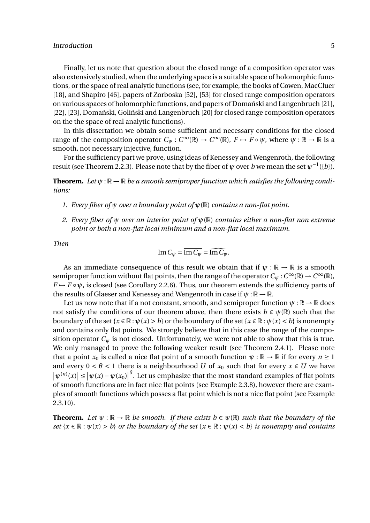Finally, let us note that question about the closed range of a composition operator was also extensively studied, when the underlying space is a suitable space of holomorphic functions, or the space of real analytic functions (see, for example, the books of Cowen, MacCluer [18], and Shapiro [46], papers of Zorboska [52], [53] for closed range composition operators on various spaces of holomorphic functions, and papers of Domański and Langenbruch [21], [22], [23], Domański, Goliński and Langenbruch [20] for closed range composition operators on the the space of real analytic functions).

In this dissertation we obtain some sufficient and necessary conditions for the closed range of the composition operator  $C_\psi:C^\infty(\mathbb{R})\to C^\infty(\mathbb{R}),\ F\mapsto\bar F\circ\psi,$  where  $\psi:\mathbb{R}\to\mathbb{R}$  is a smooth, not necessary injective, function.

For the sufficiency part we prove, using ideas of Kenessey and Wengenroth, the following result (see Theorem 2.2.3). Please note that by the fiber of  $\psi$  over *b* we mean the set  $\psi^{-1}(\{b\})$ .

**Theorem.** Let  $\psi$ :  $\mathbb{R} \to \mathbb{R}$  be a smooth semiproper function which satisfies the following condi*tions:*

- *1. Every fiber of ψ over a boundary point of ψ*(R) *contains a non-flat point.*
- *2. Every fiber of ψ over an interior point of ψ*(R) *contains either a non-flat non extreme point or both a non-flat local minimum and a non-flat local maximum.*

*Then*

$$
\operatorname{Im} C_{\psi} = \overline{\operatorname{Im} C_{\psi}} = \widehat{\operatorname{Im} C_{\psi}}.
$$

As an immediate consequence of this result we obtain that if  $\psi : \mathbb{R} \to \mathbb{R}$  is a smooth semiproper function without flat points, then the range of the operator  $C_\psi$  :  $C^\infty(\mathbb{R}) \to C^\infty(\mathbb{R})$ ,  $F \rightarrow F \circ \psi$ , is closed (see Corollary 2.2.6). Thus, our theorem extends the sufficiency parts of the results of Glaeser and Kenessey and Wengenroth in case if  $\psi : \mathbb{R} \to \mathbb{R}$ .

Let us now note that if a not constant, smooth, and semiproper function  $\psi : \mathbb{R} \to \mathbb{R}$  does not satisfy the conditions of our theorem above, then there exists  $b \in \psi(\mathbb{R})$  such that the boundary of the set  $\{x \in \mathbb{R} : \psi(x) > b\}$  or the boundary of the set  $\{x \in \mathbb{R} : \psi(x) < b\}$  is nonempty and contains only flat points. We strongly believe that in this case the range of the composition operator  $C_{\psi}$  is not closed. Unfortunately, we were not able to show that this is true. We only managed to prove the following weaker result (see Theorem 2.4.1). Please note that a point  $x_0$  is called a nice flat point of a smooth function  $\psi : \mathbb{R} \to \mathbb{R}$  if for every  $n \ge 1$ and every  $0 < \theta < 1$  there is a neighbourhood *U* of  $x_0$  such that for every  $x \in U$  we have  $|\psi^{(n)}(x)| \le |\psi(x) - \psi(x_0)|$ *θ* . Let us emphasize that the most standard examples of flat points of smooth functions are in fact nice flat points (see Example 2.3.8), however there are examples of smooth functions which posses a flat point which is not a nice flat point (see Example 2.3.10).

**Theorem.** Let  $\psi : \mathbb{R} \to \mathbb{R}$  be smooth. If there exists  $b \in \psi(\mathbb{R})$  such that the boundary of the *set*  $\{x \in \mathbb{R} : \psi(x) > b\}$  *or the boundary of the set*  $\{x \in \mathbb{R} : \psi(x) < b\}$  *is nonempty and contains*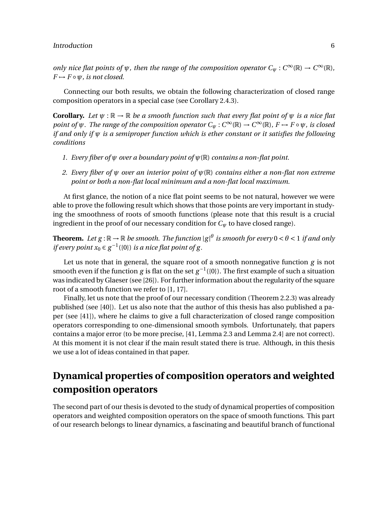*only nice flat points of*  $\psi$ *, then the range of the composition operator*  $C_{\psi}: C^{\infty}(\mathbb{R}) \to C^{\infty}(\mathbb{R})$ *,*  $F \mapsto F \circ \psi$ *, is not closed.* 

Connecting our both results, we obtain the following characterization of closed range composition operators in a special case (see Corollary 2.4.3).

**Corollary.** *Let ψ* : R → R *be a smooth function such that every flat point of ψ is a nice flat point of*  $\psi$ *. The range of the composition operator*  $C_{\psi}: C^{\infty}(\mathbb{R}) \to C^{\infty}(\mathbb{R})$ *, F*  $\mapsto$  *F* ∘  $\psi$ *, is closed if and only if ψ is a semiproper function which is ether constant or it satisfies the following conditions*

- *1. Every fiber of ψ over a boundary point of ψ*(R) *contains a non-flat point.*
- *2. Every fiber of ψ over an interior point of ψ*(R) *contains either a non-flat non extreme point or both a non-flat local minimum and a non-flat local maximum.*

At first glance, the notion of a nice flat point seems to be not natural, however we were able to prove the following result which shows that those points are very important in studying the smoothness of roots of smooth functions (please note that this result is a crucial ingredient in the proof of our necessary condition for *C<sup>ψ</sup>* to have closed range).

**Theorem.** Let  $g: \mathbb{R} \to \mathbb{R}$  be smooth. The function  $|g|^\theta$  is smooth for every  $0 < \theta < 1$  if and only *if every point*  $x_0 \in g^{-1}(\{0\})$  *is a nice flat point of g.* 

Let us note that in general, the square root of a smooth nonnegative function *g* is not smooth even if the function *g* is flat on the set  $g^{-1}(\{0\})$ . The first example of such a situation was indicated by Glaeser (see [26]). For further information about the regularity of the square root of a smooth function we refer to [1, 17].

Finally, let us note that the proof of our necessary condition (Theorem 2.2.3) was already published (see [40]). Let us also note that the author of this thesis has also published a paper (see [41]), where he claims to give a full characterization of closed range composition operators corresponding to one-dimensional smooth symbols. Unfortunately, that papers contains a major error (to be more precise, [41, Lemma 2.3 and Lemma 2.4] are not correct). At this moment it is not clear if the main result stated there is true. Although, in this thesis we use a lot of ideas contained in that paper.

## **Dynamical properties of composition operators and weighted composition operators**

The second part of our thesis is devoted to the study of dynamical properties of composition operators and weighted composition operators on the space of smooth functions. This part of our research belongs to linear dynamics, a fascinating and beautiful branch of functional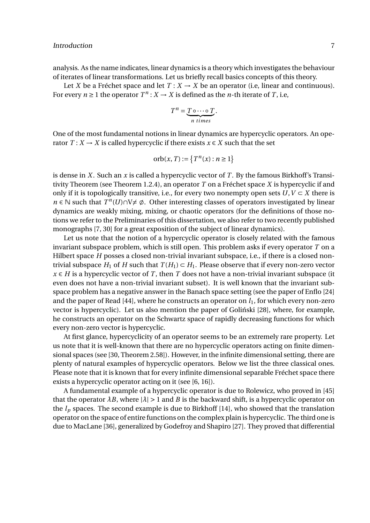analysis. As the name indicates, linear dynamics is a theory which investigates the behaviour of iterates of linear transformations. Let us briefly recall basics concepts of this theory.

Let *X* be a Fréchet space and let  $T: X \to X$  be an operator (i.e, linear and continuous). For every  $n \ge 1$  the operator  $T^n$  :  $X \to X$  is defined as the *n*-th iterate of *T*, i.e,

$$
T^n = \underbrace{T \circ \cdots \circ T}_{n \text{ times}}.
$$

One of the most fundamental notions in linear dynamics are hypercyclic operators. An operator  $T: X \to X$  is called hypercyclic if there exists  $x \in X$  such that the set

$$
\operatorname{orb}(x, T) := \{ T^n(x) : n \ge 1 \}
$$

is dense in *X*. Such an *x* is called a hypercyclic vector of *T*. By the famous Birkhoff's Transitivity Theorem (see Theorem 1.2.4), an operator *T* on a Fréchet space *X* is hypercyclic if and only if it is topologically transitive, i.e., for every two nonempty open sets  $U, V \subset X$  there is *n* ∈ N such that  $T^n(U) \cap V \neq \emptyset$ . Other interesting classes of operators investigated by linear dynamics are weakly mixing, mixing, or chaotic operators (for the definitions of those notions we refer to the Preliminaries of this dissertation, we also refer to two recently published monographs [7, 30] for a great exposition of the subject of linear dynamics).

Let us note that the notion of a hypercyclic operator is closely related with the famous invariant subspace problem, which is still open. This problem asks if every operator *T* on a Hilbert space *H* posses a closed non-trivial invariant subspace, i.e., if there is a closed nontrivial subspace  $H_1$  of *H* such that  $T(H_1) \subset H_1$ . Please observe that if every non-zero vector  $x \in H$  is a hypercyclic vector of *T*, then *T* does not have a non-trivial invariant subspace (it even does not have a non-trivial invariant subset). It is well known that the invariant subspace problem has a negative answer in the Banach space setting (see the paper of Enflo [24] and the paper of Read  $[44]$ , where he constructs an operator on  $l_1$ , for which every non-zero vector is hypercyclic). Let us also mention the paper of Goliński [28], where, for example, he constructs an operator on the Schwartz space of rapidly decreasing functions for which every non-zero vector is hypercyclic.

At first glance, hypercyclicity of an operator seems to be an extremely rare property. Let us note that it is well-known that there are no hypercyclic operators acting on finite dimensional spaces (see [30, Theorem 2.58]). However, in the infinite dimensional setting, there are plenty of natural examples of hypercyclic operators. Below we list the three classical ones. Please note that it is known that for every infinite dimensional separable Fréchet space there exists a hypercyclic operator acting on it (see [6, 16]).

A fundamental example of a hypercyclic operator is due to Rolewicz, who proved in [45] that the operator  $\lambda B$ , where  $|\lambda| > 1$  and *B* is the backward shift, is a hypercyclic operator on the  $l_p$  spaces. The second example is due to Birkhoff  $[14]$ , who showed that the translation operator on the space of entire functions on the complex plain is hypercyclic. The third one is due to MacLane [36], generalized by Godefroy and Shapiro [27]. They proved that differential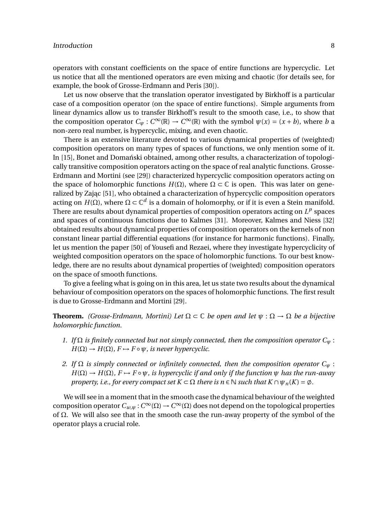operators with constant coefficients on the space of entire functions are hypercyclic. Let us notice that all the mentioned operators are even mixing and chaotic (for details see, for example, the book of Grosse-Erdmann and Peris [30]).

Let us now observe that the translation operator investigated by Birkhoff is a particular case of a composition operator (on the space of entire functions). Simple arguments from linear dynamics allow us to transfer Birkhoff's result to the smooth case, i.e., to show that the composition operator  $C_{\psi}: C^{\infty}(\mathbb{R}) \to C^{\infty}(\mathbb{R})$  with the symbol  $\psi(x) = (x + b)$ , where *b* a non-zero real number, is hypercyclic, mixing, and even chaotic.

There is an extensive literature devoted to various dynamical properties of (weighted) composition operators on many types of spaces of functions, we only mention some of it. In [15], Bonet and Domański obtained, among other results, a characterization of topologically transitive composition operators acting on the space of real analytic functions. Grosse-Erdmann and Mortini (see [29]) characterized hypercyclic composition operators acting on the space of holomorphic functions  $H(\Omega)$ , where  $\Omega \subset \mathbb{C}$  is open. This was later on generalized by Zając [51], who obtained a characterization of hypercyclic composition operators acting on *H*(Ω), where Ω ⊂ ℂ<sup>*d*</sup> is a domain of holomorphy, or if it is even a Stein manifold. There are results about dynamical properties of composition operators acting on  $L^p$  spaces and spaces of continuous functions due to Kalmes [31]. Moreover, Kalmes and Niess [32] obtained results about dynamical properties of composition operators on the kernels of non constant linear partial differential equations (for instance for harmonic functions). Finally, let us mention the paper [50] of Yousefi and Rezaei, where they investigate hypercyclicity of weighted composition operators on the space of holomorphic functions. To our best knowledge, there are no results about dynamical properties of (weighted) composition operators on the space of smooth functions.

To give a feeling what is going on in this area, let us state two results about the dynamical behaviour of composition operators on the spaces of holomorphic functions. The first result is due to Grosse-Erdmann and Mortini [29].

**Theorem.** *(Grosse-Erdmann, Mortini) Let*  $\Omega \subset \mathbb{C}$  *be open and let*  $\psi : \Omega \to \Omega$  *be a bijective holomorphic function.*

- *1. If*  $\Omega$  *is finitely connected but not simply connected, then the composition operator*  $C_{\psi}$ :  $H(\Omega) \to H(\Omega)$ ,  $F \to F \circ \psi$ , *is never hypercyclic.*
- *2. If*  $\Omega$  *is simply connected or infinitely connected, then the composition operator*  $C_w$ :  $H(\Omega) \to H(\Omega)$ ,  $F \to F \circ \psi$ , *is hypercyclic if and only if the function*  $\psi$  *has the run-away property, i.e., for every compact set*  $K \subset \Omega$  *there is n* ∈ *N such that*  $K \cap \psi_n(K) = \emptyset$ .

We will see in a moment that in the smooth case the dynamical behaviour of the weighted composition operator *Cw*,*<sup>ψ</sup>* :*C* <sup>∞</sup>(Ω) →*C* <sup>∞</sup>(Ω) does not depend on the topological properties of Ω. We will also see that in the smooth case the run-away property of the symbol of the operator plays a crucial role.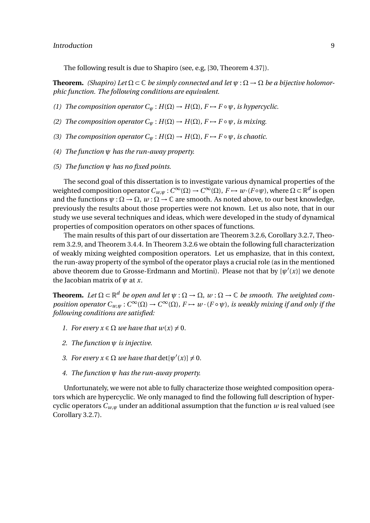The following result is due to Shapiro (see, e.g, [30, Theorem 4.37]).

**Theorem.** *(Shapiro)* Let  $\Omega \subset \mathbb{C}$  *be simply connected and let*  $\psi : \Omega \to \Omega$  *be a bijective holomorphic function. The following conditions are equivalent.*

- *(1) The composition operator*  $C_w$  :  $H(\Omega) \to H(\Omega)$ ,  $F \mapsto F \circ \psi$ , *is hypercyclic.*
- *(2) The composition operator*  $C_\psi$  :  $H(\Omega) \to H(\Omega)$ ,  $F \mapsto F \circ \psi$ , *is mixing.*
- *(3) The composition operator*  $C_w$  :  $H(\Omega) \to H(\Omega)$ ,  $F \mapsto F \circ \psi$ , *is chaotic.*
- *(4) The function ψ has the run-away property.*
- *(5) The function ψ has no fixed points.*

The second goal of this dissertation is to investigate various dynamical properties of the weighted composition operator  $C_{w,\psi}: C^\infty(\Omega) \to C^\infty(\Omega)$ ,  $F \mapsto w\cdot(F\circ\psi)$ , where  $\Omega \subset \mathbb{R}^d$  is open and the functions  $\psi : \Omega \to \Omega$ ,  $w : \Omega \to \mathbb{C}$  are smooth. As noted above, to our best knowledge, previously the results about those properties were not known. Let us also note, that in our study we use several techniques and ideas, which were developed in the study of dynamical properties of composition operators on other spaces of functions.

The main results of this part of our dissertation are Theorem 3.2.6, Corollary 3.2.7, Theorem 3.2.9, and Theorem 3.4.4. In Theorem 3.2.6 we obtain the following full characterization of weakly mixing weighted composition operators. Let us emphasize, that in this context, the run-away property of the symbol of the operator plays a crucial role (as in the mentioned above theorem due to Grosse-Erdmann and Mortini). Please not that by  $[\psi'(x)]$  we denote the Jacobian matrix of  $\psi$  at *x*.

**Theorem.** Let  $\Omega \subset \mathbb{R}^d$  be open and let  $\psi : \Omega \to \Omega$ ,  $w : \Omega \to \mathbb{C}$  be smooth. The weighted com*position operator*  $C_{w,\psi}: C^{\infty}(\Omega) \to C^{\infty}(\Omega)$ ,  $F \mapsto w \cdot (F \circ \psi)$ , is weakly mixing if and only if the *following conditions are satisfied:*

- *1. For every*  $x \in \Omega$  *we have that*  $w(x) \neq 0$ *.*
- *2. The function ψ is injective.*
- *3. For every*  $x \in \Omega$  *we have that*  $det[\psi'(x)] \neq 0$ *.*
- *4. The function ψ has the run-away property.*

Unfortunately, we were not able to fully characterize those weighted composition operators which are hypercyclic. We only managed to find the following full description of hypercyclic operators  $C_{w,w}$  under an additional assumption that the function *w* is real valued (see Corollary 3.2.7).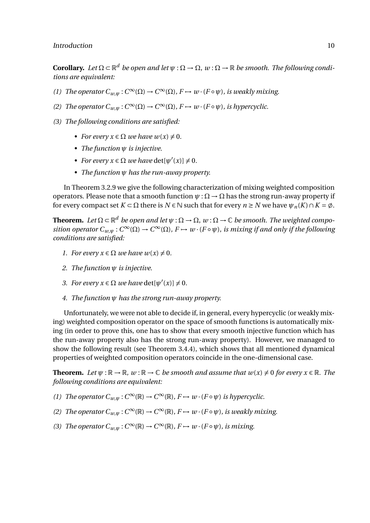### Introduction and the contract of the contract of the contract of the contract of the contract of the contract of the contract of the contract of the contract of the contract of the contract of the contract of the contract

**Corollary.** Let  $\Omega \subset \mathbb{R}^d$  be open and let  $\psi : \Omega \to \Omega$ ,  $w : \Omega \to \mathbb{R}$  be smooth. The following condi*tions are equivalent:*

- *(1) The operator*  $C_{w,\psi}: C^{\infty}(\Omega) \to C^{\infty}(\Omega)$ *, F*  $\mapsto$  *w* · *(F* ∘  $\psi$ *), is weakly mixing.*
- *(2) The operator*  $C_{w,\psi}: C^{\infty}(\Omega) \to C^{\infty}(\Omega)$ ,  $F \mapsto w \cdot (F \circ \psi)$ , *is hypercyclic.*
- *(3) The following conditions are satisfied:*
	- *For every*  $x \in \Omega$  *we have*  $w(x) \neq 0$ *.*
	- *• The function ψ is injective.*
	- *For every*  $x \in \Omega$  *we have*  $\det[\psi'(x)] \neq 0$ *.*
	- *• The function ψ has the run-away property.*

In Theorem 3.2.9 we give the following characterization of mixing weighted composition operators. Please note that a smooth function  $\psi : \Omega \to \Omega$  has the strong run-away property if for every compact set  $K \subset \Omega$  there is  $N \in \mathbb{N}$  such that for every  $n \geq N$  we have  $\psi_n(K) \cap K = \emptyset$ .

**Theorem.** Let  $\Omega \subset \mathbb{R}^d$  be open and let  $\psi: \Omega \to \Omega$ ,  $w: \Omega \to \mathbb{C}$  be smooth. The weighted compo*sition operator*  $C_{w,\psi}: C^{\infty}(\Omega) \to C^{\infty}(\Omega)$ ,  $F \mapsto w \cdot (F \circ \psi)$ , *is mixing if and only if the following conditions are satisfied:*

- *1. For every*  $x \in \Omega$  *we have*  $w(x) \neq 0$ *.*
- *2. The function ψ is injective.*
- *3. For every*  $x \in \Omega$  *we have*  $\det[\psi'(x)] \neq 0$ *.*
- *4. The function ψ has the strong run-away property.*

Unfortunately, we were not able to decide if, in general, every hypercyclic (or weakly mixing) weighted composition operator on the space of smooth functions is automatically mixing (in order to prove this, one has to show that every smooth injective function which has the run-away property also has the strong run-away property). However, we managed to show the following result (see Theorem 3.4.4), which shows that all mentioned dynamical properties of weighted composition operators coincide in the one-dimensional case.

**Theorem.** *Let*  $\psi$  :  $\mathbb{R} \to \mathbb{R}$ *, w* :  $\mathbb{R} \to \mathbb{C}$  *be smooth and assume that*  $w(x) \neq 0$  *for every*  $x \in \mathbb{R}$ *. The following conditions are equivalent:*

- *(1) The operator*  $C_{w,\psi}: C^{\infty}(\mathbb{R}) \to C^{\infty}(\mathbb{R})$ *,*  $F \mapsto w \cdot (F \circ \psi)$  *is hypercyclic.*
- *(2) The operator*  $C_{w,\psi}: C^{\infty}(\mathbb{R}) \to C^{\infty}(\mathbb{R})$ *,*  $F \mapsto w \cdot (F \circ \psi)$ *, is weakly mixing.*
- *(3) The operator*  $C_{w,\psi}: C^{\infty}(\mathbb{R}) \to C^{\infty}(\mathbb{R})$ ,  $F \mapsto w \cdot (F \circ \psi)$ , is mixing.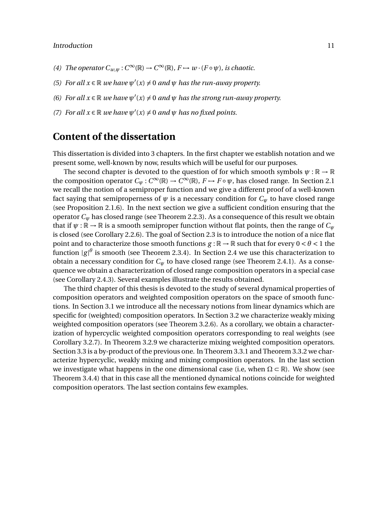- *(4) The operator*  $C_{w,\psi}: C^{\infty}(\mathbb{R}) \to C^{\infty}(\mathbb{R})$ ,  $F \mapsto w \cdot (F \circ \psi)$ , is chaotic.
- *(5) For all*  $x \in \mathbb{R}$  *we have*  $\psi'(x) \neq 0$  *and*  $\psi$  *has the run-away property.*
- *(6) For all*  $x \in \mathbb{R}$  *we have*  $\psi'(x) \neq 0$  *and*  $\psi$  *has the strong run-away property.*
- *(7) For all*  $x \in \mathbb{R}$  *we have*  $\psi'(x) \neq 0$  *and*  $\psi$  *has no fixed points.*

### **Content of the dissertation**

This dissertation is divided into 3 chapters. In the first chapter we establish notation and we present some, well-known by now, results which will be useful for our purposes.

The second chapter is devoted to the question of for which smooth symbols  $\psi : \mathbb{R} \to \mathbb{R}$ the composition operator  $C_{\psi}: C^{\infty}(\mathbb{R}) \to C^{\infty}(\mathbb{R})$ ,  $F \to F \circ \psi$ , has closed range. In Section 2.1 we recall the notion of a semiproper function and we give a different proof of a well-known fact saying that semiproperness of  $\psi$  is a necessary condition for  $C_{\psi}$  to have closed range (see Proposition 2.1.6). In the next section we give a sufficient condition ensuring that the operator *C<sup>ψ</sup>* has closed range (see Theorem 2.2.3). As a consequence of this result we obtain that if  $\psi : \mathbb{R} \to \mathbb{R}$  is a smooth semiproper function without flat points, then the range of  $C_{\psi}$ is closed (see Corollary 2.2.6). The goal of Section 2.3 is to introduce the notion of a nice flat point and to characterize those smooth functions  $g : \mathbb{R} \to \mathbb{R}$  such that for every  $0 < \theta < 1$  the function  $|g|^\theta$  is smooth (see Theorem 2.3.4). In Section 2.4 we use this characterization to obtain a necessary condition for  $C_w$  to have closed range (see Theorem 2.4.1). As a consequence we obtain a characterization of closed range composition operators in a special case (see Corollary 2.4.3). Several examples illustrate the results obtained.

The third chapter of this thesis is devoted to the study of several dynamical properties of composition operators and weighted composition operators on the space of smooth functions. In Section 3.1 we introduce all the necessary notions from linear dynamics which are specific for (weighted) composition operators. In Section 3.2 we characterize weakly mixing weighted composition operators (see Theorem 3.2.6). As a corollary, we obtain a characterization of hypercyclic weighted composition operators corresponding to real weights (see Corollary 3.2.7). In Theorem 3.2.9 we characterize mixing weighted composition operators. Section 3.3 is a by-product of the previous one. In Theorem 3.3.1 and Theorem 3.3.2 we characterize hypercyclic, weakly mixing and mixing composition operators. In the last section we investigate what happens in the one dimensional case (i.e, when  $\Omega \subset \mathbb{R}$ ). We show (see Theorem 3.4.4) that in this case all the mentioned dynamical notions coincide for weighted composition operators. The last section contains few examples.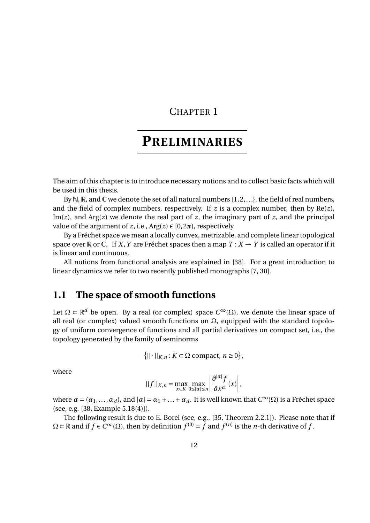## CHAPTER 1

## **PRELIMINARIES**

The aim of this chapter is to introduce necessary notions and to collect basic facts which will be used in this thesis.

By  $\mathbb{N}, \mathbb{R}$ , and  $\mathbb{C}$  we denote the set of all natural numbers {1, 2, ...}, the field of real numbers, and the field of complex numbers, respectively. If  $z$  is a complex number, then by  $Re(z)$ , Im(*z*), and Arg(*z*) we denote the real part of *z*, the imaginary part of *z*, and the principal value of the argument of *z*, i.e.,  $Arg(z) \in [0, 2\pi)$ , respectively.

By a Fréchet space we mean a locally convex, metrizable, and complete linear topological space over  $\mathbb R$  or  $\mathbb C$ . If *X*, *Y* are Fréchet spaces then a map  $T: X \to Y$  is called an operator if it is linear and continuous.

All notions from functional analysis are explained in [38]. For a great introduction to linear dynamics we refer to two recently published monographs [7, 30].

## **1.1 The space of smooth functions**

Let  $\Omega \subset \mathbb{R}^d$  be open. By a real (or complex) space  $C^{\infty}(\Omega)$ , we denote the linear space of all real (or complex) valued smooth functions on  $\Omega$ , equipped with the standard topology of uniform convergence of functions and all partial derivatives on compact set, i.e., the topology generated by the family of seminorms

$$
\left\{||\cdot||_{K,n}: K\subset \Omega \text{ compact}, n\geq 0\right\},\
$$

where

$$
||f||_{K,n} = \max_{x \in K} \max_{0 \leq |\alpha| \leq n} \left| \frac{\partial^{|\alpha|} f}{\partial x^{\alpha}}(x) \right|,
$$

where  $\alpha = (\alpha_1, ..., \alpha_d)$ , and  $|\alpha| = \alpha_1 + ... + \alpha_d$ . It is well known that  $C^{\infty}(\Omega)$  is a Fréchet space (see, e.g. [38, Example 5.18(4)]).

The following result is due to E. Borel (see, e.g., [35, Theorem 2.2.1]). Please note that if  $Ω ⊂ ℝ$  and if  $f ∈ C<sup>∞</sup>(Ω)$ , then by definition  $f<sup>(0)</sup> = f$  and  $f<sup>(n)</sup>$  is the *n*-th derivative of  $f$ .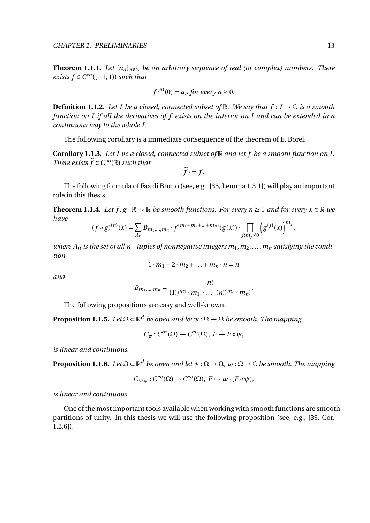**Theorem 1.1.1.** Let  $\{a_n\}_{n\in\mathbb{N}}$  be an arbitrary sequence of real (or complex) numbers. There *exists*  $f$  ∈  $C^{\infty}((-1, 1))$  *such that* 

$$
f^{(n)}(0) = a_n \text{ for every } n \ge 0.
$$

**Definition 1.1.2.** Let I be a closed, connected subset of  $\mathbb{R}$ . We say that  $f: I \to \mathbb{C}$  is a smooth *function on I if all the derivatives of f exists on the interior on I and can be extended in a continuous way to the whole I.*

The following corollary is a immediate consequence of the theorem of E. Borel.

**Corollary 1.1.3.** *Let I be a closed, connected subset of* R *and let f be a smooth function on I. There exists*  $\widetilde{f} \in C^{\infty}(\mathbb{R})$  *such that* 

$$
\widetilde{f}_{|I}=f.
$$

The following formula of Faá di Bruno (see, e.g., [35, Lemma 1.3.1]) will play an important role in this thesis.

**Theorem 1.1.4.** *Let*  $f, g : \mathbb{R} \to \mathbb{R}$  *be smooth functions. For every n*  $\geq 1$  *and for every*  $x \in \mathbb{R}$  *we have*

$$
(f\circ g)^{(n)}(x) = \sum_{A_n} B_{m_1,\dots,m_n} \cdot f^{(m_1+m_2+\dots+m_n)}(g(x)) \cdot \prod_{j:m_j\neq 0} \left(g^{(j)}(x)\right)^{m_j},
$$

where  $A_n$  is the set of all n - tuples of nonnegative integers  $m_1, m_2, \ldots, m_n$  satisfying the condi*tion*

$$
1 \cdot m_1 + 2 \cdot m_2 + \ldots + m_n \cdot n = n
$$

*and*

$$
B_{m_1,\dots,m_n} = \frac{n!}{(1!)^{m_1} \cdot m_1! \cdot \dots \cdot (n!)^{m_n} \cdot m_n!}.
$$

The following propositions are easy and well-known.

**Proposition 1.1.5.** Let  $\Omega \subset \mathbb{R}^d$  be open and let  $\psi : \Omega \to \Omega$  be smooth. The mapping

 $C_{\psi}: C^{\infty}(\Omega) \to C^{\infty}(\Omega), F \mapsto F \circ \psi,$ 

*is linear and continuous.*

**Proposition 1.1.6.** Let  $\Omega \subset \mathbb{R}^d$  be open and let  $\psi : \Omega \to \Omega$ ,  $w : \Omega \to \mathbb{C}$  be smooth. The mapping

$$
C_{w,\psi}: C^{\infty}(\Omega) \to C^{\infty}(\Omega), F \mapsto w \cdot (F \circ \psi),
$$

*is linear and continuous.*

One of the most important tools available when working with smooth functions are smooth partitions of unity. In this thesis we will use the following proposition (see, e.g., [39, Cor. 1.2.6]).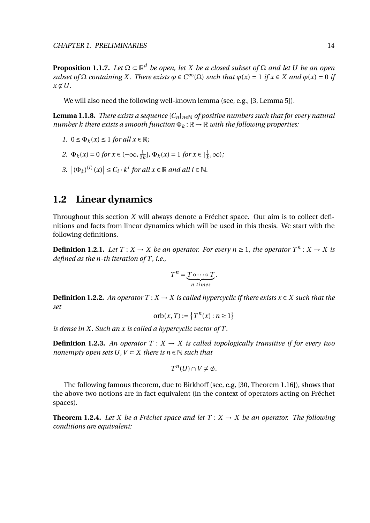**Proposition 1.1.7.** *Let* Ω ⊂ R *<sup>d</sup> be open, let X be a closed subset of* Ω *and let U be an open subset of*  $\Omega$  *containing X. There exists*  $\varphi \in C^{\infty}(\Omega)$  *such that*  $\varphi(x) = 1$  *if*  $x \in X$  *and*  $\varphi(x) = 0$  *if*  $x \notin U$ .

We will also need the following well-known lemma (see, e.g., [3, Lemma 5]).

**Lemma 1.1.8.** *There exists a sequence*  ${C_n}_{n \in \mathbb{N}}$  *of positive numbers such that for every natural number k there exists a smooth function*  $\Phi_k : \mathbb{R} \to \mathbb{R}$  *with the following properties:* 

- *1.*  $0 \leq \Phi_k(x) \leq 1$  *for all*  $x \in \mathbb{R}$ *;*
- *2.*  $\Phi_k(x) = 0$  *for*  $x \in (-\infty, \frac{1}{2})$  $\frac{1}{2k}$ ],  $\Phi_k(x) = 1$  *for*  $x \in \left[\frac{1}{k}\right]$  $\frac{1}{k}, \infty$ );
- 3.  $|(\Phi_k)^{(i)}(x)| \leq C_i \cdot k^i$  for all  $x \in \mathbb{R}$  and all  $i \in \mathbb{N}$ .

## **1.2 Linear dynamics**

Throughout this section *X* will always denote a Fréchet space. Our aim is to collect definitions and facts from linear dynamics which will be used in this thesis. We start with the following definitions.

**Definition 1.2.1.** Let  $T : X \to X$  be an operator. For every  $n \ge 1$ , the operator  $T^n : X \to X$  is *defined as the n-th iteration of T , i.e.,*

$$
T^n = \underbrace{T \circ \cdots \circ T}_{n \text{ times}}.
$$

**Definition 1.2.2.** *An operator*  $T : X \to X$  *is called hypercyclic if there exists*  $x \in X$  *such that the set*

orb(x, T) := 
$$
\{T^n(x) : n \ge 1\}
$$

*is dense in X . Such an x is called a hypercyclic vector of T .*

**Definition 1.2.3.** An operator  $T : X \to X$  is called topologically transitive if for every two *nonempty open sets U, V*  $\subset$  *X there is n*  $\in$  *N such that* 

$$
T^n(U)\cap V\neq \emptyset.
$$

The following famous theorem, due to Birkhoff (see, e.g, [30, Theorem 1.16]), shows that the above two notions are in fact equivalent (in the context of operators acting on Fréchet spaces).

**Theorem 1.2.4.** Let *X* be a Fréchet space and let  $T : X \to X$  be an operator. The following *conditions are equivalent:*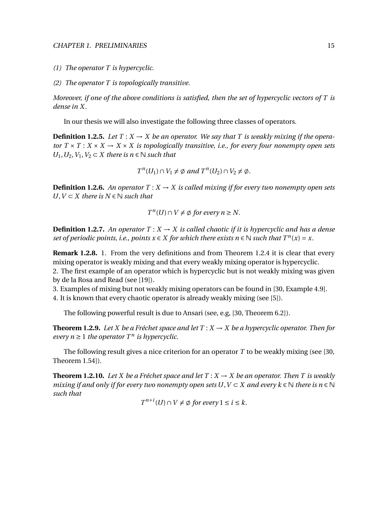- *(1) The operator T is hypercyclic.*
- *(2) The operator T is topologically transitive.*

*Moreover, if one of the above conditions is satisfied, then the set of hypercyclic vectors of T is dense in X .*

In our thesis we will also investigate the following three classes of operators.

**Definition 1.2.5.** Let  $T: X \to X$  be an operator. We say that T is weakly mixing if the opera*tor*  $T \times T : X \times X \rightarrow X \times X$  *is topologically transitive, i.e., for every four nonempty open sets U*<sub>1</sub>, *U*<sub>2</sub>, *V*<sub>1</sub>, *V*<sub>2</sub> ⊂ *X there is n* ∈ *N such that* 

 $T^n(U_1) \cap V_1 \neq \emptyset$  and  $T^n(U_2) \cap V_2 \neq \emptyset$ .

**Definition 1.2.6.** An operator  $T : X \to X$  is called mixing if for every two nonempty open sets *U*,  $V$  ⊂  $X$  *there is*  $N \in \mathbb{N}$  *such that* 

 $T^{n}(U) \cap V \neq \emptyset$  for every  $n \geq N$ .

**Definition 1.2.7.** An operator  $T : X \to X$  is called chaotic if it is hypercyclic and has a dense *set of periodic points, i.e., points*  $x \in X$  *for which there exists*  $n \in \mathbb{N}$  *such that*  $T^n(x) = x$ *.* 

**Remark 1.2.8.** 1. From the very definitions and from Theorem 1.2.4 it is clear that every mixing operator is weakly mixing and that every weakly mixing operator is hypercyclic. 2. The first example of an operator which is hypercyclic but is not weakly mixing was given by de la Rosa and Read (see [19]).

3. Examples of mixing but not weakly mixing operators can be found in [30, Example 4.9].

4. It is known that every chaotic operator is already weakly mixing (see [5]).

The following powerful result is due to Ansari (see, e.g, [30, Theorem 6.2]).

**Theorem 1.2.9.** Let X be a Fréchet space and let  $T: X \to X$  be a hypercyclic operator. Then for *every*  $n \geq 1$  *the operator*  $T^n$  *is hypercyclic.* 

The following result gives a nice criterion for an operator *T* to be weakly mixing (see [30, Theorem 1.54]).

**Theorem 1.2.10.** Let *X* be a Fréchet space and let  $T: X \rightarrow X$  be an operator. Then *T* is weakly *mixing if and only if for every two nonempty open sets U,*  $V \subset X$  *and every k*  $\in \mathbb{N}$  *there is n*  $\in \mathbb{N}$ *such that*

 $T^{n+i}(U) \cap V \neq \emptyset$  for every  $1 \leq i \leq k$ .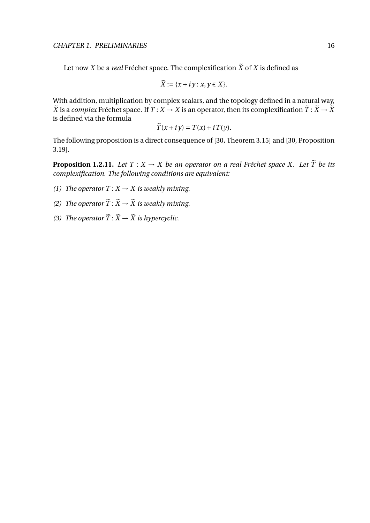Let now *X* be a *real* Fréchet space. The complexification  $\tilde{X}$  of *X* is defined as

$$
\widetilde{X} := \{x + iy : x, y \in X\}.
$$

With addition, multiplication by complex scalars, and the topology defined in a natural way,  $\widetilde{X}$  is a *complex* Fréchet space. If  $T : X \to X$  is an operator, then its complexification  $\widetilde{T} : \widetilde{X} \to \widetilde{X}$ is defined via the formula

$$
\widetilde{T}(x + iy) = T(x) + i T(y).
$$

The following proposition is a direct consequence of [30, Theorem 3.15] and [30, Proposition 3.19].

**Proposition 1.2.11.** *Let*  $T : X \to X$  *be an operator on a real Fréchet space X. Let*  $\tilde{T}$  *be its complexification. The following conditions are equivalent:*

- *(1) The operator*  $T: X \rightarrow X$  *is weakly mixing.*
- *(2) The operator*  $\widetilde{T}$  :  $\widetilde{X} \rightarrow \widetilde{X}$  *is weakly mixing.*
- *(3) The operator*  $\widetilde{T}$  :  $\widetilde{X} \rightarrow \widetilde{X}$  *is hypercyclic.*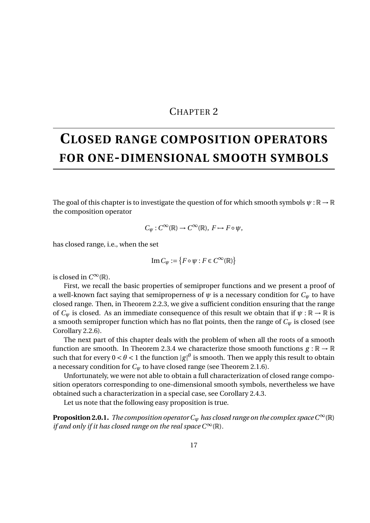### CHAPTER 2

## **CLOSED RANGE COMPOSITION OPERATORS FOR ONE-DIMENSIONAL SMOOTH SYMBOLS**

The goal of this chapter is to investigate the question of for which smooth symbols  $\psi : \mathbb{R} \to \mathbb{R}$ the composition operator

$$
C_{\psi}: C^{\infty}(\mathbb{R}) \to C^{\infty}(\mathbb{R}), F \mapsto F \circ \psi,
$$

has closed range, i.e., when the set

$$
\operatorname{Im} C_{\psi} := \{ F \circ \psi : F \in C^{\infty}(\mathbb{R}) \}
$$

is closed in  $C^{\infty}(\mathbb{R})$ .

First, we recall the basic properties of semiproper functions and we present a proof of a well-known fact saying that semiproperness of  $\psi$  is a necessary condition for  $C_{\psi}$  to have closed range. Then, in Theorem 2.2.3, we give a sufficient condition ensuring that the range of  $C_{\psi}$  is closed. As an immediate consequence of this result we obtain that if  $\psi : \mathbb{R} \to \mathbb{R}$  is a smooth semiproper function which has no flat points, then the range of *C<sup>ψ</sup>* is closed (see Corollary 2.2.6).

The next part of this chapter deals with the problem of when all the roots of a smooth function are smooth. In Theorem 2.3.4 we characterize those smooth functions  $g : \mathbb{R} \to \mathbb{R}$ such that for every  $0 < \theta < 1$  the function  $|g|^\theta$  is smooth. Then we apply this result to obtain a necessary condition for  $C_w$  to have closed range (see Theorem 2.1.6).

Unfortunately, we were not able to obtain a full characterization of closed range composition operators corresponding to one-dimensional smooth symbols, nevertheless we have obtained such a characterization in a special case, see Corollary 2.4.3.

Let us note that the following easy proposition is true.

**Proposition 2.0.1.** *The composition operator*  $C_w$  *has closed range on the complex space*  $C^{\infty}(\mathbb{R})$ *if and only if it has closed range on the real space*  $C^{\infty}(\mathbb{R})$ *.*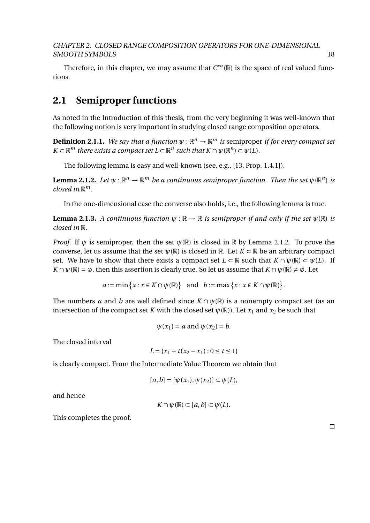Therefore, in this chapter, we may assume that  $C^{\infty}(\mathbb{R})$  is the space of real valued functions.

## **2.1 Semiproper functions**

As noted in the Introduction of this thesis, from the very beginning it was well-known that the following notion is very important in studying closed range composition operators.

**Definition 2.1.1.** We say that a function  $\psi : \mathbb{R}^n \to \mathbb{R}^m$  is semiproper if for every compact set  $K \subset \mathbb{R}^m$  *there exists a compact set*  $L \subset \mathbb{R}^n$  *such that*  $K \cap \psi(\mathbb{R}^n) \subset \psi(L)$ .

The following lemma is easy and well-known (see, e.g., [13, Prop. 1.4.1]).

**Lemma 2.1.2.** Let  $\psi: \mathbb{R}^n \to \mathbb{R}^m$  be a continuous semiproper function. Then the set  $\psi(\mathbb{R}^n)$  is *closed in* R *m.*

In the one-dimensional case the converse also holds, i.e., the following lemma is true.

**Lemma 2.1.3.** *A continuous function*  $\psi : \mathbb{R} \to \mathbb{R}$  *is semiproper if and only if the set*  $\psi(\mathbb{R})$  *is closed in* R*.*

*Proof.* If  $\psi$  is semiproper, then the set  $\psi(\mathbb{R})$  is closed in  $\mathbb R$  by Lemma 2.1.2. To prove the converse, let us assume that the set  $\psi(\mathbb{R})$  is closed in  $\mathbb{R}$ . Let  $K \subset \mathbb{R}$  be an arbitrary compact set. We have to show that there exists a compact set  $L \subset \mathbb{R}$  such that  $K \cap \psi(\mathbb{R}) \subset \psi(L)$ . If  $K \cap \psi(\mathbb{R}) = \emptyset$ , then this assertion is clearly true. So let us assume that  $K \cap \psi(\mathbb{R}) \neq \emptyset$ . Let

$$
a := \min \{x : x \in K \cap \psi(\mathbb{R})\}
$$
 and  $b := \max \{x : x \in K \cap \psi(\mathbb{R})\}.$ 

The numbers *a* and *b* are well defined since  $K \cap \psi(\mathbb{R})$  is a nonempty compact set (as an intersection of the compact set *K* with the closed set  $\psi(\mathbb{R})$ ). Let  $x_1$  and  $x_2$  be such that

$$
\psi(x_1) = a \text{ and } \psi(x_2) = b.
$$

The closed interval

$$
L = \{x_1 + t(x_2 - x_1) : 0 \le t \le 1\}
$$

is clearly compact. From the Intermediate Value Theorem we obtain that

$$
[a,b] = [\psi(x_1), \psi(x_2)] \subset \psi(L),
$$

and hence

$$
K \cap \psi(\mathbb{R}) \subset [a, b] \subset \psi(L).
$$

This completes the proof.

 $\Box$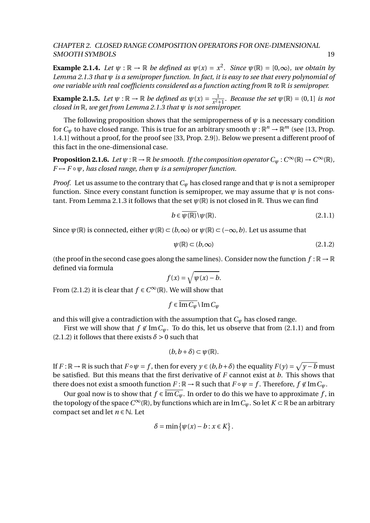**Example 2.1.4.** *Let*  $\psi$  :  $\mathbb{R} \to \mathbb{R}$  *be defined as*  $\psi(x) = x^2$ *. Since*  $\psi(\mathbb{R}) = [0, \infty)$ *, we obtain by Lemma 2.1.3 that ψ is a semiproper function. In fact, it is easy to see that every polynomial of one variable with real coefficients considered as a function acting from* R *to* R *is semiproper.*

**Example 2.1.5.** *Let*  $\psi$  :  $\mathbb{R} \to \mathbb{R}$  *be defined as*  $\psi(x) = \frac{1}{x^2}$  $\frac{1}{x^2+1}$ *. Because the set*  $\psi(\mathbb{R}) = (0,1]$  *is not closed in* R*, we get from Lemma 2.1.3 that ψ is not semiproper.*

The following proposition shows that the semiproperness of  $\psi$  is a necessary condition for  $C_\psi$  to have closed range. This is true for an arbitrary smooth  $\psi: \mathbb{R}^n \to \mathbb{R}^m$  (see [13, Prop. 1.4.1] without a proof, for the proof see [33, Prop. 2.9]). Below we present a different proof of this fact in the one-dimensional case.

**Proposition 2.1.6.** Let  $\psi: \mathbb{R} \to \mathbb{R}$  be smooth. If the composition operator  $C_{\psi}: C^{\infty}(\mathbb{R}) \to C^{\infty}(\mathbb{R})$ ,  $F \rightarrow F \circ \psi$ , has closed range, then  $\psi$  is a semiproper function.

*Proof.* Let us assume to the contrary that  $C_\psi$  has closed range and that  $\psi$  is not a semiproper function. Since every constant function is semiproper, we may assume that  $\psi$  is not constant. From Lemma 2.1.3 it follows that the set  $\psi(\mathbb{R})$  is not closed in  $\mathbb{R}$ . Thus we can find

$$
b \in \overline{\psi(\mathbb{R})} \setminus \psi(\mathbb{R}). \tag{2.1.1}
$$

Since  $\psi(\mathbb{R})$  is connected, either  $\psi(\mathbb{R}) \subset (b,\infty)$  or  $\psi(\mathbb{R}) \subset (-\infty,b)$ . Let us assume that

$$
\psi(\mathbb{R}) \subset (b, \infty) \tag{2.1.2}
$$

(the proof in the second case goes along the same lines). Consider now the function  $f : \mathbb{R} \to \mathbb{R}$ defined via formula

$$
f(x) = \sqrt{\psi(x) - b}.
$$

From (2.1.2) it is clear that  $f \in C^{\infty}(\mathbb{R})$ . We will show that

$$
f \in \overline{\operatorname{Im} C_{\psi}} \setminus \operatorname{Im} C_{\psi}
$$

and this will give a contradiction with the assumption that  $C_\psi$  has closed range.

First we will show that  $f \notin \text{Im } C_{\psi}$ . To do this, let us observe that from (2.1.1) and from (2.1.2) it follows that there exists  $\delta > 0$  such that

$$
(b,b+\delta)\subset\psi(\mathbb{R}).
$$

If  $F : \mathbb{R} \to \mathbb{R}$  is such that  $F \circ \psi = f$ , then for every  $y \in (b, b+\delta)$  the equality  $F(y) = \sqrt{y-b}$  must be satisfied. But this means that the first derivative of *F* cannot exist at *b*. This shows that there does not exist a smooth function  $F : \mathbb{R} \to \mathbb{R}$  such that  $F \circ \psi = f$ . Therefore,  $f \notin \text{Im } C_{\psi}$ .

Our goal now is to show that  $f \in \overline{\text{Im } C_{\psi}}$ . In order to do this we have to approximate f, in the topology of the space  $C^\infty(\mathbb{R})$ , by functions which are in Im  $C_\psi$ . So let  $K \subset \mathbb{R}$  be an arbitrary compact set and let  $n \in \mathbb{N}$ . Let

$$
\delta = \min \{ \psi(x) - b : x \in K \}.
$$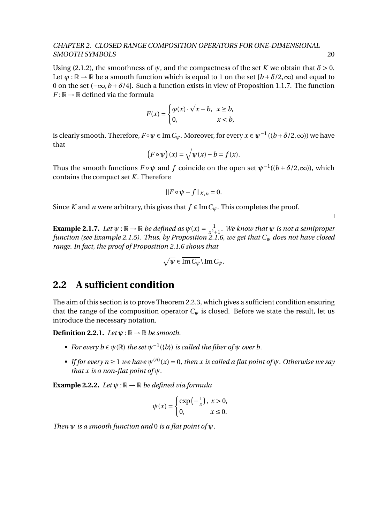Using (2.1.2), the smoothness of  $\psi$ , and the compactness of the set *K* we obtain that  $\delta > 0$ . Let  $\varphi : \mathbb{R} \to \mathbb{R}$  be a smooth function which is equal to 1 on the set  $[b + \delta/2, \infty)$  and equal to 0 on the set (−∞,*b* + *δ*/4]. Such a function exists in view of Proposition 1.1.7. The function  $F : \mathbb{R} \to \mathbb{R}$  defined via the formula

$$
F(x) = \begin{cases} \varphi(x) \cdot \sqrt{x - b}, & x \ge b, \\ 0, & x < b, \end{cases}
$$

is clearly smooth. Therefore,  $F \circ \psi \in \text{Im } C_{\psi}$ . Moreover, for every  $x \in \psi^{-1}$   $((b + \delta/2, \infty))$  we have that

$$
(F \circ \psi)(x) = \sqrt{\psi(x) - b} = f(x).
$$

Thus the smooth functions  $F \circ \psi$  and  $f$  coincide on the open set  $\psi^{-1}((b + \delta/2, \infty))$ , which contains the compact set *K*. Therefore

$$
||F \circ \psi - f||_{K,n} = 0.
$$

Since *K* and *n* were arbitrary, this gives that  $f \in \overline{\text{Im } C_{\psi}}$ . This completes the proof.

 $\Box$ 

**Example 2.1.7.** *Let*  $\psi$  :  $\mathbb{R} \to \mathbb{R}$  *be defined as*  $\psi(x) = \frac{1}{x^2}$ .  $\frac{1}{x^2+1}$ *. We know that*  $\psi$  *is not a semiproper function (see Example 2.1.5). Thus, by Proposition 2.1.6, we get that C<sup>ψ</sup> does not have closed range. In fact, the proof of Proposition 2.1.6 shows that*

$$
\sqrt{\psi} \in \overline{\operatorname{Im} C_{\psi}} \setminus \operatorname{Im} C_{\psi}.
$$

## **2.2 A sufficient condition**

The aim of this section is to prove Theorem 2.2.3, which gives a sufficient condition ensuring that the range of the composition operator  $C_w$  is closed. Before we state the result, let us introduce the necessary notation.

**Definition 2.2.1.** *Let*  $\psi$  :  $\mathbb{R} \rightarrow \mathbb{R}$  *be smooth.* 

- *• For every b* ∈  $\psi$ (ℝ) *the set*  $\psi^{-1}(\{b\})$  *is called the fiber of*  $\psi$  *over b.*
- *If for every n*  $\geq$  1 *we have*  $\psi^{(n)}(x) = 0$ *, then x is called a flat point of*  $\psi$ *. Otherwise we say that x is a non-flat point of ψ.*

**Example 2.2.2.** *Let*  $\psi$  :  $\mathbb{R} \to \mathbb{R}$  *be defined via formula* 

$$
\psi(x) = \begin{cases} \exp\left(-\frac{1}{x}\right), & x > 0, \\ 0, & x \le 0. \end{cases}
$$

*Then ψ is a smooth function and* 0 *is a flat point of ψ.*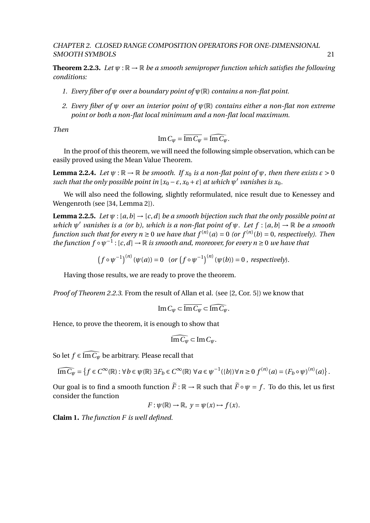**Theorem 2.2.3.** Let  $\psi : \mathbb{R} \to \mathbb{R}$  be a smooth semiproper function which satisfies the following *conditions:*

- *1. Every fiber of ψ over a boundary point of ψ*(R) *contains a non-flat point.*
- *2. Every fiber of ψ over an interior point of ψ*(R) *contains either a non-flat non extreme point or both a non-flat local minimum and a non-flat local maximum.*

*Then*

$$
\operatorname{Im} C_{\psi} = \overline{\operatorname{Im} C_{\psi}} = \widehat{\operatorname{Im} C_{\psi}}.
$$

In the proof of this theorem, we will need the following simple observation, which can be easily proved using the Mean Value Theorem.

**Lemma 2.2.4.** *Let*  $\psi$  :  $\mathbb{R} \to \mathbb{R}$  *be smooth. If*  $x_0$  *is a non-flat point of*  $\psi$ *, then there exists*  $\varepsilon > 0$ *such that the only possible point in*  $[x_0 - \varepsilon, x_0 + \varepsilon]$  *at which*  $\psi'$  *vanishes is*  $x_0$ *.* 

We will also need the following, slightly reformulated, nice result due to Kenessey and Wengenroth (see [34, Lemma 2]).

**Lemma 2.2.5.** *Let*  $\psi$  : [a, b]  $\rightarrow$  [c, d] be a smooth bijection such that the only possible point at *which*  $\psi'$  vanishes is a (or b), which is a non-flat point of  $\psi$ . Let  $f : [a, b] \to \mathbb{R}$  be a smooth *function such that for every n*  $\geq$  0 *we have that f*<sup>(*n*)</sup>(*a*) = 0 (*or f*<sup>(*n*)</sup>(*b*) = 0, *respectively*). Then  $\tilde{f}$  the function  $f \circ \psi^{-1} : [c, d] \to \mathbb{R}$  is smooth and, moreover, for every  $n \geq 0$  we have that

$$
(f \circ \psi^{-1})^{(n)}(\psi(a)) = 0 \quad (or \left(f \circ \psi^{-1}\right)^{(n)}(\psi(b)) = 0 \text{ , respectively)}.
$$

Having those results, we are ready to prove the theorem.

*Proof of Theorem 2.2.3.* From the result of Allan et al. (see [2, Cor. 5]) we know that

$$
\operatorname{Im} C_{\psi} \subset \overline{\operatorname{Im} C_{\psi}} \subset \widehat{\operatorname{Im} C_{\psi}}.
$$

Hence, to prove the theorem, it is enough to show that

$$
\widehat{\mathrm{Im}\,C_{\psi}} \subset \mathrm{Im}\,C_{\psi}.
$$

So let  $f \in \widehat{\text{Im } C_{\psi}}$  be arbitrary. Please recall that

$$
\widehat{\mathrm{Im}\,C_\psi}=\left\{f\in C^\infty(\mathbb{R}): \forall\, b\in\psi(\mathbb{R})\; \exists F_b\in C^\infty(\mathbb{R})\; \forall\, a\in\psi^{-1}(\{b\}) \forall\, n\geq 0 \; f^{(n)}(a)=(F_b\circ\psi)^{(n)}(a)\right\}.
$$

Our goal is to find a smooth function  $\tilde{F} : \mathbb{R} \to \mathbb{R}$  such that  $\tilde{F} \circ \psi = f$ . To do this, let us first consider the function

$$
F: \psi(\mathbb{R}) \to \mathbb{R}, \ y = \psi(x) \to f(x).
$$

**Claim 1.** *The function F is well defined.*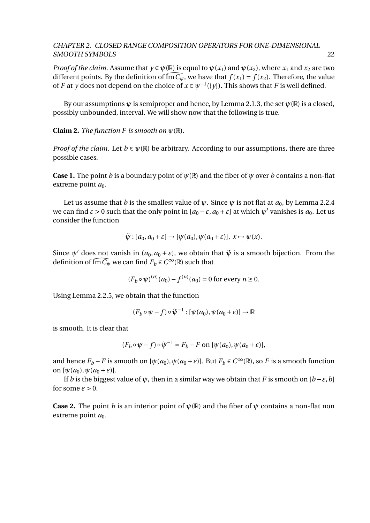*Proof of the claim.* Assume that  $y \in \psi(\mathbb{R})$  is equal to  $\psi(x_1)$  and  $\psi(x_2)$ , where  $x_1$  and  $x_2$  are two different points. By the definition of  $\widehat{\text{Im }C_{\psi}}$ , we have that  $f(x_1) = f(x_2)$ . Therefore, the value of *F* at *y* does not depend on the choice of  $x \in \psi^{-1}(\{y\})$ . This shows that *F* is well defined.

By our assumptions  $\psi$  is semiproper and hence, by Lemma 2.1.3, the set  $\psi(\mathbb{R})$  is a closed, possibly unbounded, interval. We will show now that the following is true.

**Claim 2.** *The function F is smooth on*  $\psi(\mathbb{R})$ *.* 

*Proof of the claim.* Let  $b \in \psi(\mathbb{R})$  be arbitrary. According to our assumptions, there are three possible cases.

**Case 1.** The point *b* is a boundary point of  $\psi(\mathbb{R})$  and the fiber of  $\psi$  over *b* contains a non-flat extreme point  $a_0$ .

Let us assume that *b* is the smallest value of  $\psi$ . Since  $\psi$  is not flat at  $a_0$ , by Lemma 2.2.4 we can find  $\varepsilon > 0$  such that the only point in  $[a_0 - \varepsilon, a_0 + \varepsilon]$  at which  $\psi'$  vanishes is  $a_0$ . Let us consider the function

$$
\widetilde{\psi}: [a_0, a_0 + \varepsilon] \to [\psi(a_0), \psi(a_0 + \varepsilon)], \ x \mapsto \psi(x).
$$

Since  $\psi'$  does not vanish in  $(a_0, a_0 + \varepsilon)$ , we obtain that  $\tilde{\psi}$  is a smooth bijection. From the definition of  $\widehat{\text{Im }C_\psi}$  we can find  $F_b \in C^\infty(\mathbb{R})$  such that

$$
(F_b \circ \psi)^{(n)}(a_0) - f^{(n)}(a_0) = 0
$$
 for every  $n \ge 0$ .

Using Lemma 2.2.5, we obtain that the function

$$
(F_b \circ \psi - f) \circ \widetilde{\psi}^{-1} : [\psi(a_0), \psi(a_0 + \varepsilon)] \to \mathbb{R}
$$

is smooth. It is clear that

$$
(F_b \circ \psi - f) \circ \widetilde{\psi}^{-1} = F_b - F \text{ on } [\psi(a_0), \psi(a_0 + \varepsilon)],
$$

and hence  $F_b - F$  is smooth on  $[\psi(a_0), \psi(a_0 + \varepsilon)]$ . But  $F_b \in C^\infty(\mathbb{R})$ , so *F* is a smooth function on  $[\psi(a_0), \psi(a_0 + \varepsilon)].$ 

If *b* is the biggest value of  $\psi$ , then in a similar way we obtain that *F* is smooth on  $[b-\varepsilon,b]$ for some  $\varepsilon > 0$ .

**Case 2.** The point *b* is an interior point of  $\psi(\mathbb{R})$  and the fiber of  $\psi$  contains a non-flat non extreme point  $a_0$ .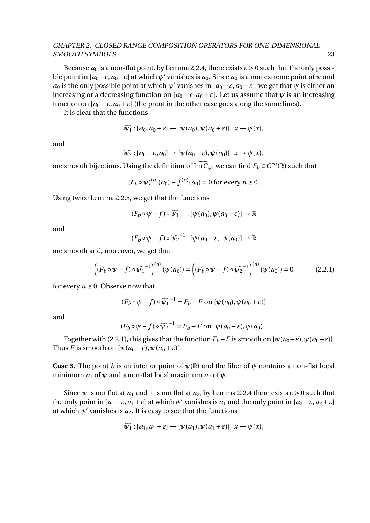Because  $a_0$  is a non-flat point, by Lemma 2.2.4, there exists  $\varepsilon > 0$  such that the only possible point in  $[a_0 - \varepsilon, a_0 + \varepsilon]$  at which  $\psi'$  vanishes is  $a_0$ . Since  $a_0$  is a non extreme point of  $\psi$  and *a*<sub>0</sub> is the only possible point at which  $\psi'$  vanishes in  $[a_0 - \varepsilon, a_0 + \varepsilon]$ , we get that  $\psi$  is either an increasing or a decreasing function on  $[a_0 - \varepsilon, a_0 + \varepsilon]$ . Let us assume that  $\psi$  is an increasing function on  $[a_0 - \varepsilon, a_0 + \varepsilon]$  (the proof in the other case goes along the same lines).

It is clear that the functions

$$
\widetilde{\psi_1}:[a_0,a_0+\varepsilon]\to[\psi(a_0),\psi(a_0+\varepsilon)],\ x\mapsto\psi(x),
$$

and

$$
\widetilde{\psi_2}: [a_0 - \varepsilon, a_0] \to [\psi(a_0 - \varepsilon), \psi(a_0)], x \mapsto \psi(x),
$$

are smooth bijections. Using the definition of  $\widehat{\text{Im}C_{\psi}}$ , we can find  $F_b \in C^{\infty}(\mathbb{R})$  such that

$$
(F_b \circ \psi)^{(n)}(a_0) - f^{(n)}(a_0) = 0
$$
 for every  $n \ge 0$ .

Using twice Lemma 2.2.5, we get that the functions

$$
(F_b \circ \psi - f) \circ \widetilde{\psi_1}^{-1} : [\psi(a_0), \psi(a_0 + \varepsilon)] \to \mathbb{R}
$$

and

$$
(F_b \circ \psi - f) \circ \widetilde{\psi_2}^{-1} : [\psi(a_0 - \varepsilon), \psi(a_0)] \to \mathbb{R}
$$

are smooth and, moreover, we get that

$$
\left( (F_b \circ \psi - f) \circ \widetilde{\psi_1}^{-1} \right)^{(n)} (\psi(a_0)) = \left( (F_b \circ \psi - f) \circ \widetilde{\psi_2}^{-1} \right)^{(n)} (\psi(a_0)) = 0 \tag{2.2.1}
$$

for every  $n \geq 0$ . Observe now that

$$
(F_b \circ \psi - f) \circ \widetilde{\psi_1}^{-1} = F_b - F \text{ on } [\psi(a_0), \psi(a_0 + \varepsilon)]
$$

and

$$
(F_b \circ \psi - f) \circ \widetilde{\psi_2}^{-1} = F_b - F \text{ on } [\psi(a_0 - \varepsilon), \psi(a_0)].
$$

Together with (2.2.1), this gives that the function  $F_b-F$  is smooth on  $[\psi(a_0-\varepsilon), \psi(a_0+\varepsilon)].$ Thus *F* is smooth on  $[\psi(a_0 - \varepsilon), \psi(a_0 + \varepsilon)].$ 

**Case 3.** The point *b* is an interior point of  $\psi(\mathbb{R})$  and the fiber of  $\psi$  contains a non-flat local minimum  $a_1$  of  $\psi$  and a non-flat local maximum  $a_2$  of  $\psi$ .

Since  $\psi$  is not flat at  $a_1$  and it is not flat at  $a_2$ , by Lemma 2.2.4 there exists  $\varepsilon > 0$  such that the only point in  $[a_1 - \varepsilon, a_1 + \varepsilon]$  at which  $\psi'$  vanishes is  $a_1$  and the only point in  $[a_2 - \varepsilon, a_2 + \varepsilon]$ at which  $\psi'$  vanishes is  $a_2$ . It is easy to see that the functions

$$
\widetilde{\psi_1}:[a_1,a_1+\varepsilon]\to[\psi(a_1),\psi(a_1+\varepsilon)],\ x\mapsto\psi(x),
$$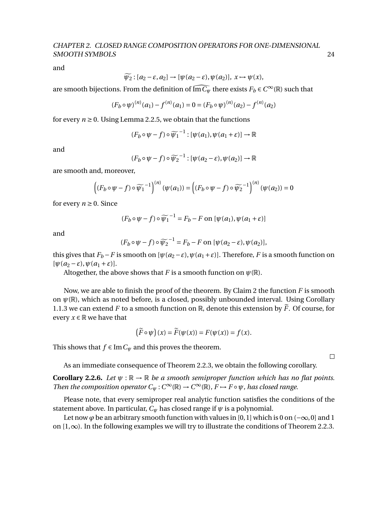and

$$
\widetilde{\psi_2}:[a_2-\varepsilon,a_2]\to[\psi(a_2-\varepsilon),\psi(a_2)], x\mapsto\psi(x),
$$

are smooth bijections. From the definition of  $\widehat{\text{Im}C_{\psi}}$  there exists  $F_b \in C^{\infty}(\mathbb{R})$  such that

$$
(F_b \circ \psi)^{(n)}(a_1) - f^{(n)}(a_1) = 0 = (F_b \circ \psi)^{(n)}(a_2) - f^{(n)}(a_2)
$$

for every  $n \ge 0$ . Using Lemma 2.2.5, we obtain that the functions

$$
(F_b \circ \psi - f) \circ \widetilde{\psi_1}^{-1} : [\psi(a_1), \psi(a_1 + \varepsilon)] \to \mathbb{R}
$$

and

$$
(F_b \circ \psi - f) \circ \widetilde{\psi_2}^{-1} : [\psi(a_2 - \varepsilon), \psi(a_2)] \to \mathbb{R}
$$

are smooth and, moreover,

$$
\left( (F_b \circ \psi - f) \circ \widetilde{\psi_1}^{-1} \right)^{(n)} (\psi(a_1)) = \left( (F_b \circ \psi - f) \circ \widetilde{\psi_2}^{-1} \right)^{(n)} (\psi(a_2)) = 0
$$

for every  $n \geq 0$ . Since

$$
(F_b \circ \psi - f) \circ \widetilde{\psi_1}^{-1} = F_b - F \text{ on } [\psi(a_1), \psi(a_1 + \varepsilon)]
$$

and

$$
(F_b \circ \psi - f) \circ \widetilde{\psi_2}^{-1} = F_b - F \text{ on } [\psi(a_2 - \varepsilon), \psi(a_2)],
$$

this gives that  $F_b - F$  is smooth on  $[\psi(a_2 - \varepsilon), \psi(a_1 + \varepsilon)]$ . Therefore, *F* is a smooth function on  $[\psi(a_2 - \varepsilon), \psi(a_1 + \varepsilon)].$ 

Altogether, the above shows that *F* is a smooth function on  $\psi(\mathbb{R})$ .

Now, we are able to finish the proof of the theorem. By Claim 2 the function *F* is smooth on  $\psi(\mathbb{R})$ , which as noted before, is a closed, possibly unbounded interval. Using Corollary 1.1.3 we can extend *F* to a smooth function on  $\mathbb{R}$ , denote this extension by  $\tilde{F}$ . Of course, for every  $x \in \mathbb{R}$  we have that

$$
(\widetilde{F}\circ\psi)(x) = \widetilde{F}(\psi(x)) = F(\psi(x)) = f(x).
$$

This shows that  $f \in \text{Im } C_{\psi}$  and this proves the theorem.

As an immediate consequence of Theorem 2.2.3, we obtain the following corollary.

**Corollary 2.2.6.** *Let*  $\psi$  :  $\mathbb{R} \to \mathbb{R}$  *be a smooth semiproper function which has no flat points. Then the composition operator*  $C_{\psi}: C^{\infty}(\mathbb{R}) \to C^{\infty}(\mathbb{R})$ ,  $F \mapsto F \circ \psi$ *, has closed range.* 

Please note, that every semiproper real analytic function satisfies the conditions of the statement above. In particular,  $C_\psi$  has closed range if  $\psi$  is a polynomial.

Let now  $\varphi$  be an arbitrary smooth function with values in [0, 1] which is 0 on ( $-\infty$ , 0] and 1 on [1,∞). In the following examples we will try to illustrate the conditions of Theorem 2.2.3.

 $\Box$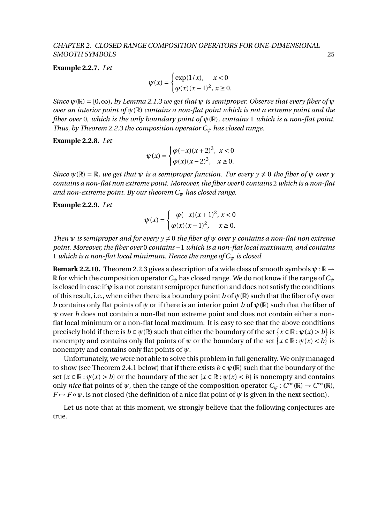**Example 2.2.7.** *Let*

 $\psi(x) =$  $\int \exp(1/x)$ ,  $x < 0$  $\varphi(x)$  (*x* − 1)<sup>2</sup>, *x* ≥ 0.

*Since*  $\psi(\mathbb{R}) = [0,\infty)$ *, by Lemma 2.1.3 we get that*  $\psi$  *is semiproper. Observe that every fiber of*  $\psi$ *over an interior point of ψ*(R) *contains a non-flat point which is not a extreme point and the fiber over* 0*, which is the only boundary point of ψ*(R)*, contains* 1 *which is a non-flat point. Thus, by Theorem 2.2.3 the composition operator C<sup>ψ</sup> has closed range.*

### **Example 2.2.8.** *Let*

$$
\psi(x) = \begin{cases} \varphi(-x)(x+2)^3, & x < 0 \\ \varphi(x)(x-2)^3, & x \ge 0. \end{cases}
$$

*Since*  $\psi(\mathbb{R}) = \mathbb{R}$ , we get that  $\psi$  is a semiproper function. For every  $\psi \neq 0$  the fiber of  $\psi$  over  $\psi$ *contains a non-flat non extreme point. Moreover, the fiber over* 0 *contains* 2 *which is a non-flat and non-extreme point. By our theorem C<sup>ψ</sup> has closed range.*

### **Example 2.2.9.** *Let*

$$
\psi(x) = \begin{cases}\n-\varphi(-x)(x+1)^2, & x < 0 \\
\varphi(x)(x-1)^2, & x \ge 0.\n\end{cases}
$$

*Then*  $\psi$  *is semiproper and for every*  $\gamma \neq 0$  *the fiber of*  $\psi$  *over*  $\gamma$  *contains a non-flat non extreme point. Moreover, the fiber over* 0 *contains* −1 *which is a non-flat local maximum, and contains* 1 *which is a non-flat local minimum. Hence the range of C<sup>ψ</sup> is closed.*

**Remark 2.2.10.** Theorem 2.2.3 gives a description of a wide class of smooth symbols *ψ* : R → R for which the composition operator*C<sup>ψ</sup>* has closed range. We do not know if the range of*C<sup>ψ</sup>* is closed in case if  $\psi$  is a not constant semiproper function and does not satisfy the conditions of this result, i.e., when either there is a boundary point *b* of  $\psi(\mathbb{R})$  such that the fiber of  $\psi$  over *b* contains only flat points of  $\psi$  or if there is an interior point *b* of  $\psi(\mathbb{R})$  such that the fiber of *ψ* over *b* does not contain a non-flat non extreme point and does not contain either a nonflat local minimum or a non-flat local maximum. It is easy to see that the above conditions precisely hold if there is  $b \in \psi(\mathbb{R})$  such that either the boundary of the set  $\{x \in \mathbb{R} : \psi(x) > b\}$  is nonempty and contains only flat points of  $\psi$  or the boundary of the set  $\{x \in \mathbb{R} : \psi(x) < b\}$  is nonempty and contains only flat points of *ψ*.

Unfortunately, we were not able to solve this problem in full generality. We only managed to show (see Theorem 2.4.1 below) that if there exists  $b \in \psi(\mathbb{R})$  such that the boundary of the set  $\{x \in \mathbb{R} : \psi(x) > b\}$  or the boundary of the set  $\{x \in \mathbb{R} : \psi(x) < b\}$  is nonempty and contains only *nice* flat points of  $\psi$ , then the range of the composition operator  $C_{\psi}: C^{\infty}(\mathbb{R}) \to C^{\infty}(\mathbb{R})$ ,  $F \mapsto F \circ \psi$ , is not closed (the definition of a nice flat point of  $\psi$  is given in the next section).

Let us note that at this moment, we strongly believe that the following conjectures are true.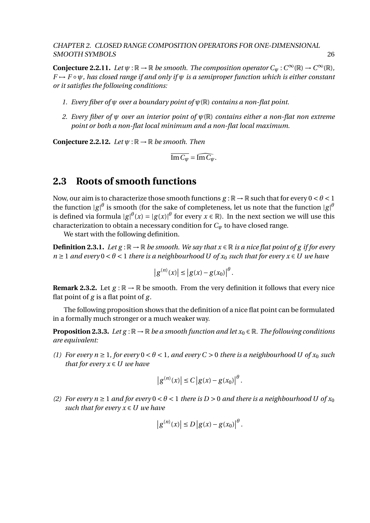**Conjecture 2.2.11.** *Let*  $\psi$  :  $\mathbb{R} \to \mathbb{R}$  *be smooth. The composition operator*  $C_{\psi}$  :  $C^{\infty}(\mathbb{R}) \to C^{\infty}(\mathbb{R})$ , *F* 7→ *F* ◦*ψ, has closed range if and only if ψ is a semiproper function which is either constant or it satisfies the following conditions:*

- *1. Every fiber of ψ over a boundary point of ψ*(R) *contains a non-flat point.*
- *2. Every fiber of ψ over an interior point of ψ*(R) *contains either a non-flat non extreme point or both a non-flat local minimum and a non-flat local maximum.*

**Conjecture 2.2.12.** *Let*  $\psi$  :  $\mathbb{R} \to \mathbb{R}$  *be smooth. Then* 

 $\overline{\text{Im } C_{\psi}} = \widehat{\text{Im } C_{\psi}}.$ 

## **2.3 Roots of smooth functions**

Now, our aim is to characterize those smooth functions  $g : \mathbb{R} \to \mathbb{R}$  such that for every  $0 < \theta < 1$ the function  $|g|^\theta$  is smooth (for the sake of completeness, let us note that the function  $|g|^\theta$ is defined via formula  $|g|^{\theta}(x) = |g(x)|^{\theta}$  for every  $x \in \mathbb{R}$ ). In the next section we will use this characterization to obtain a necessary condition for *C<sup>ψ</sup>* to have closed range.

We start with the following definition.

**Definition 2.3.1.** *Let g* :  $\mathbb{R} \to \mathbb{R}$  *be smooth. We say that*  $x \in \mathbb{R}$  *is a nice flat point of g if for every*  $n \geq 1$  *and every*  $0 < \theta < 1$  *there is a neighbourhood U of*  $x_0$  *such that for every*  $x \in U$  *we have* 

$$
|g^{(n)}(x)| \le |g(x) - g(x_0)|^{\theta}.
$$

**Remark 2.3.2.** Let  $g : \mathbb{R} \to \mathbb{R}$  be smooth. From the very definition it follows that every nice flat point of *g* is a flat point of *g* .

The following proposition shows that the definition of a nice flat point can be formulated in a formally much stronger or a much weaker way.

**Proposition 2.3.3.** *Let g* :  $\mathbb{R} \to \mathbb{R}$  *be a smooth function and let*  $x_0 \in \mathbb{R}$ *. The following conditions are equivalent:*

*(1)* For every  $n \geq 1$ , for every  $0 < \theta < 1$ , and every  $C > 0$  there is a neighbourhood U of  $x_0$  such *that for every*  $x \in U$  *we have* 

$$
|g^{(n)}(x)| \le C |g(x) - g(x_0)|^{\theta}.
$$

*(2)* For every  $n \ge 1$  and for every  $0 < \theta < 1$  there is  $D > 0$  and there is a neighbourhood U of  $x_0$ *such that for every*  $x \in U$  *we have* 

$$
|g^{(n)}(x)| \le D |g(x) - g(x_0)|^{\theta}
$$
.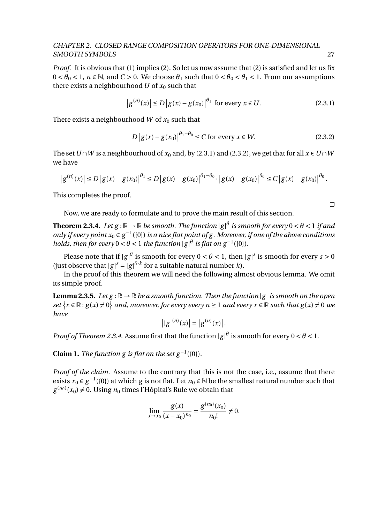*Proof.* It is obvious that (1) implies (2). So let us now assume that (2) is satisfied and let us fix  $0 < \theta_0 < 1$ ,  $n \in \mathbb{N}$ , and  $C > 0$ . We choose  $\theta_1$  such that  $0 < \theta_0 < \theta_1 < 1$ . From our assumptions there exists a neighbourhood  $U$  of  $x_0$  such that

$$
|g^{(n)}(x)| \le D |g(x) - g(x_0)|^{\theta_1} \text{ for every } x \in U.
$$
 (2.3.1)

There exists a neighbourhood *W* of  $x_0$  such that

$$
D\left|g(x) - g(x_0)\right|^{\theta_1 - \theta_0} \le C \text{ for every } x \in W. \tag{2.3.2}
$$

The set  $U \cap W$  is a neighbourhood of  $x_0$  and, by (2.3.1) and (2.3.2), we get that for all  $x \in U \cap W$ we have

$$
\left|g^{(n)}(x)\right| \le D\left|g(x) - g(x_0)\right|^{\theta_1} \le D\left|g(x) - g(x_0)\right|^{\theta_1 - \theta_0} \cdot \left|g(x) - g(x_0)\right|^{\theta_0} \le C\left|g(x) - g(x_0)\right|^{\theta_0}.
$$

This completes the proof.

Now, we are ready to formulate and to prove the main result of this section.

**Theorem 2.3.4.** Let  $g : \mathbb{R} \to \mathbb{R}$  be smooth. The function  $|g|^\theta$  is smooth for every  $0 < \theta < 1$  if and only if every point  $x_0 \in g^{-1}(\{0\})$  is a nice flat point of g. Moreover, if one of the above conditions *holds, then for every*  $0 < \theta < 1$  *the function*  $|g|^\theta$  *is flat on*  $g^{-1}(\{0\})$ *.* 

Please note that if  $|g|^\theta$  is smooth for every  $0 < \theta < 1$ , then  $|g|^\delta$  is smooth for every  $s > 0$ (just observe that  $|g|^s = |g|^{\theta \cdot k}$  for a suitable natural number *k*).

In the proof of this theorem we will need the following almost obvious lemma. We omit its simple proof.

**Lemma 2.3.5.** Let  $g : \mathbb{R} \to \mathbb{R}$  be a smooth function. Then the function  $|g|$  is smooth on the open *set*  $\{x \in \mathbb{R} : g(x) \neq 0\}$  *and, moreover, for every every n* ≥ 1 *and every*  $x \in \mathbb{R}$  *such that*  $g(x) \neq 0$  *we have*

$$
||g|^{(n)}(x)| = |g^{(n)}(x)|.
$$

*Proof of Theorem 2.3.4.* Assume first that the function  $|g|^\theta$  is smooth for every  $0 < \theta < 1$ .

**Claim 1.** *The function g is flat on the set*  $g^{-1}(\{0\})$ *.* 

*Proof of the claim.* Assume to the contrary that this is not the case, i.e., assume that there exists  $x_0 \in g^{-1}(\{0\})$  at which *g* is not flat. Let  $n_0 \in \mathbb{N}$  be the smallest natural number such that  $g^{(n_0)}(x_0) \neq 0$ . Using  $n_0$  times l'Hôpital's Rule we obtain that

$$
\lim_{x \to x_0} \frac{g(x)}{(x - x_0)^{n_0}} = \frac{g^{(n_0)}(x_0)}{n_0!} \neq 0.
$$

 $\Box$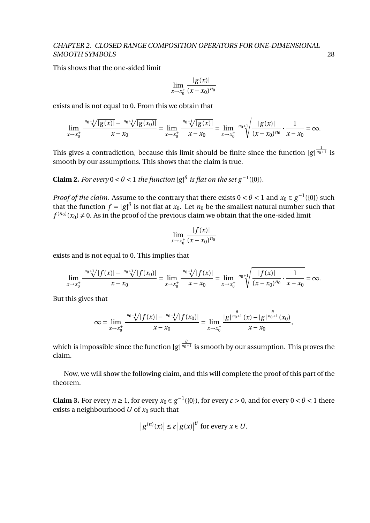This shows that the one-sided limit

$$
\lim_{x \to x_0^+} \frac{|g(x)|}{(x - x_0)^{n_0}}
$$

exists and is not equal to 0. From this we obtain that

$$
\lim_{x \to x_0^+} \frac{^{n_0+1} \sqrt{|g(x)|} - ^{n_0+1} \sqrt{|g(x_0)|}}{x - x_0} = \lim_{x \to x_0^+} \frac{^{n_0+1} \sqrt{|g(x)|}}{x - x_0} = \lim_{x \to x_0^+} \frac{^{n_0+1} \sqrt{\frac{|g(x)|}{(x - x_0)^{n_0}} \cdot \frac{1}{x - x_0}}} = \infty.
$$

This gives a contradiction, because this limit should be finite since the function  $|g|^{\frac{1}{n_0+1}}$  is smooth by our assumptions. This shows that the claim is true.

**Claim 2.** *For every*  $0 < \theta < 1$  *the function*  $|g|^{\theta}$  *is flat on the set*  $g^{-1}(\{0\})$ *.* 

*Proof of the claim.* Assume to the contrary that there exists  $0 < \theta < 1$  and  $x_0 \in g^{-1}(\{0\})$  such that the function  $f = |g|^\theta$  is not flat at  $x_0$ . Let  $n_0$  be the smallest natural number such that  $f^{(n_0)}(x_0)\neq 0.$  As in the proof of the previous claim we obtain that the one-sided limit

$$
\lim_{x \to x_0^+} \frac{|f(x)|}{(x - x_0)^{n_0}}
$$

exists and is not equal to 0. This implies that

$$
\lim_{x \to x_0^+} \frac{^{n_0+1} \sqrt{|f(x)|} - ^{n_0+1} \sqrt{|f(x_0)|}}{x - x_0} = \lim_{x \to x_0^+} \frac{^{n_0+1} \sqrt{|f(x)|}}{x - x_0} = \lim_{x \to x_0^+} \frac{^{n_0+1} \sqrt{|f(x)|}}{(x - x_0)^{n_0}} \cdot \frac{1}{x - x_0} = \infty.
$$

But this gives that

$$
\infty = \lim_{x \to x_0^+} \frac{^{n_0+1} \sqrt{|f(x)|} - ^{n_0+1} \sqrt{|f(x_0)|}}{x - x_0} = \lim_{x \to x_0^+} \frac{|g|^{\frac{\theta}{n_0+1}}(x) - |g|^{\frac{\theta}{n_0+1}}(x_0)}{x - x_0},
$$

which is impossible since the function  $|g|^{\frac{\theta}{n_0+1}}$  is smooth by our assumption. This proves the claim.

Now, we will show the following claim, and this will complete the proof of this part of the theorem.

**Claim 3.** For every  $n \ge 1$ , for every  $x_0 \in g^{-1}(\{0\})$ , for every  $\varepsilon > 0$ , and for every  $0 < \theta < 1$  there exists a neighbourhood  $U$  of  $x_0$  such that

$$
\left|g^{(n)}(x)\right| \leq \varepsilon \left|g(x)\right|^{\theta} \text{ for every } x \in U.
$$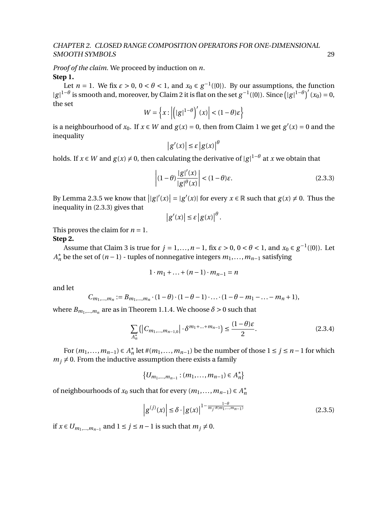*Proof of the claim.* We proceed by induction on *n*. **Step 1.**

Let  $n = 1$ . We fix  $\varepsilon > 0$ ,  $0 < \theta < 1$ , and  $x_0 \in g^{-1}(\{0\})$ . By our assumptions, the function  $|g|^{1-\theta}$  is smooth and, moreover, by Claim 2 it is flat on the set  $g^{-1}(\{0\})$ . Since  $(|g|^{1-\theta})'(x_0) = 0$ , the set

$$
W = \left\{ x : \left| \left( |g|^{1-\theta} \right)'(x) \right| < (1-\theta)\varepsilon \right\}
$$

is a neighbourhood of  $x_0$ . If  $x \in W$  and  $g(x) = 0$ , then from Claim 1 we get  $g'(x) = 0$  and the inequality *θ*

$$
\left|g'(x)\right| \leq \varepsilon \left|g(x)\right|^t
$$

holds. If  $x \in W$  and  $g(x) \neq 0$ , then calculating the derivative of  $|g|^{1-\theta}$  at  $x$  we obtain that

$$
\left| (1 - \theta) \frac{|g|'(x)}{|g|^\theta(x)} \right| < (1 - \theta)\varepsilon. \tag{2.3.3}
$$

By Lemma 2.3.5 we know that  $||g|(x)| = |g'(x)|$  for every  $x \in \mathbb{R}$  such that  $g(x) \neq 0$ . Thus the inequality in (2.3.3) gives that

$$
\left|g'(x)\right|\leq \varepsilon \left|g(x)\right|^{\theta}.
$$

This proves the claim for  $n = 1$ .

### **Step 2.**

Assume that Claim 3 is true for  $j=1,\ldots,n-1,$  fix  $\varepsilon>0,$   $0<\theta<1,$  and  $x_0\in g^{-1}(\{0\}).$  Let *A*<sup>\*</sup><sub>n</sub> be the set of (*n* − 1) - tuples of nonnegative integers  $m_1$ ,...,  $m_{n-1}$  satisfying

$$
1 \cdot m_1 + \ldots + (n-1) \cdot m_{n-1} = n
$$

and let

$$
C_{m_1,\dots,m_n} := B_{m_1,\dots,m_n} \cdot (1-\theta) \cdot (1-\theta-1) \cdot \dots \cdot (1-\theta-m_1-\dots-m_n+1),
$$

where  $B_{m_1,...,m_n}$  are as in Theorem 1.1.4. We choose  $\delta > 0$  such that

$$
\sum_{A_n^*} \left( \left| C_{m_1,\dots,m_{n-1,0}} \right| \cdot \delta^{m_1+\dots+m_{n-1}} \right) \le \frac{(1-\theta)\varepsilon}{2}.
$$
\n(2.3.4)

For  $(m_1, ..., m_{n-1})$  ∈  $A_n^*$  $n \neq n$  let  $\#(m_1, \ldots, m_{n-1})$  be the number of those  $1 \leq j \leq n-1$  for which  $m_i \neq 0$ . From the inductive assumption there exists a family

> { $U_{m_1,...,m_{n-1}}$  :  $(m_1,...,m_{n-1})$  ∈  $A_n^*$  $n \}$

of neighbourhoods of  $x_0$  such that for every  $(m_1, ..., m_{n-1}) \in A_n^*$ *n*

$$
\left| g^{(j)}(x) \right| \le \delta \cdot \left| g(x) \right|^{1 - \frac{1 - \theta}{m_j \cdot \#(m_1, \dots, m_{n-1})}} \tag{2.3.5}
$$

if *x* ∈  $U_{m_1,...,m_{n-1}}$  and  $1 \le j \le n-1$  is such that  $m_j \ne 0$ .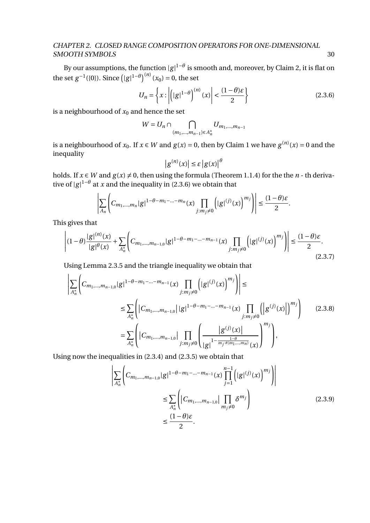By our assumptions, the function  $|g|^{1-\theta}$  is smooth and, moreover, by Claim 2, it is flat on the set  $g^{-1}(\{0\})$ . Since  $(|g|^{1-\theta})^{(n)}(x_0) = 0$ , the set

$$
U_n = \left\{ x : \left| \left( |g|^{1-\theta} \right)^{(n)}(x) \right| < \frac{(1-\theta)\varepsilon}{2} \right\}
$$
 (2.3.6)

is a neighbourhood of  $x_0$  and hence the set

$$
W=U_n\cap \bigcap_{(m_1,\ldots,m_{n-1})\in A_n^*}U_{m_1,\ldots,m_{n-1}}
$$

is a neighbourhood of  $x_0$ . If  $x \in W$  and  $g(x) = 0$ , then by Claim 1 we have  $g^{(n)}(x) = 0$  and the inequality *θ*

$$
\left|g^{(n)}(x)\right| \leq \varepsilon \left|g(x)\right|^t
$$

holds. If  $x \in W$  and  $g(x) \neq 0$ , then using the formula (Theorem 1.1.4) for the the  $n$  - th derivative of  $|g|^{1-\theta}$  at *x* and the inequality in (2.3.6) we obtain that

$$
\left|\sum_{A_n}\left(C_{m_1,\dots,m_n}|g|^{1-\theta-m_1-\dots-m_n}(x)\prod_{j:m_j\neq 0}\left(|g|^{(j)}(x)\right)^{m_j}\right)\right|\leq \frac{(1-\theta)\varepsilon}{2}.
$$

This gives that

$$
\left| (1 - \theta) \frac{|g|^{(n)}(x)}{|g|^{\theta}(x)} + \sum_{A_n^*} \left( C_{m_1, \dots, m_{n-1, 0}} |g|^{1 - \theta - m_1 - \dots - m_{n-1}}(x) \prod_{j : m_j \neq 0} \left( |g|^{(j)}(x) \right)^{m_j} \right) \right| \leq \frac{(1 - \theta)\varepsilon}{2}.
$$
\n(2.3.7)

Using Lemma 2.3.5 and the triangle inequality we obtain that

$$
\left| \sum_{A_n^*} \left( C_{m_1, \dots, m_{n-1,0}} |g|^{1-\theta-m_1-\dots-m_{n-1}}(x) \prod_{j:m_j \neq 0} \left( |g|^{(j)}(x) \right)^{m_j} \right) \right| \le
$$
\n
$$
\leq \sum_{A_n^*} \left( \left| C_{m_1, \dots, m_{n-1,0}} \right| |g|^{1-\theta-m_1-\dots-m_{n-1}}(x) \prod_{j:m_j \neq 0} \left( \left| g^{(j)}(x) \right| \right)^{m_j} \right) \tag{2.3.8}
$$
\n
$$
= \sum_{A_n^*} \left( \left| C_{m_1, \dots, m_{n-1,0}} \right| \prod_{j:m_j \neq 0} \left( \frac{|g^{(j)}(x)|}{|g|^{1-\frac{1-\theta}{m_j \neq (m_1, \dots, m_n)}}(x)} \right)^{m_j} \right),
$$

Using now the inequalities in (2.3.4) and (2.3.5) we obtain that

$$
\left| \sum_{A_n^*} \left( C_{m_1, \dots, m_{n-1,0}} |g|^{1-\theta-m_1-\dots-m_{n-1}}(x) \prod_{j=1}^{n-1} \left( |g|^{(j)}(x) \right)^{m_j} \right) \right|
$$
  
\n
$$
\leq \sum_{A_n^*} \left( |C_{m_1, \dots, m_{n-1,0}}| \prod_{m_j \neq 0} \delta^{m_j} \right)
$$
  
\n
$$
\leq \frac{(1-\theta)\varepsilon}{2}.
$$
\n(2.3.9)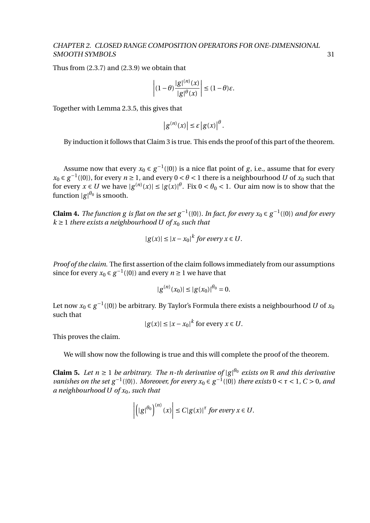Thus from (2.3.7) and (2.3.9) we obtain that

$$
\left| (1 - \theta) \frac{|g|^{(n)}(x)}{|g|^{\theta}(x)} \right| \le (1 - \theta)\varepsilon.
$$

Together with Lemma 2.3.5, this gives that

$$
\left|g^{(n)}(x)\right| \leq \varepsilon \left|g(x)\right|^{\theta}.
$$

By induction it follows that Claim 3 is true. This ends the proof of this part of the theorem.

Assume now that every  $x_0 \in g^{-1}(\{0\})$  is a nice flat point of *g*, i.e., assume that for every *x*<sub>0</sub> ∈ *g*<sup>-1</sup>({0}), for every *n* ≥ 1, and every 0 < *θ* < 1 there is a neighbourhood *U* of *x*<sub>0</sub> such that for every  $x \in U$  we have  $|g^{(n)}(x)| \le |g(x)|^{\theta}$ . Fix  $0 < \theta_0 < 1$ . Our aim now is to show that the function  $|g|^{\theta_0}$  is smooth.

**Claim 4.** *The function g is flat on the set g*<sup>-1</sup>({0}). *In fact, for every*  $x_0 \in g^{-1}(\{0\})$  *and for every*  $k \geq 1$  *there exists a neighbourhood U of*  $x_0$  *such that* 

$$
|g(x)| \le |x - x_0|^k \text{ for every } x \in U.
$$

*Proof of the claim.* The first assertion of the claim follows immediately from our assumptions since for every  $x_0 \in g^{-1}(\{0\})$  and every  $n \ge 1$  we have that

$$
|g^{(n)}(x_0)| \le |g(x_0)|^{\theta_0} = 0.
$$

Let now  $x_0 \in g^{-1}(\{0\})$  be arbitrary. By Taylor's Formula there exists a neighbourhood  $U$  of  $x_0$ such that

$$
|g(x)| \le |x - x_0|^k \text{ for every } x \in U.
$$

This proves the claim.

We will show now the following is true and this will complete the proof of the theorem.

**Claim 5.** *Let*  $n \geq 1$  *be arbitrary. The n-th derivative of*  $|g|^{0}$  *exists on* R *and this derivative vanishes on the set*  $g^{-1}(\{0\})$ *. Moreover, for every*  $x_0 \in g^{-1}(\{0\})$  *there exists*  $0 < \tau < 1$ *, C* > 0*, and a neighbourhood U of x*0*, such that*

$$
\left| \left( \left| g \right|^{ \theta_0 } \right)^{ (n) } (x) \right| \leq C |g(x)|^{\tau} \text{ for every } x \in U.
$$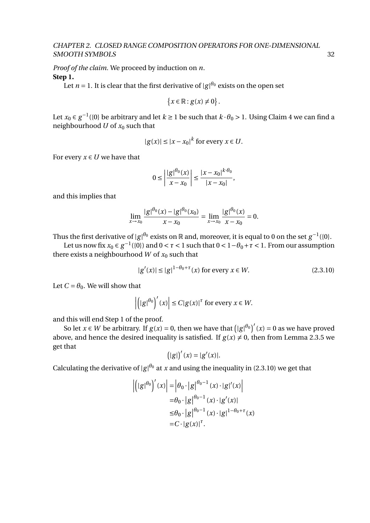*Proof of the claim.* We proceed by induction on *n*. **Step 1.**

Let  $n = 1$ . It is clear that the first derivative of  $|g|^{\theta_0}$  exists on the open set

$$
\{x\in\mathbb{R}: g(x)\neq 0\}.
$$

Let  $x_0 \in g^{-1}(\{0\})$  be arbitrary and let  $k \ge 1$  be such that  $k \cdot \theta_0 > 1$ . Using Claim 4 we can find a neighbourhood  $U$  of  $x_0$  such that

$$
|g(x)| \le |x - x_0|^k \text{ for every } x \in U.
$$

For every  $x \in U$  we have that

$$
0 \le \left| \frac{|g|^{\theta_0}(x)}{x - x_0} \right| \le \frac{|x - x_0|^{k \cdot \theta_0}}{|x - x_0|},
$$

and this implies that

$$
\lim_{x \to x_0} \frac{|g|^{\theta_0}(x) - |g|^{\theta_0}(x_0)}{x - x_0} = \lim_{x \to x_0} \frac{|g|^{\theta_0}(x)}{x - x_0} = 0.
$$

Thus the first derivative of  $|g|^{\theta_0}$  exists on  $\R$  and, moreover, it is equal to 0 on the set  $g^{-1}(\{0\})$ .

Let us now fix  $x_0 \in g^{-1}(\{0\})$  and  $0 < \tau < 1$  such that  $0 < 1-\theta_0+\tau < 1$ . From our assumption there exists a neighbourhood *W* of  $x_0$  such that

$$
|g'(x)| \le |g|^{1 - \theta_0 + \tau}(x) \text{ for every } x \in W. \tag{2.3.10}
$$

Let  $C = \theta_0$ . We will show that

$$
\left| \left( |g|^{\theta_0} \right)'(x) \right| \le C |g(x)|^{\tau} \text{ for every } x \in W.
$$

and this will end Step 1 of the proof.

So let  $x \in W$  be arbitrary. If  $g(x) = 0$ , then we have that  $(|g|^{\theta_0})'(x) = 0$  as we have proved above, and hence the desired inequality is satisfied. If  $g(x) \neq 0$ , then from Lemma 2.3.5 we get that

$$
(|g|)'(x) = |g'(x)|.
$$

Calculating the derivative of  $|g|^{\theta_0}$  at *x* and using the inequality in (2.3.10) we get that

$$
\left| \left( |g|^{\theta_0} \right)'(x) \right| = \left| \theta_0 \cdot |g|^{\theta_0 - 1}(x) \cdot |g'(x) \right|
$$
  
\n
$$
= \theta_0 \cdot |g|^{\theta_0 - 1}(x) \cdot |g'(x)|
$$
  
\n
$$
\leq \theta_0 \cdot |g|^{\theta_0 - 1}(x) \cdot |g|^{1 - \theta_0 + \tau}(x)
$$
  
\n
$$
= C \cdot |g(x)|^{\tau}.
$$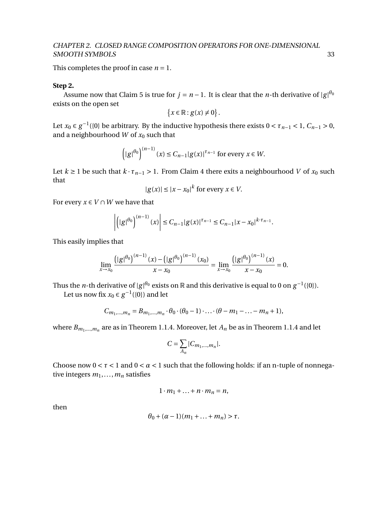This completes the proof in case  $n = 1$ .

#### **Step 2.**

Assume now that Claim 5 is true for  $j = n - 1$ . It is clear that the *n*-th derivative of  $|g|^{\theta_0}$ exists on the open set

$$
\{x\in\mathbb{R}: g(x)\neq 0\}.
$$

Let  $x_0 \in g^{-1}(\{0\})$  be arbitrary. By the inductive hypothesis there exists  $0 < \tau_{n-1} < 1$ ,  $C_{n-1} > 0$ , and a neighbourhood  $W$  of  $x_0$  such that

$$
\left(|g|^{\theta_0}\right)^{(n-1)}(x) \le C_{n-1}|g(x)|^{\tau_{n-1}} \text{ for every } x \in W.
$$

Let  $k \ge 1$  be such that  $k \cdot \tau_{n-1} > 1$ . From Claim 4 there exits a neighbourhood *V* of  $x_0$  such that

$$
|g(x)| \le |x - x_0|^k \text{ for every } x \in V.
$$

For every  $x \in V \cap W$  we have that

$$
\left| \left( |g|^{ \theta_0 } \right)^{ (n-1) } (x) \right| \leq C_{n-1} |g(x)|^{ \tau_{n-1} } \leq C_{n-1} |x-x_0|^{ k \cdot \tau_{n-1} } .
$$

This easily implies that

$$
\lim_{x \to x_0} \frac{\left(|g^{\theta_0}\right)^{(n-1)}(x) - \left(|g^{\theta_0}\right)^{(n-1)}(x_0)}{x - x_0} = \lim_{x \to x_0} \frac{\left(|g^{\theta_0}\right)^{(n-1)}(x)}{x - x_0} = 0.
$$

Thus the *n*-th derivative of  $|g|^{\theta_0}$  exists on  $\R$  and this derivative is equal to 0 on  $g^{-1}(\{0\}).$ 

Let us now fix  $x_0 \in g^{-1}(\{0\})$  and let

$$
C_{m_1,...,m_n} = B_{m_1,...,m_n} \cdot \theta_0 \cdot (\theta_0 - 1) \cdot ... \cdot (\theta - m_1 - ... - m_n + 1),
$$

where  $B_{m_1,...,m_n}$  are as in Theorem 1.1.4. Moreover, let  $A_n$  be as in Theorem 1.1.4 and let

$$
C = \sum_{A_n} |C_{m_1,\dots,m_n}|.
$$

Choose now  $0 < \tau < 1$  and  $0 < \alpha < 1$  such that the following holds: if an n-tuple of nonnegative integers  $m_1, \ldots, m_n$  satisfies

$$
1 \cdot m_1 + \ldots + n \cdot m_n = n,
$$

then

$$
\theta_0+(\alpha-1)(m_1+\ldots+m_n)>\tau.
$$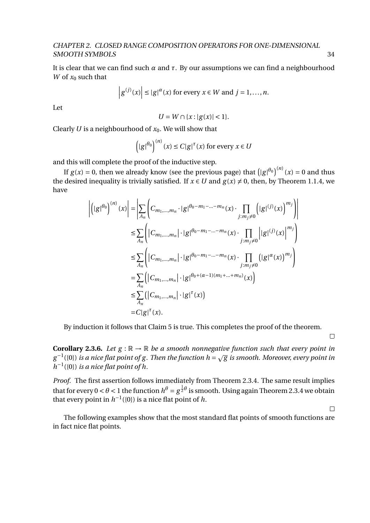It is clear that we can find such  $\alpha$  and  $\tau$ . By our assumptions we can find a neighbourhood *W* of  $x_0$  such that

$$
\left| g^{(j)}(x) \right| \leq \left| g \right|^{\alpha}(x) \text{ for every } x \in W \text{ and } j = 1, \dots, n.
$$

Let

$$
U = W \cap \{x : |g(x)| < 1\}.
$$

Clearly *U* is a neighbourhood of *x*0. We will show that

$$
\left(|g|^{\theta_0}\right)^{(n)}(x) \le C|g|^{\tau}(x) \text{ for every } x \in U
$$

and this will complete the proof of the inductive step.

If  $g(x) = 0$ , then we already know (see the previous page) that  $\left(|g|^{\theta_0}\right)^{(n)}(x) = 0$  and thus the desired inequality is trivially satisfied. If  $x \in U$  and  $g(x) \neq 0$ , then, by Theorem 1.1.4, we have

$$
\left| \left( |g|^{\theta_0} \right)^{(n)}(x) \right| = \left| \sum_{A_n} \left( C_{m_1, \dots, m_n} \cdot |g|^{\theta_0 - m_1 - \dots - m_n}(x) \cdot \prod_{j : m_j \neq 0} \left( |g|^{(j)}(x) \right)^{m_j} \right) \right|
$$
  
\n
$$
\leq \sum_{A_n} \left( |C_{m_1, \dots, m_n}| \cdot |g|^{\theta_0 - m_1 - \dots - m_n}(x) \cdot \prod_{j : m_j \neq 0} \left| |g|^{(j)}(x) \right|^{m_j} \right)
$$
  
\n
$$
\leq \sum_{A_n} \left( |C_{m_1, \dots, m_n}| \cdot |g|^{\theta_0 - m_1 - \dots - m_n}(x) \cdot \prod_{j : m_j \neq 0} \left( |g|^\alpha(x) \right)^{m_j} \right)
$$
  
\n
$$
= \sum_{A_n} \left( |C_{m_1, \dots, m_n}| \cdot |g|^{\theta_0 + (\alpha - 1)(m_1 + \dots + m_n)}(x) \right)
$$
  
\n
$$
\leq \sum_{A_n} \left( |C_{m_1, \dots, m_n}| \cdot |g|^{\tau}(x) \right)
$$
  
\n
$$
= C|g|^{\tau}(x).
$$

By induction it follows that Claim 5 is true. This completes the proof of the theorem.

 $\hfill \square$ 

 $\Box$ 

**Corollary 2.3.6.** Let  $g : \mathbb{R} \to \mathbb{R}$  be a smooth nonnegative function such that every point in  $g^{-1}(\{0\})$  is a nice flat point of g. Then the function  $h = \sqrt{g}$  is smooth. Moreover, every point in *h*<sup>−1</sup>({0}) *is a nice flat point of h*.

*Proof.* The first assertion follows immediately from Theorem 2.3.4. The same result implies that for every  $0 < \theta < 1$  the function  $h^\theta = g^{\frac{1}{2}\theta}$  is smooth. Using again Theorem 2.3.4 we obtain that every point in  $h^{-1}(\{0\})$  is a nice flat point of h.

The following examples show that the most standard flat points of smooth functions are in fact nice flat points.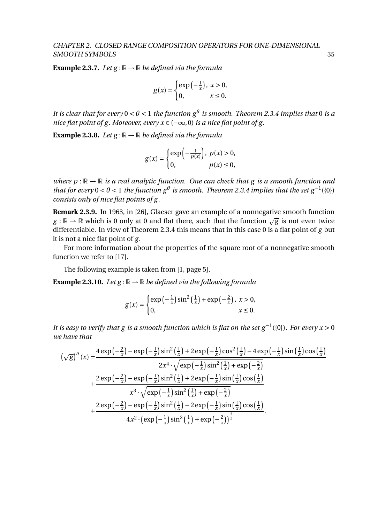**Example 2.3.7.** *Let*  $g : \mathbb{R} \to \mathbb{R}$  *be defined via the formula* 

$$
g(x) = \begin{cases} \exp\left(-\frac{1}{x}\right), & x > 0, \\ 0, & x \le 0. \end{cases}
$$

*It is clear that for every*  $0 < \theta < 1$  *the function*  $g^{\theta}$  *is smooth. Theorem 2.3.4 implies that* 0 *is a nice flat point of g. Moreover, every*  $x \in (-\infty, 0)$  *is a nice flat point of g.* 

**Example 2.3.8.** *Let*  $g : \mathbb{R} \to \mathbb{R}$  *be defined via the formula* 

$$
g(x) = \begin{cases} \exp\left(-\frac{1}{p(x)}\right), & p(x) > 0, \\ 0, & p(x) \le 0, \end{cases}
$$

*where*  $p : \mathbb{R} \to \mathbb{R}$  *is a real analytic function. One can check that* g *is a smooth function and that for every*  $0 < \theta < 1$  *the function*  $g^{\theta}$  *is smooth. Theorem 2.3.4 implies that the set*  $g^{-1}(\{0\})$ *consists only of nice flat points of g.*

**Remark 2.3.9.** In 1963, in [26], Glaeser gave an example of a nonnegative smooth function **Remark 2.3.3.** In 1903, in [20], Glaeser gave an example or a nonnegauve smooth function  $g : \mathbb{R} \to \mathbb{R}$  which is 0 only at 0 and flat there, such that the function  $\sqrt{g}$  is not even twice differentiable. In view of Theorem 2.3.4 this means that in this case 0 is a flat point of *g* but it is not a nice flat point of *g* .

For more information about the properties of the square root of a nonnegative smooth function we refer to [17].

The following example is taken from [1, page 5].

**Example 2.3.10.** Let  $g : \mathbb{R} \to \mathbb{R}$  be defined via the following formula

$$
g(x) = \begin{cases} \exp\left(-\frac{1}{x}\right)\sin^2\left(\frac{1}{x}\right) + \exp\left(-\frac{2}{x}\right), & x > 0, \\ 0, & x \le 0. \end{cases}
$$

*It is easy to verify that g is a smooth function which is flat on the set g*<sup>-1</sup>({0}). For every  $x > 0$ *we have that*

$$
\left(\sqrt{g}\right)^{''}(x) = \frac{4\exp\left(-\frac{2}{x}\right) - \exp\left(-\frac{1}{x}\right)\sin^{2}\left(\frac{1}{x}\right) + 2\exp\left(-\frac{1}{x}\right)\cos^{2}\left(\frac{1}{x}\right) - 4\exp\left(-\frac{1}{x}\right)\sin\left(\frac{1}{x}\right)\cos\left(\frac{1}{x}\right)}{2x^{4}\cdot\sqrt{\exp\left(-\frac{1}{x}\right)\sin^{2}\left(\frac{1}{x}\right) + \exp\left(-\frac{2}{x}\right)}} + \frac{2\exp\left(-\frac{2}{x}\right) - \exp\left(-\frac{1}{x}\right)\sin^{2}\left(\frac{1}{x}\right) + 2\exp\left(-\frac{1}{x}\right)\sin\left(\frac{1}{x}\right)\cos\left(\frac{1}{x}\right)}{x^{3}\cdot\sqrt{\exp\left(-\frac{1}{x}\right)\sin^{2}\left(\frac{1}{x}\right) + \exp\left(-\frac{2}{x}\right)}} + \frac{2\exp\left(-\frac{2}{x}\right) - \exp\left(-\frac{1}{x}\right)\sin^{2}\left(\frac{1}{x}\right) - 2\exp\left(-\frac{1}{x}\right)\sin\left(\frac{1}{x}\right)\cos\left(\frac{1}{x}\right)}{4x^{2}\cdot\left(\exp\left(-\frac{1}{x}\right)\sin^{2}\left(\frac{1}{x}\right) + \exp\left(-\frac{2}{x}\right)\right)^{\frac{3}{2}}}.
$$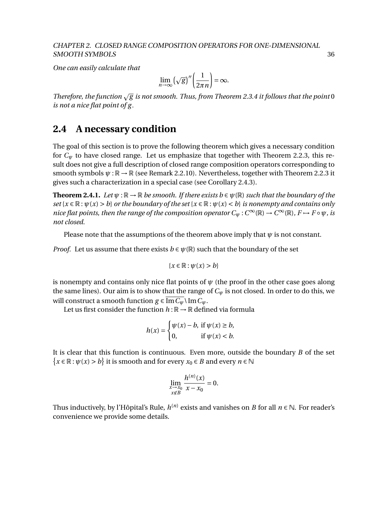*One can easily calculate that*

$$
\lim_{n \to \infty} (\sqrt{g})'' \left( \frac{1}{2\pi n} \right) = \infty.
$$

*Therefore, the function* <sup>p</sup> *g is not smooth. Thus, from Theorem 2.3.4 it follows that the point* 0 *is not a nice flat point of g.*

### **2.4 A necessary condition**

The goal of this section is to prove the following theorem which gives a necessary condition for  $C_\psi$  to have closed range. Let us emphasize that together with Theorem 2.2.3, this result does not give a full description of closed range composition operators corresponding to smooth symbols  $\psi : \mathbb{R} \to \mathbb{R}$  (see Remark 2.2.10). Nevertheless, together with Theorem 2.2.3 it gives such a characterization in a special case (see Corollary 2.4.3).

**Theorem 2.4.1.** *Let*  $\psi: \mathbb{R} \to \mathbb{R}$  *be smooth. If there exists b*  $\in \psi(\mathbb{R})$  *such that the boundary of the*  $set\{x \in \mathbb{R} : \psi(x) > b\}$  *or the boundary of the set*  $\{x \in \mathbb{R} : \psi(x) < b\}$  *is nonempty and contains only nice flat points, then the range of the composition operator*  $C_\psi$  :  $C^\infty(\mathbb{R}) \to C^\infty(\mathbb{R})$ ,  $F \mapsto F \circ \psi$ , is *not closed.*

Please note that the assumptions of the theorem above imply that  $\psi$  is not constant.

*Proof.* Let us assume that there exists  $b \in \psi(\mathbb{R})$  such that the boundary of the set

$$
\{x\in\mathbb{R}:\psi(x)>b\}
$$

is nonempty and contains only nice flat points of  $\psi$  (the proof in the other case goes along the same lines). Our aim is to show that the range of  $C_{\psi}$  is not closed. In order to do this, we will construct a smooth function  $g \in \overline{\text{Im } C_w} \setminus \text{Im } C_w$ .

Let us first consider the function  $h : \mathbb{R} \to \mathbb{R}$  defined via formula

$$
h(x) = \begin{cases} \psi(x) - b, & \text{if } \psi(x) \ge b, \\ 0, & \text{if } \psi(x) < b. \end{cases}
$$

It is clear that this function is continuous. Even more, outside the boundary *B* of the set  $\{x \in \mathbb{R} : \psi(x) > b\}$  it is smooth and for every  $x_0 \in B$  and every  $n \in \mathbb{N}$ 

$$
\lim_{\substack{x \to x_0 \\ x \notin B}} \frac{h^{(n)}(x)}{x - x_0} = 0.
$$

Thus inductively, by l'Hôpital's Rule,  $h^{(n)}$  exists and vanishes on  $B$  for all  $n\in\mathbb{N}$ . For reader's convenience we provide some details.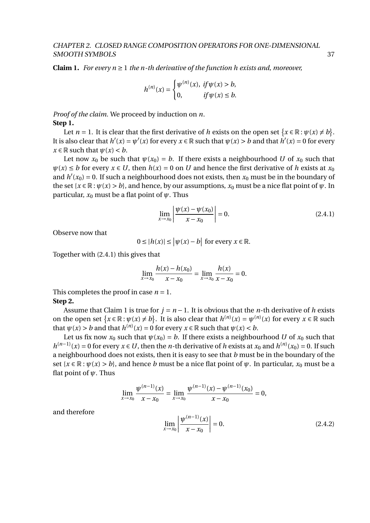**Claim 1.** *For every*  $n \geq 1$  *the n-th derivative of the function h exists and, moreover,* 

$$
h^{(n)}(x) = \begin{cases} \psi^{(n)}(x), & \text{if } \psi(x) > b, \\ 0, & \text{if } \psi(x) \le b. \end{cases}
$$

*Proof of the claim.* We proceed by induction on *n*. **Step 1.**

Let *n* = 1. It is clear that the first derivative of *h* exists on the open set  $\{x \in \mathbb{R} : \psi(x) \neq b\}$ . It is also clear that  $h'(x) = \psi'(x)$  for every  $x \in \mathbb{R}$  such that  $\psi(x) > b$  and that  $h'(x) = 0$  for every  $x \in \mathbb{R}$  such that  $\psi(x) < b$ .

Let now  $x_0$  be such that  $\psi(x_0) = b$ . If there exists a neighbourhood *U* of  $x_0$  such that  $\psi(x) \leq b$  for every  $x \in U$ , then  $h(x) = 0$  on *U* and hence the first derivative of *h* exists at  $x_0$ and  $h'(x_0) = 0$ . If such a neighbourhood does not exists, then  $x_0$  must be in the boundary of the set  $\{x \in \mathbb{R} : \psi(x) > b\}$ , and hence, by our assumptions,  $x_0$  must be a nice flat point of  $\psi$ . In particular,  $x_0$  must be a flat point of  $\psi$ . Thus

$$
\lim_{x \to x_0} \left| \frac{\psi(x) - \psi(x_0)}{x - x_0} \right| = 0.
$$
\n(2.4.1)

Observe now that

and therefore

$$
0 \le |h(x)| \le |\psi(x) - b| \text{ for every } x \in \mathbb{R}.
$$

Together with (2.4.1) this gives that

$$
\lim_{x \to x_0} \frac{h(x) - h(x_0)}{x - x_0} = \lim_{x \to x_0} \frac{h(x)}{x - x_0} = 0.
$$

This completes the proof in case  $n = 1$ . **Step 2.**

Assume that Claim 1 is true for  $j = n - 1$ . It is obvious that the *n*-th derivative of *h* exists on the open set  $\{x \in \mathbb{R} : \psi(x) \neq b\}$ . It is also clear that  $h^{(n)}(x) = \psi^{(n)}(x)$  for every  $x \in \mathbb{R}$  such that  $\psi(x) > b$  and that  $h^{(n)}(x) = 0$  for every  $x \in \mathbb{R}$  such that  $\psi(x) < b$ .

Let us fix now  $x_0$  such that  $\psi(x_0) = b$ . If there exists a neighbourhood *U* of  $x_0$  such that *h*<sup>(*n*−1)</sup>(*x*) = 0 for every *x* ∈ *U*, then the *n*-th derivative of *h* exists at *x*<sub>0</sub> and *h*<sup>(*n*)</sup>(*x*<sub>0</sub>) = 0. If such a neighbourhood does not exists, then it is easy to see that *b* must be in the boundary of the set  $\{x \in \mathbb{R} : \psi(x) > b\}$ , and hence *b* must be a nice flat point of  $\psi$ . In particular,  $x_0$  must be a flat point of *ψ*. Thus

$$
\lim_{x \to x_0} \frac{\psi^{(n-1)}(x)}{x - x_0} = \lim_{x \to x_0} \frac{\psi^{(n-1)}(x) - \psi^{(n-1)}(x_0)}{x - x_0} = 0,
$$
\n
$$
\lim_{x \to x_0} \left| \frac{\psi^{(n-1)}(x)}{x - x_0} \right| = 0.
$$
\n(2.4.2)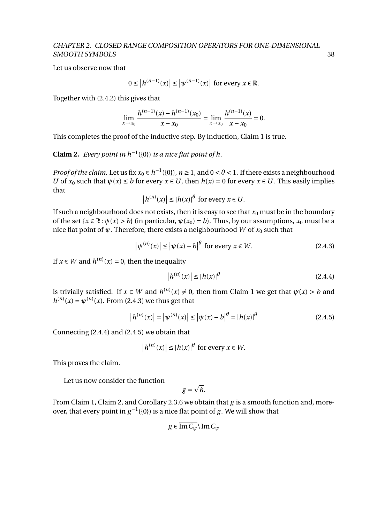Let us observe now that

$$
0 \le |h^{(n-1)}(x)| \le |\psi^{(n-1)}(x)| \text{ for every } x \in \mathbb{R}.
$$

Together with (2.4.2) this gives that

$$
\lim_{x \to x_0} \frac{h^{(n-1)}(x) - h^{(n-1)}(x_0)}{x - x_0} = \lim_{x \to x_0} \frac{h^{(n-1)}(x)}{x - x_0} = 0.
$$

This completes the proof of the inductive step. By induction, Claim 1 is true.

**Claim 2.** *Every point in*  $h^{-1}(\{0\})$  *is a nice flat point of*  $h$ *.* 

*Proof of the claim.* Let us fix  $x_0 \in h^{-1}(\{0\})$ ,  $n \ge 1$ , and  $0 < \theta < 1$ . If there exists a neighbourhood *U* of  $x_0$  such that  $\psi(x) \leq b$  for every  $x \in U$ , then  $h(x) = 0$  for every  $x \in U$ . This easily implies that

$$
\left| h^{(n)}(x) \right| \le |h(x)|^{\theta} \text{ for every } x \in U.
$$

If such a neighbourhood does not exists, then it is easy to see that  $x_0$  must be in the boundary of the set  $\{x \in \mathbb{R} : \psi(x) > b\}$  (in particular,  $\psi(x_0) = b$ ). Thus, by our assumptions,  $x_0$  must be a nice flat point of  $\psi$ . Therefore, there exists a neighbourhood *W* of  $x_0$  such that

$$
\left|\psi^{(n)}(x)\right| \le \left|\psi(x) - b\right|^{\theta} \text{ for every } x \in W. \tag{2.4.3}
$$

If  $x \in W$  and  $h^{(n)}(x) = 0$ , then the inequality

$$
\left| h^{(n)}(x) \right| \le \left| h(x) \right|^{\theta} \tag{2.4.4}
$$

is trivially satisfied. If  $x \in W$  and  $h^{(n)}(x) \neq 0$ , then from Claim 1 we get that  $\psi(x) > b$  and  $h^{(n)}(x) = \psi^{(n)}(x)$ . From (2.4.3) we thus get that

$$
|h^{(n)}(x)| = |\psi^{(n)}(x)| \le |\psi(x) - b|^{\theta} = |h(x)|^{\theta}
$$
\n(2.4.5)

Connecting (2.4.4) and (2.4.5) we obtain that

$$
\left| h^{(n)}(x) \right| \le |h(x)|^{\theta} \text{ for every } x \in W.
$$

This proves the claim.

Let us now consider the function

$$
g=\sqrt{h}.
$$

From Claim 1, Claim 2, and Corollary 2.3.6 we obtain that *g* is a smooth function and, moreover, that every point in  $g^{-1}(\{0\})$  is a nice flat point of *g*. We will show that

$$
g \in \overline{\operatorname{Im} C_{\psi}} \setminus \operatorname{Im} C_{\psi}
$$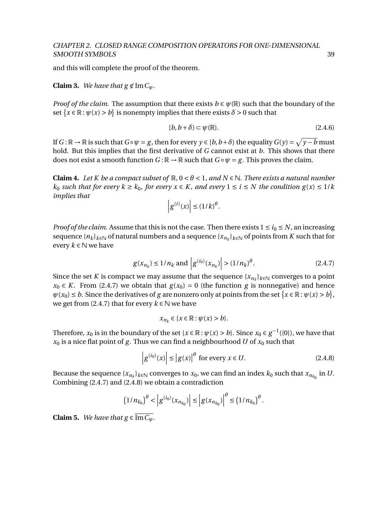and this will complete the proof of the theorem.

**Claim 3.** *We have that*  $g \notin \text{Im } C_\psi$ *.* 

*Proof of the claim.* The assumption that there exists  $b \in \psi(\mathbb{R})$  such that the boundary of the set  $\{x \in \mathbb{R} : \psi(x) > b\}$  is nonempty implies that there exists  $\delta > 0$  such that

$$
[b, b + \delta) \subset \psi(\mathbb{R}).\tag{2.4.6}
$$

If  $G : \mathbb{R} \to \mathbb{R}$  is such that  $G \circ \psi = g$ , then for every  $y \in [b, b+\delta)$  the equality  $G(y) = \sqrt{y-b}$  must hold. But this implies that the first derivative of *G* cannot exist at *b*. This shows that there does not exist a smooth function  $G : \mathbb{R} \to \mathbb{R}$  such that  $G \circ \psi = g$ . This proves the claim.

**Claim 4.** Let K be a compact subset of  $\mathbb{R}$ ,  $0 < \theta < 1$ , and  $N \in \mathbb{N}$ . There exists a natural number *k*<sub>0</sub> *such that for every*  $k \geq k_0$ *, for every*  $x \in K$ *, and every*  $1 \leq i \leq N$  *the condition*  $g(x) \leq 1/k$ *implies that*

$$
\left|g^{(i)}(x)\right| \leq \left(1/k\right)^{\theta}.
$$

*Proof of the claim.* Assume that this is not the case. Then there exists  $1 \le i_0 \le N$ , an increasing  $\sup_{k\in\mathbb{N}}\sup_{k\in\mathbb{N}}\left(\sup_{k\in\mathbb{N}}\left|f\right|^{2} > \infty\right)$  and a sequence  $\{x_{n_k}\}_{k\in\mathbb{N}}$  of points from  $K$  such that for every  $k \in \mathbb{N}$  we have

$$
g(x_{n_k}) \le 1/n_k
$$
 and  $|g^{(i_0)}(x_{n_k})| > (1/n_k)^{\theta}$ . (2.4.7)

Since the set *K* is compact we may assume that the sequence  $\{x_{n_k}\}_{k\in\mathbb{N}}$  converges to a point *x*<sup>0</sup> ∈ *K*. From (2.4.7) we obtain that  $g(x_0) = 0$  (the function *g* is nonnegative) and hence  $\psi(x_0) \leq b$ . Since the derivatives of *g* are nonzero only at points from the set  $\{x \in \mathbb{R} : \psi(x) > b\}$ , we get from (2.4.7) that for every  $k \in \mathbb{N}$  we have

$$
x_{n_k} \in \{x \in \mathbb{R} : \psi(x) > b\}.
$$

Therefore,  $x_0$  is in the boundary of the set { $x \in \mathbb{R} : \psi(x) > b$ }. Since  $x_0 \in g^{-1}(\{0\})$ , we have that  $x_0$  is a nice flat point of *g*. Thus we can find a neighbourhood *U* of  $x_0$  such that

$$
\left| g^{(i_0)}(x) \right| \le \left| g(x) \right|^\theta \text{ for every } x \in U. \tag{2.4.8}
$$

Because the sequence  $\{x_{n_k}\}_{k\in\mathbb{N}}$  converges to  $x_0$ , we can find an index  $k_0$  such that  $x_{n_{k_0}}$  in  $U$ . Combining (2.4.7) and (2.4.8) we obtain a contradiction

$$
(1/n_{k_0})^{\theta} < \left| g^{(i_0)}(x_{n_{k_0}}) \right| \le \left| g(x_{n_{k_0}}) \right|^{\theta} \le (1/n_{k_0})^{\theta}.
$$

**Claim 5.** *We have that*  $g \in \overline{\text{Im } C_w}$ *.*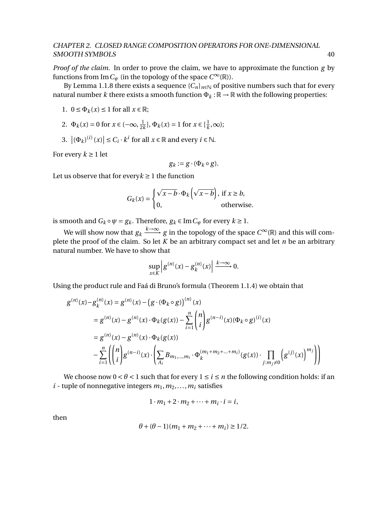*Proof of the claim.* In order to prove the claim, we have to approximate the function *g* by functions from Im  $C_\psi$  (in the topology of the space  $C^\infty(\mathbb{R})$ ).

By Lemma 1.1.8 there exists a sequence  ${C_n}_{n \in \mathbb{N}}$  of positive numbers such that for every natural number *k* there exists a smooth function  $\Phi_k : \mathbb{R} \to \mathbb{R}$  with the following properties:

- 1.  $0 \leq \Phi_k(x) \leq 1$  for all  $x \in \mathbb{R}$ ;
- 2.  $\Phi_k(x) = 0$  for  $x \in (-\infty, \frac{1}{2})$  $\frac{1}{2k}$ ,  $\Phi_k(x) = 1$  for  $x \in \left[\frac{1}{k}\right]$  $\frac{1}{k}, \infty$ );
- 3.  $|(\Phi_k)^{(i)}(x)| \leq C_i \cdot k^i$  for all  $x \in \mathbb{R}$  and every  $i \in \mathbb{N}$ .

For every  $k \geq 1$  let

$$
g_k := g \cdot (\Phi_k \circ g).
$$

Let us observe that for every  $k \geq 1$  the function

$$
G_k(x) = \begin{cases} \sqrt{x-b} \cdot \Phi_k\left(\sqrt{x-b}\right), & \text{if } x \ge b, \\ 0, & \text{otherwise.} \end{cases}
$$

is smooth and  $G_k \circ \psi = g_k$ . Therefore,  $g_k \in \text{Im } C_\psi$  for every  $k \geq 1$ .

We will show now that  $g_k \xrightarrow{k \to \infty} g$  in the topology of the space  $C^\infty(\mathbb{R})$  and this will complete the proof of the claim. So let *K* be an arbitrary compact set and let *n* be an arbitrary natural number. We have to show that

$$
\sup_{x\in K}\left|g^{(n)}(x)-g_k^{(n)}(x)\right|\xrightarrow{k\to\infty}0.
$$

Using the product rule and Faá di Bruno's formula (Theorem 1.1.4) we obtain that

$$
g^{(n)}(x) - g_k^{(n)}(x) = g^{(n)}(x) - (g \cdot (\Phi_k \circ g))^{(n)}(x)
$$
  
\n
$$
= g^{(n)}(x) - g^{(n)}(x) \cdot \Phi_k(g(x)) - \sum_{i=1}^n {n \choose i} g^{(n-i)}(x) (\Phi_k \circ g)^{(i)}(x)
$$
  
\n
$$
= g^{(n)}(x) - g^{(n)}(x) \cdot \Phi_k(g(x))
$$
  
\n
$$
- \sum_{i=1}^n \left( {n \choose i} g^{(n-i)}(x) \cdot \left( \sum_{A_i} B_{m_1, \dots, m_i} \cdot \Phi_k^{(m_1 + m_2 + \dots + m_i)}(g(x)) \cdot \prod_{j : m_j \neq 0} \left( g^{(j)}(x) \right)^{m_j} \right) \right)
$$

We choose now  $0 < \theta < 1$  such that for every  $1 \le i \le n$  the following condition holds: if an  $i$  - tuple of nonnegative integers  $m_1, m_2, \ldots, m_i$  satisfies

$$
1 \cdot m_1 + 2 \cdot m_2 + \cdots + m_i \cdot i = i,
$$

then

$$
\theta + (\theta - 1)(m_1 + m_2 + \dots + m_i) \ge 1/2.
$$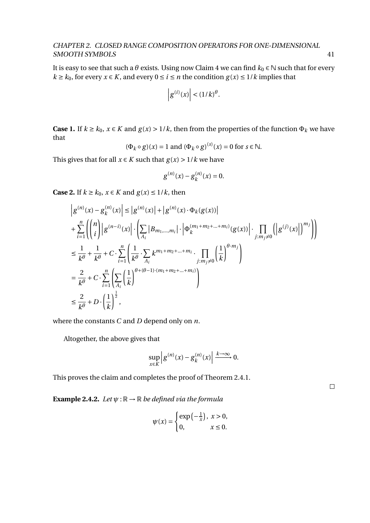It is easy to see that such a  $\theta$  exists. Using now Claim 4 we can find  $k_0 \in \mathbb{N}$  such that for every *k* ≥ *k*<sub>0</sub>, for every *x* ∈ *K*, and every  $0 \le i \le n$  the condition  $g(x) \le 1/k$  implies that

$$
\left|g^{(i)}(x)\right| < (1/k)^{\theta}.
$$

**Case 1.** If *k* ≥ *k*<sub>0</sub>, *x* ∈ *K* and *g*(*x*) > 1/*k*, then from the properties of the function  $Φ$ <sub>*k*</sub> we have that (*s*)

$$
(\Phi_k \circ g)(x) = 1 \text{ and } (\Phi_k \circ g)^{(s)}(x) = 0 \text{ for } s \in \mathbb{N}.
$$

This gives that for all  $x \in K$  such that  $g(x) > 1/k$  we have

$$
g^{(n)}(x) - g_k^{(n)}(x) = 0.
$$

**Case 2.** If  $k \geq k_0$ ,  $x \in K$  and  $g(x) \leq 1/k$ , then

$$
\begin{split}\n& \left| g^{(n)}(x) - g_k^{(n)}(x) \right| \leq \left| g^{(n)}(x) \right| + \left| g^{(n)}(x) \cdot \Phi_k(g(x)) \right| \\
& + \sum_{i=1}^n \left( \binom{n}{i} \left| g^{(n-i)}(x) \right| \cdot \left( \sum_{A_i} \left| B_{m_1, \dots, m_i} \right| \cdot \left| \Phi_k^{(m_1 + m_2 + \dots + m_i)}(g(x)) \right| \cdot \prod_{j : m_j \neq 0} \left( \left| g^{(j)}(x) \right| \right)^{m_j} \right) \right) \\
& \leq \frac{1}{k^{\theta}} + \frac{1}{k^{\theta}} + C \cdot \sum_{i=1}^n \left( \frac{1}{k^{\theta}} \cdot \sum_{A_i} k^{m_1 + m_2 + \dots + m_i} \cdot \prod_{j : m_j \neq 0} \left( \frac{1}{k} \right)^{\theta \cdot m_j} \right) \\
& = \frac{2}{k^{\theta}} + C \cdot \sum_{i=1}^n \left( \sum_{A_i} \left( \frac{1}{k} \right)^{\theta + (\theta - 1) \cdot (m_1 + m_2 + \dots + m_i)} \right) \\
& \leq \frac{2}{k^{\theta}} + D \cdot \left( \frac{1}{k} \right)^{\frac{1}{2}},\n\end{split}
$$

where the constants *C* and *D* depend only on *n*.

Altogether, the above gives that

$$
\sup_{x\in K}\left|g^{(n)}(x)-g_k^{(n)}(x)\right|\xrightarrow{k\to\infty} 0.
$$

This proves the claim and completes the proof of Theorem 2.4.1.

 $\Box$ 

**Example 2.4.2.** *Let*  $\psi$  :  $\mathbb{R} \to \mathbb{R}$  *be defined via the formula* 

$$
\psi(x) = \begin{cases} \exp\left(-\frac{1}{x}\right), & x > 0, \\ 0, & x \le 0. \end{cases}
$$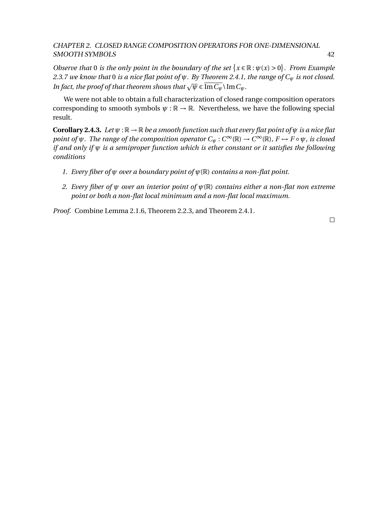*Observe that* 0 *is the only point in the boundary of the set*  $\{x \in \mathbb{R} : \psi(x) > 0\}$ *. From Example 2.3.7 we know that* 0 *is a nice flat point of ψ. By Theorem 2.4.1, the range of C<sup>ψ</sup> is not closed. In fact, the proof of that theorem shows that*  $\sqrt{\psi} \in \overline{\text{Im} C_{\psi}} \setminus \text{Im} C_{\psi}$ .

We were not able to obtain a full characterization of closed range composition operators corresponding to smooth symbols  $\psi : \mathbb{R} \to \mathbb{R}$ . Nevertheless, we have the following special result.

**Corollary 2.4.3.** *Let*  $\psi$  :  $\mathbb{R} \to \mathbb{R}$  *be a smooth function such that every flat point of*  $\psi$  *is a nice flat point of*  $\psi$ *. The range of the composition operator*  $C_{\psi}: C^{\infty}(\mathbb{R}) \to C^{\infty}(\mathbb{R})$ *, F*  $\mapsto$  *F* ∘  $\psi$ *, is closed if and only if ψ is a semiproper function which is ether constant or it satisfies the following conditions*

- *1. Every fiber of ψ over a boundary point of ψ*(R) *contains a non-flat point.*
- *2. Every fiber of ψ over an interior point of ψ*(R) *contains either a non-flat non extreme point or both a non-flat local minimum and a non-flat local maximum.*

*Proof.* Combine Lemma 2.1.6, Theorem 2.2.3, and Theorem 2.4.1.

 $\Box$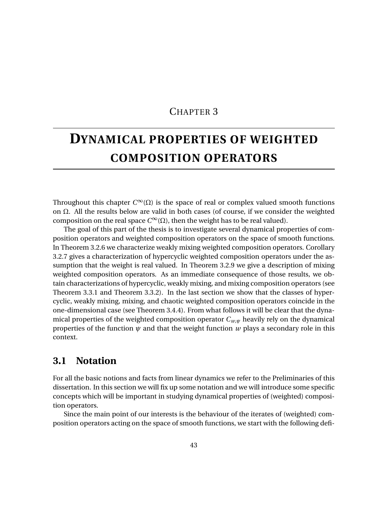### CHAPTER 3

# **DYNAMICAL PROPERTIES OF WEIGHTED COMPOSITION OPERATORS**

Throughout this chapter  $C^{\infty}(\Omega)$  is the space of real or complex valued smooth functions on Ω. All the results below are valid in both cases (of course, if we consider the weighted composition on the real space  $C^{\infty}(\Omega)$ , then the weight has to be real valued).

The goal of this part of the thesis is to investigate several dynamical properties of composition operators and weighted composition operators on the space of smooth functions. In Theorem 3.2.6 we characterize weakly mixing weighted composition operators. Corollary 3.2.7 gives a characterization of hypercyclic weighted composition operators under the assumption that the weight is real valued. In Theorem 3.2.9 we give a description of mixing weighted composition operators. As an immediate consequence of those results, we obtain characterizations of hypercyclic, weakly mixing, and mixing composition operators (see Theorem 3.3.1 and Theorem 3.3.2). In the last section we show that the classes of hypercyclic, weakly mixing, mixing, and chaotic weighted composition operators coincide in the one-dimensional case (see Theorem 3.4.4). From what follows it will be clear that the dynamical properties of the weighted composition operator *Cw*,*<sup>ψ</sup>* heavily rely on the dynamical properties of the function *ψ* and that the weight function *w* plays a secondary role in this context.

### **3.1 Notation**

For all the basic notions and facts from linear dynamics we refer to the Preliminaries of this dissertation. In this section we will fix up some notation and we will introduce some specific concepts which will be important in studying dynamical properties of (weighted) composition operators.

Since the main point of our interests is the behaviour of the iterates of (weighted) composition operators acting on the space of smooth functions, we start with the following defi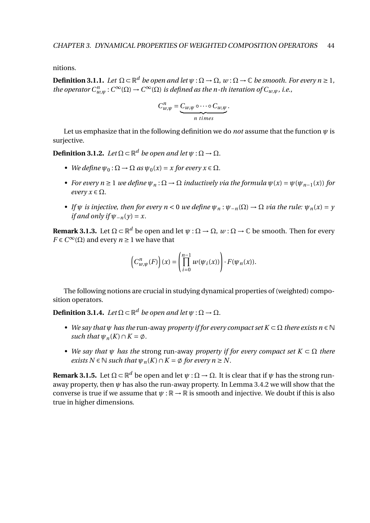nitions.

 $\bf{Definition 3.1.1.}$  *Let*  $\Omega \subset \mathbb{R}^d$  *be open and let*  $\psi : \Omega \to \Omega$ ,  $w : \Omega \to \mathbb{C}$  *be smooth. For every n*  $\geq 1$ , *the operator*  $C^n_{w,\psi}: C^\infty(\Omega) \to C^\infty(\Omega)$  *is defined as the n-th iteration of*  $C_{w,\psi}$ *, i.e.,* 

$$
C_{w,\psi}^n = \underbrace{C_{w,\psi} \circ \cdots \circ C_{w,\psi}}_{n \text{ times}}.
$$

Let us emphasize that in the following definition we do *not* assume that the function  $\psi$  is surjective.

**Definition 3.1.2.** Let  $\Omega \subset \mathbb{R}^d$  be open and let  $\psi : \Omega \to \Omega$ .

- *We define*  $\psi_0 : \Omega \to \Omega$  *as*  $\psi_0(x) = x$  *for every*  $x \in \Omega$ *.*
- *For every n*  $\geq$  1 *we define*  $\psi_n$ :  $\Omega \to \Omega$  *inductively via the formula*  $\psi(x) = \psi(\psi_{n-1}(x))$  *for every*  $x \in \Omega$ *.*
- *If*  $\psi$  *is injective, then for every n* < 0 *we define*  $\psi_n : \psi_{-n}(\Omega) \to \Omega$  *via the rule:*  $\psi_n(x) = \gamma$ *if and only if*  $\Psi_{-n}(v) = x$ .

**Remark 3.1.3.** Let  $\Omega \subset \mathbb{R}^d$  be open and let  $\psi: \Omega \to \Omega$ ,  $w: \Omega \to \mathbb{C}$  be smooth. Then for every *F* ∈  $C^{\infty}(\Omega)$  and every *n* ≥ 1 we have that

$$
\left(C_{w,\psi}^n(F)\right)(x) = \left(\prod_{i=0}^{n-1} w(\psi_i(x))\right) \cdot F(\psi_n(x)).
$$

The following notions are crucial in studying dynamical properties of (weighted) composition operators.

**Definition 3.1.4.** *Let*  $\Omega \subset \mathbb{R}^d$  *be open and let*  $\psi : \Omega \to \Omega$ *.* 

- *• We say that ψ has the* run-away *property if for every compact set K* ⊂ Ω *there exists n* ∈ N *such that*  $\psi_n(K) \cap K = \emptyset$ .
- *• We say that ψ has the* strong run-away *property if for every compact set K* ⊂ Ω *there exists*  $N \in \mathbb{N}$  *such that*  $\psi_n(K) \cap K = \emptyset$  for every  $n \geq N$ .

**Remark 3.1.5.** Let  $\Omega \subset \mathbb{R}^d$  be open and let  $\psi : \Omega \to \Omega$ . It is clear that if  $\psi$  has the strong runaway property, then *ψ* has also the run-away property. In Lemma 3.4.2 we will show that the converse is true if we assume that  $\psi : \mathbb{R} \to \mathbb{R}$  is smooth and injective. We doubt if this is also true in higher dimensions.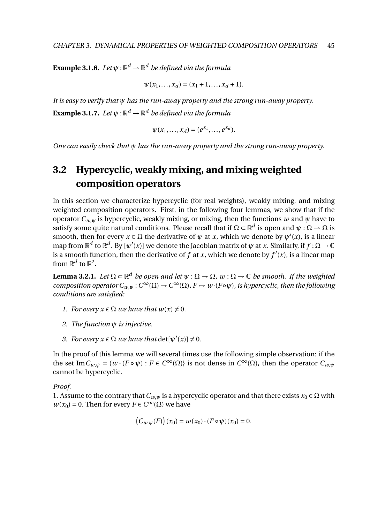**Example 3.1.6.** Let  $\psi: \mathbb{R}^d \to \mathbb{R}^d$  be defined via the formula

$$
\psi(x_1, ..., x_d) = (x_1 + 1, ..., x_d + 1).
$$

*It is easy to verify that ψ has the run-away property and the strong run-away property.* **Example 3.1.7.** Let  $\psi: \mathbb{R}^d \to \mathbb{R}^d$  be defined via the formula

$$
\psi(x_1, ..., x_d) = (e^{x_1}, ..., e^{x_d}).
$$

*One can easily check that ψ has the run-away property and the strong run-away property.*

# **3.2 Hypercyclic, weakly mixing, and mixing weighted composition operators**

In this section we characterize hypercyclic (for real weights), weakly mixing, and mixing weighted composition operators. First, in the following four lemmas, we show that if the operator  $C_{w,w}$  is hypercyclic, weakly mixing, or mixing, then the functions  $w$  and  $\psi$  have to satisfy some quite natural conditions. Please recall that if  $\Omega \subset \mathbb{R}^d$  is open and  $\psi:\Omega \to \Omega$  is smooth, then for every  $x \in \Omega$  the derivative of  $\psi$  at *x*, which we denote by  $\psi'(x)$ , is a linear map from  $\mathbb{R}^d$  to  $\mathbb{R}^d$ . By  $[\psi'(x)]$  we denote the Jacobian matrix of  $\psi$  at *x*. Similarly, if  $f : \Omega \to \mathbb{C}$ is a smooth function, then the derivative of  $f$  at  $x$ , which we denote by  $f'(x)$ , is a linear map from  $\mathbb{R}^d$  to  $\mathbb{R}^2$ .

**Lemma 3.2.1.** *Let*  $\Omega \subset \mathbb{R}^d$  *be open and let*  $\psi : \Omega \to \Omega$ ,  $w : \Omega \to \mathbb{C}$  *be smooth. If the weighted composition operator*  $C_{w,\psi}: C^{\infty}(\Omega) \to C^{\infty}(\Omega)$ ,  $F \mapsto w \cdot (F \circ \psi)$ , is hypercyclic, then the following *conditions are satisfied:*

- *1. For every*  $x \in \Omega$  *we have that*  $w(x) \neq 0$ *.*
- *2. The function ψ is injective.*
- *3. For every*  $x \in \Omega$  *we have that*  $\det[\psi'(x)] \neq 0$ *.*

In the proof of this lemma we will several times use the following simple observation: if the the set  $\text{Im } C_{w,\psi} = \{w \cdot (F \circ \psi) : F \in C^{\infty}(\Omega)\}$  is not dense in  $C^{\infty}(\Omega)$ , then the operator  $C_{w,\psi}$ cannot be hypercyclic.

#### *Proof.*

1. Assume to the contrary that  $C_{w,w}$  is a hypercyclic operator and that there exists  $x_0 \in \Omega$  with  $w(x_0) = 0$ . Then for every  $F \in C^{\infty}(\Omega)$  we have

$$
(C_{w,\psi}(F))(x_0) = w(x_0) \cdot (F \circ \psi)(x_0) = 0.
$$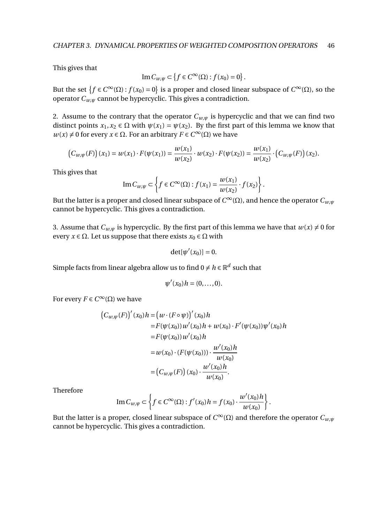This gives that

$$
\operatorname{Im} C_{w,\psi} \subset \left\{ f \in C^{\infty}(\Omega) : f(x_0) = 0 \right\}.
$$

But the set  $\{f \in C^{\infty}(\Omega) : f(x_0) = 0\}$  is a proper and closed linear subspace of  $C^{\infty}(\Omega)$ , so the operator  $C_{w,w}$  cannot be hypercyclic. This gives a contradiction.

2. Assume to the contrary that the operator  $C_{w,\psi}$  is hypercyclic and that we can find two distinct points  $x_1, x_2 \in \Omega$  with  $\psi(x_1) = \psi(x_2)$ . By the first part of this lemma we know that *w*(*x*) ≠ 0 for every *x* ∈ Ω. For an arbitrary *F* ∈  $C^{\infty}(\Omega)$  we have

$$
(C_{w,\psi}(F))(x_1) = w(x_1) \cdot F(\psi(x_1)) = \frac{w(x_1)}{w(x_2)} \cdot w(x_2) \cdot F(\psi(x_2)) = \frac{w(x_1)}{w(x_2)} \cdot (C_{w,\psi}(F))(x_2).
$$

This gives that

Im 
$$
C_{w,\psi} \subset \left\{ f \in C^{\infty}(\Omega) : f(x_1) = \frac{w(x_1)}{w(x_2)} \cdot f(x_2) \right\}.
$$

But the latter is a proper and closed linear subspace of  $C^\infty(\Omega)$ , and hence the operator  $C_{w,\psi}$ cannot be hypercyclic. This gives a contradiction.

3. Assume that  $C_{w,w}$  is hypercyclic. By the first part of this lemma we have that  $w(x) \neq 0$  for every  $x \in \Omega$ . Let us suppose that there exists  $x_0 \in \Omega$  with

$$
\det[\psi'(x_0)] = 0.
$$

Simple facts from linear algebra allow us to find 0  $\neq$  *h*  $\in$   $\mathbb{R}^d$  such that

$$
\psi'(x_0)h=(0,\ldots,0).
$$

For every  $F \in C^\infty(\Omega)$  we have

$$
(C_{w,\psi}(F))'(x_0)h = (w \cdot (F \circ \psi))'(x_0)h
$$
  
=  $F(\psi(x_0))w'(x_0)h + w(x_0) \cdot F'(\psi(x_0))\psi'(x_0)h$   
=  $F(\psi(x_0))w'(x_0)h$   
=  $w(x_0) \cdot (F(\psi(x_0))) \cdot \frac{w'(x_0)h}{w(x_0)}$   
=  $(C_{w,\psi}(F))(x_0) \cdot \frac{w'(x_0)h}{w(x_0)}$ .

Therefore

Im 
$$
C_{w,\psi} \subset \left\{ f \in C^{\infty}(\Omega) : f'(x_0)h = f(x_0) \cdot \frac{w'(x_0)h}{w(x_0)} \right\}.
$$

But the latter is a proper, closed linear subspace of  $C^{\infty}(\Omega)$  and therefore the operator  $C_{w,\psi}$ cannot be hypercyclic. This gives a contradiction.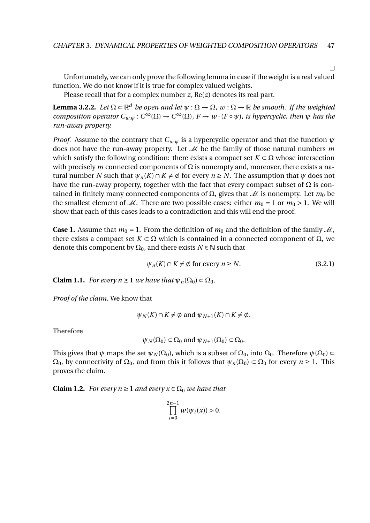$\Box$ 

Unfortunately, we can only prove the following lemma in case if the weight is a real valued function. We do not know if it is true for complex valued weights.

Please recall that for a complex number *z*, Re(*z*) denotes its real part.

**Lemma 3.2.2.** Let  $\Omega \subset \mathbb{R}^d$  be open and let  $\psi : \Omega \to \Omega$ ,  $w : \Omega \to \mathbb{R}$  be smooth. If the weighted *composition operator*  $C_{w,\psi}: C^{\infty}(\Omega) \to C^{\infty}(\Omega)$ ,  $F \to w \cdot (F \circ \psi)$ , is hypercyclic, then  $\psi$  has the *run-away property.*

*Proof.* Assume to the contrary that  $C_{w,w}$  is a hypercyclic operator and that the function  $\psi$ does not have the run-away property. Let  $\mathcal{M}$  be the family of those natural numbers  $m$ which satisfy the following condition: there exists a compact set  $K \subset \Omega$  whose intersection with precisely *m* connected components of  $\Omega$  is nonempty and, moreover, there exists a natural number *N* such that  $\psi_n(K) \cap K \neq \emptyset$  for every  $n \geq N$ . The assumption that  $\psi$  does not have the run-away property, together with the fact that every compact subset of  $\Omega$  is contained in finitely many connected components of  $\Omega$ , gives that  $\mathcal M$  is nonempty. Let  $m_0$  be the smallest element of  $M$ . There are two possible cases: either  $m_0 = 1$  or  $m_0 > 1$ . We will show that each of this cases leads to a contradiction and this will end the proof.

**Case 1.** Assume that  $m_0 = 1$ . From the definition of  $m_0$  and the definition of the family  $M$ , there exists a compact set  $K \subset \Omega$  which is contained in a connected component of  $\Omega$ , we denote this component by  $\Omega_0$ , and there exists  $N \in \mathbb{N}$  such that

$$
\psi_n(K) \cap K \neq \emptyset \text{ for every } n \ge N. \tag{3.2.1}
$$

**Claim 1.1.** *For every n*  $\geq$  1 *we have that*  $\psi_n(\Omega_0) \subset \Omega_0$ *.* 

*Proof of the claim.* We know that

 $\psi_N(K) \cap K \neq \emptyset$  and  $\psi_{N+1}(K) \cap K \neq \emptyset$ .

Therefore

$$
\psi_N(\Omega_0) \subset \Omega_0
$$
 and  $\psi_{N+1}(\Omega_0) \subset \Omega_0$ .

This gives that  $\psi$  maps the set  $\psi_N(\Omega_0)$ , which is a subset of  $\Omega_0$ , into  $\Omega_0$ . Therefore  $\psi(\Omega_0)$  $\Omega_0$ , by connectivity of  $\Omega_0$ , and from this it follows that  $\psi_n(\Omega_0) \subset \Omega_0$  for every  $n \ge 1$ . This proves the claim.

**Claim 1.2.** *For every n*  $\geq$  1 *and every x*  $\in$   $\Omega_0$  *we have that* 

$$
\prod_{i=0}^{2n-1}w(\psi_i(x))>0.
$$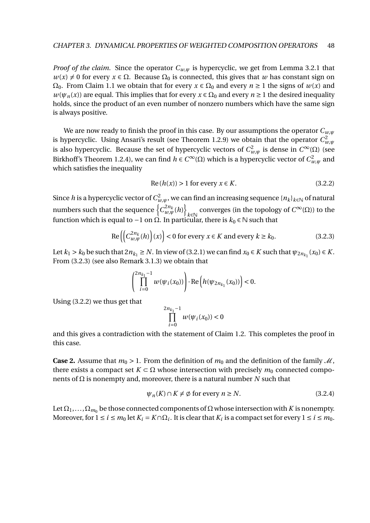*Proof of the claim.* Since the operator  $C_{w,w}$  is hypercyclic, we get from Lemma 3.2.1 that  $w(x) \neq 0$  for every  $x \in \Omega$ . Because  $\Omega_0$  is connected, this gives that *w* has constant sign on  $\Omega_0$ . From Claim 1.1 we obtain that for every  $x \in \Omega_0$  and every  $n \ge 1$  the signs of  $w(x)$  and  $w(\psi_n(x))$  are equal. This implies that for every  $x \in \Omega_0$  and every  $n \ge 1$  the desired inequality holds, since the product of an even number of nonzero numbers which have the same sign is always positive.

We are now ready to finish the proof in this case. By our assumptions the operator  $C_{w,\psi}$ is hypercyclic. Using Ansari's result (see Theorem 1.2.9) we obtain that the operator  $C_{w,\psi}^2$ is also hypercyclic. Because the set of hypercyclic vectors of  $C_{w,\psi}^2$  is dense in  $C^{\infty}(\Omega)$  (see Birkhoff's Theorem 1.2.4), we can find  $h \in C^{\infty}(\Omega)$  which is a hypercyclic vector of  $C_{w,\psi}^2$  and which satisfies the inequality

$$
Re(h(x)) > 1 for every x \in K.
$$
\n(3.2.2)

Since  $h$  is a hypercyclic vector of  $C^2_{w,\psi}$ , we can find an increasing sequence  $\{n_k\}_{k\in\mathbb{N}}$  of natural numbers such that the sequence  $\left\{ C_{w,\psi}^{2n_k}(h)\right\}$ converges (in the topology of  $C^{\infty}(\Omega)$ ) to the function which is equal to −1 on  $Ω$ . In particular, there is  $k_0 ∈ ℕ$  such that

$$
\operatorname{Re}\left(\left(C_{w,\psi}^{2n_k}(h)\right)(x)\right) < 0 \text{ for every } x \in K \text{ and every } k \ge k_0. \tag{3.2.3}
$$

Let  $k_1 > k_0$  be such that  $2n_{k_1} \ge N$ . In view of (3.2.1) we can find  $x_0 \in K$  such that  $\psi_{2n_{k_1}}(x_0) \in K$ . From (3.2.3) (see also Remark 3.1.3) we obtain that

$$
\left(\prod_{i=0}^{2n_{k_1}-1}w(\psi_i(x_0))\right)\cdot \text{Re}\left(h(\psi_{2n_{k_1}}(x_0))\right) < 0.
$$

Using (3.2.2) we thus get that

$$
\prod_{i=0}^{2n_{k_1}-1}w(\psi_i(x_0))<0
$$

and this gives a contradiction with the statement of Claim 1.2. This completes the proof in this case.

**Case 2.** Assume that  $m_0 > 1$ . From the definition of  $m_0$  and the definition of the family  $M$ , there exists a compact set  $K \subset \Omega$  whose intersection with precisely  $m_0$  connected components of Ω is nonempty and, moreover, there is a natural number *N* such that

$$
\psi_n(K) \cap K \neq \emptyset \text{ for every } n \ge N. \tag{3.2.4}
$$

Let  $\Omega_1,\ldots,\Omega_{m_0}$  be those connected components of  $\Omega$  whose intersection with *K* is nonempty. Moreover, for  $1 \le i \le m_0$  let  $K_i = K \cap \Omega_i$ . It is clear that  $K_i$  is a compact set for every  $1 \le i \le m_0$ .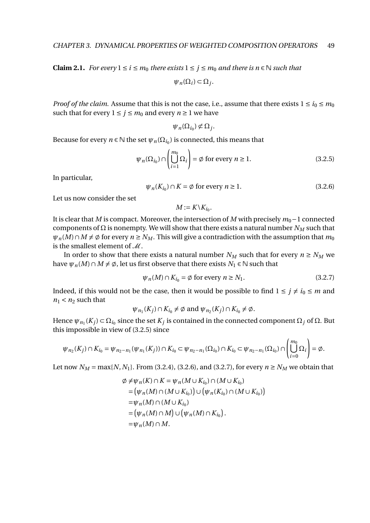**Claim 2.1.** *For every*  $1 ≤ i ≤ m_0$  *there exists*  $1 ≤ j ≤ m_0$  *and there is n* ∈ *N such that* 

 $\psi_n(\Omega_i) \subset \Omega_j$ .

*Proof of the claim.* Assume that this is not the case, i.e., assume that there exists  $1 \le i_0 \le m_0$ such that for every  $1 \le j \le m_0$  and every  $n \ge 1$  we have

$$
\psi_n(\Omega_{i_0})\not\subset \Omega_j.
$$

Because for every  $n \in \mathbb{N}$  the set  $\psi_n(\Omega_{i_0})$  is connected, this means that

$$
\psi_n(\Omega_{i_0}) \cap \left(\bigcup_{i=1}^{m_0} \Omega_i\right) = \emptyset \text{ for every } n \ge 1.
$$
\n(3.2.5)

In particular,

$$
\psi_n(K_{i_0}) \cap K = \emptyset \text{ for every } n \ge 1. \tag{3.2.6}
$$

Let us now consider the set

 $M := K \setminus K_{i_0}.$ 

It is clear that *M* is compact. Moreover, the intersection of *M* with precisely *m*<sub>0</sub>−1 connected components of  $Ω$  is nonempty. We will show that there exists a natural number  $N<sub>M</sub>$  such that  $\psi_n(M) \cap M \neq \emptyset$  for every  $n \geq N_M$ . This will give a contradiction with the assumption that  $m_0$ is the smallest element of  $M$ .

In order to show that there exists a natural number  $N_M$  such that for every  $n \ge N_M$  we have  $\psi_n(M) \cap M \neq \emptyset$ , let us first observe that there exists  $N_1 \in \mathbb{N}$  such that

$$
\psi_n(M) \cap K_{i_0} = \emptyset \text{ for every } n \ge N_1. \tag{3.2.7}
$$

Indeed, if this would not be the case, then it would be possible to find  $1 \le j \ne i_0 \le m$  and  $n_1$  <  $n_2$  such that

$$
\psi_{n_1}(K_j) \cap K_{i_0} \neq \emptyset \text{ and } \psi_{n_2}(K_j) \cap K_{i_0} \neq \emptyset.
$$

Hence  $\psi_{n_1}(K_j) \subset \Omega_{i_0}$  since the set  $K_j$  is contained in the connected component  $\Omega_j$  of  $\Omega$ . But this impossible in view of (3.2.5) since

$$
\psi_{n_2}(K_j) \cap K_{i_0} = \psi_{n_2 - n_1}(\psi_{n_1}(K_j)) \cap K_{i_0} \subset \psi_{n_2 - n_1}(\Omega_{i_0}) \cap K_{i_0} \subset \psi_{n_2 - n_1}(\Omega_{i_0}) \cap \left(\bigcup_{i=0}^{m_0} \Omega_i\right) = \emptyset.
$$

Let now  $N_M = \max\{N, N_1\}$ . From (3.2.4), (3.2.6), and (3.2.7), for every  $n \ge N_M$  we obtain that

$$
\varphi \neq \psi_n(K) \cap K = \psi_n(M \cup K_{i_0}) \cap (M \cup K_{i_0})
$$
  
\n
$$
= (\psi_n(M) \cap (M \cup K_{i_0})) \cup (\psi_n(K_{i_0}) \cap (M \cup K_{i_0}))
$$
  
\n
$$
= \psi_n(M) \cap (M \cup K_{i_0})
$$
  
\n
$$
= (\psi_n(M) \cap M) \cup (\psi_n(M) \cap K_{i_0}).
$$
  
\n
$$
= \psi_n(M) \cap M.
$$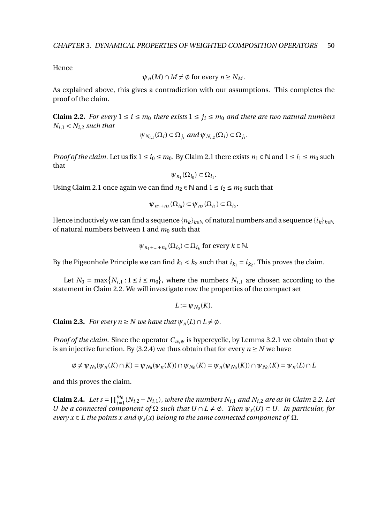Hence

$$
\psi_n(M) \cap M \neq \emptyset \text{ for every } n \ge N_M.
$$

As explained above, this gives a contradiction with our assumptions. This completes the proof of the claim.

**Claim 2.2.** *For every*  $1 \le i \le m_0$  *there exists*  $1 \le j_i \le m_0$  *and there are two natural numbers*  $N_{i,1} < N_{i,2}$  *such that* 

$$
\psi_{N_{i,1}}(\Omega_i) \subset \Omega_{j_i} \text{ and } \psi_{N_{i,2}}(\Omega_i) \subset \Omega_{j_i}.
$$

*Proof of the claim.* Let us fix  $1 \le i_0 \le m_0$ . By Claim 2.1 there exists  $n_1 \in \mathbb{N}$  and  $1 \le i_1 \le m_0$  such that

$$
\psi_{n_1}(\Omega_{i_0})\subset \Omega_{i_1}.
$$

Using Claim 2.1 once again we can find  $n_2 \in \mathbb{N}$  and  $1 \le i_2 \le m_0$  such that

$$
\psi_{n_1+n_2}(\Omega_{i_0}) \subset \psi_{n_2}(\Omega_{i_1}) \subset \Omega_{i_2}.
$$

Hence inductively we can find a sequence  ${n_k}_{k\in\mathbb{N}}$  of natural numbers and a sequence  ${i_k}_{k\in\mathbb{N}}$ of natural numbers between 1 and  $m_0$  such that

$$
\psi_{n_1+\dots+n_k}(\Omega_{i_0}) \subset \Omega_{i_k}
$$
 for every  $k \in \mathbb{N}$ .

By the Pigeonhole Principle we can find  $k_1 < k_2$  such that  $i_{k_1} = i_{k_2}$ . This proves the claim.

Let  $N_0 = \max\{N_{i,1} : 1 \le i \le m_0\}$ , where the numbers  $N_{i,1}$  are chosen according to the statement in Claim 2.2. We will investigate now the properties of the compact set

$$
L:=\psi_{N_0}(K).
$$

**Claim 2.3.** *For every n*  $\geq$  *N we have that*  $\psi_n(L) \cap L \neq \emptyset$ .

*Proof of the claim.* Since the operator *Cw*,*<sup>ψ</sup>* is hypercyclic, by Lemma 3.2.1 we obtain that *ψ* is an injective function. By (3.2.4) we thus obtain that for every  $n \geq N$  we have

$$
\emptyset \neq \psi_{N_0}(\psi_n(K) \cap K) = \psi_{N_0}(\psi_n(K)) \cap \psi_{N_0}(K) = \psi_n(\psi_{N_0}(K)) \cap \psi_{N_0}(K) = \psi_n(L) \cap L
$$

and this proves the claim.

**Claim 2.4.** *Let*  $s = \prod_{i=1}^{m_0} (N_{i,2} - N_{i,1})$ , where the numbers  $N_{i,1}$  and  $N_{i,2}$  are as in Claim 2.2. Let *U* be a connected component of  $\Omega$  *such that*  $U \cap L \neq \emptyset$ . Then  $\psi_s(U) \subset U$ . In particular, for *every*  $x \in L$  *the points x and*  $\psi_s(x)$  *belong to the same connected component of*  $\Omega$ *.*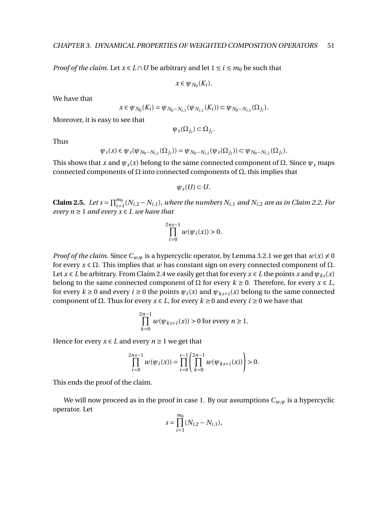*Proof of the claim.* Let  $x \in L \cap U$  be arbitrary and let  $1 \le i \le m_0$  be such that

 $x \in \psi_{N_0}(K_i)$ .

We have that

$$
x \in \psi_{N_0}(K_i) = \psi_{N_0 - N_{i,1}}(\psi_{N_{i,1}}(K_i)) \subset \psi_{N_0 - N_{i,1}}(\Omega_{j_i}).
$$

Moreover, it is easy to see that

$$
\psi_s(\Omega_{j_i})\subset \Omega_{j_i}.
$$

Thus

$$
\psi_s(x) \in \psi_s(\psi_{N_0 - N_{i,1}}(\Omega_{j_i})) = \psi_{N_0 - N_{i,1}}(\psi_s(\Omega_{j_i})) \subset \psi_{N_0 - N_{i,1}}(\Omega_{j_i}).
$$

This shows that *x* and  $\psi_s(x)$  belong to the same connected component of  $\Omega$ . Since  $\psi_s$  maps connected components of  $Ω$  into connected components of  $Ω$ , this implies that

$$
\psi_s(U)\subset U.
$$

**Claim 2.5.** *Let*  $s = \prod_{i=1}^{m_0} (N_{i,2} - N_{i,1})$ , where the numbers  $N_{i,1}$  and  $N_{i,2}$  are as in Claim 2.2. For *every*  $n \geq 1$  *and every*  $x \in L$  *we have that* 

$$
\prod_{i=0}^{2ns-1} w(\psi_i(x)) > 0.
$$

*Proof of the claim.* Since  $C_{w,w}$  is a hypercyclic operator, by Lemma 3.2.1 we get that  $w(x) \neq 0$ for every  $x \in \Omega$ . This implies that *w* has constant sign on every connected component of  $\Omega$ . Let  $x \in L$  be arbitrary. From Claim 2.4 we easily get that for every  $x \in L$  the points  $x$  and  $\psi_{ks}(x)$ belong to the same connected component of  $\Omega$  for every  $k \ge 0$ . Therefore, for every  $x \in L$ , for every  $k \ge 0$  and every  $i \ge 0$  the points  $\psi_i(x)$  and  $\psi_{ks+i}(x)$  belong to the same connected component of Ω. Thus for every *x* ∈ *L*, for every *k* ≥ 0 and every *i* ≥ 0 we have that

$$
\prod_{k=0}^{2n-1} w(\psi_{ks+i}(x)) > 0
$$
 for every  $n \ge 1$ .

Hence for every  $x \in L$  and every  $n \ge 1$  we get that

$$
\prod_{i=0}^{2ns-1} w(\psi_i(x)) = \prod_{i=0}^{s-1} \left( \prod_{k=0}^{2n-1} w(\psi_{ks+i}(x)) \right) > 0.
$$

This ends the proof of the claim.

We will now proceed as in the proof in case 1. By our assumptions  $C_{w,w}$  is a hypercyclic operator. Let

$$
s = \prod_{i=1}^{m_0} (N_{i,2} - N_{i,1}),
$$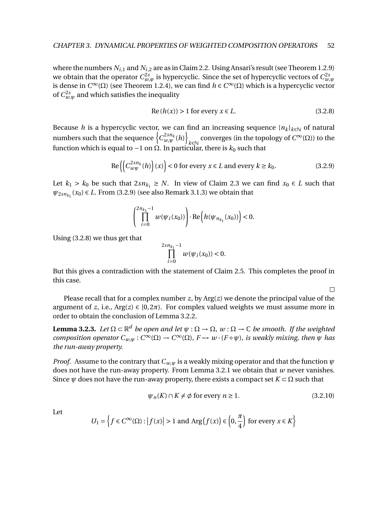where the numbers  $N_{i,1}$  and  $N_{i,2}$  are as in Claim 2.2. Using Ansari's result (see Theorem 1.2.9) we obtain that the operator  $C^{2s}_{w,\psi}$  is hypercyclic. Since the set of hypercyclic vectors of  $C^{2s}_{w,\psi}$ is dense in *C*<sup>∞</sup>(Ω) (see Theorem 1.2.4), we can find *h* ∈ *C*<sup>∞</sup>(Ω) which is a hypercyclic vector of  $C_{w,\psi}^{2s}$  and which satisfies the inequality

$$
Re(h(x)) > 1 for every x \in L.
$$
\n
$$
(3.2.8)
$$

Because *h* is a hypercyclic vector, we can find an increasing sequence  ${n_k}_{k \in \mathbb{N}}$  of natural numbers such that the sequence  $\left\{ C_{w,\psi}^{2sn_k}(h)\right\}$ converges (in the topology of *C*<sup>∞</sup>( $\Omega$ )) to the function which is equal to  $-1$  on  $\Omega$ . In particular, there is  $k_0$  such that

$$
\operatorname{Re}\left(\left(C_{w\psi}^{2sn_k}(h)\right)(x)\right) < 0 \text{ for every } x \in L \text{ and every } k \ge k_0. \tag{3.2.9}
$$

Let  $k_1 > k_0$  be such that  $2s n_{k_1} \geq N$ . In view of Claim 2.3 we can find  $x_0 \in L$  such that  $\psi_{2sn_{k_1}}(x_0) \in L$ . From (3.2.9) (see also Remark 3.1.3) we obtain that

$$
\left(\prod_{i=0}^{2n_{k_1}-1}w(\psi_i(x_0))\right)\cdot {\rm Re}\left(h(\psi_{n_{k_1}}(x_0))\right)<0.
$$

Using (3.2.8) we thus get that

$$
\prod_{i=0}^{2sn_{k_1}-1}w(\psi_i(x_0))<0.
$$

But this gives a contradiction with the statement of Claim 2.5. This completes the proof in this case.

Please recall that for a complex number *z*, by Arg(*z*) we denote the principal value of the argument of *z*, i.e.,  $Arg(z) \in [0, 2\pi)$ . For complex valued weights we must assume more in order to obtain the conclusion of Lemma 3.2.2.

**Lemma 3.2.3.** Let  $\Omega \subset \mathbb{R}^d$  be open and let  $\psi : \Omega \to \Omega$ ,  $w : \Omega \to \mathbb{C}$  be smooth. If the weighted *composition operator*  $C_{w,\psi}: C^{\infty}(\Omega) \to C^{\infty}(\Omega)$ ,  $F \mapsto w \cdot (F \circ \psi)$ , is weakly mixing, then  $\psi$  has *the run-away property.*

*Proof.* Assume to the contrary that *Cw*,*<sup>ψ</sup>* is a weakly mixing operator and that the function *ψ* does not have the run-away property. From Lemma 3.2.1 we obtain that *w* never vanishes. Since  $\psi$  does not have the run-away property, there exists a compact set  $K \subset \Omega$  such that

$$
\psi_n(K) \cap K \neq \emptyset \text{ for every } n \ge 1. \tag{3.2.10}
$$

 $\Box$ 

Let

$$
U_1 = \left\{ f \in C^{\infty}(\Omega) : |f(x)| > 1 \text{ and } \text{Arg}(f(x)) \in \left(0, \frac{\pi}{4}\right) \text{ for every } x \in K \right\}
$$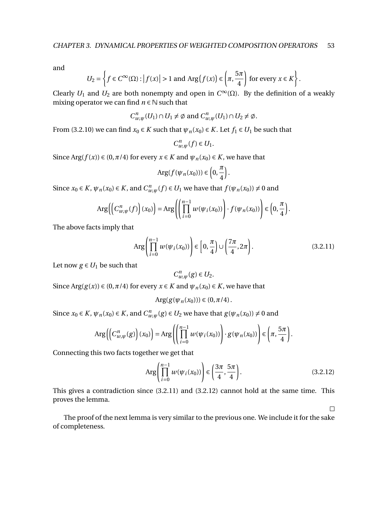and

$$
U_2 = \left\{ f \in C^{\infty}(\Omega) : \left| f(x) \right| > 1 \text{ and } \text{Arg}\left(f(x)\right) \in \left(\pi, \frac{5\pi}{4}\right) \text{ for every } x \in K \right\}.
$$

Clearly  $U_1$  and  $U_2$  are both nonempty and open in  $C^{\infty}(\Omega)$ . By the definition of a weakly mixing operator we can find  $n \in \mathbb{N}$  such that

$$
C_{w,\psi}^n(U_1) \cap U_1 \neq \emptyset \text{ and } C_{w,\psi}^n(U_1) \cap U_2 \neq \emptyset.
$$

From (3.2.10) we can find  $x_0 \in K$  such that  $\psi_n(x_0) \in K$ . Let  $f_1 \in U_1$  be such that

$$
C_{w,\psi}^n(f) \in U_1.
$$

Since Arg( $f(x)$ )  $\in$  (0, $\pi$ /4) for every  $x \in K$  and  $\psi_n(x_0) \in K$ , we have that

$$
\text{Arg}(f(\psi_n(x_0))) \in \left(0,\frac{\pi}{4}\right).
$$

Since  $x_0 \in K$ ,  $\psi_n(x_0) \in K$ , and  $C_{w,\psi}^n(f) \in U_1$  we have that  $f(\psi_n(x_0)) \neq 0$  and

$$
\operatorname{Arg}\left(\left(C_{w,\psi}^n(f)\right)(x_0)\right)=\operatorname{Arg}\left(\left(\prod_{i=0}^{n-1}w(\psi_i(x_0))\right)\cdot f(\psi_n(x_0))\right)\in\left(0,\frac{\pi}{4}\right).
$$

The above facts imply that

$$
\operatorname{Arg}\left(\prod_{i=0}^{n-1} w(\psi_i(x_0))\right) \in \left[0, \frac{\pi}{4}\right) \cup \left(\frac{7\pi}{4}, 2\pi\right). \tag{3.2.11}
$$

Let now  $g \in U_1$  be such that

$$
C_{w,\psi}^n(g) \in U_2.
$$

Since Arg( $g(x)$ )  $\in$  (0, $\pi$ /4) for every  $x \in K$  and  $\psi_n(x_0) \in K$ , we have that

$$
\text{Arg}(g(\psi_n(x_0)))\in (0,\pi/4)\,.
$$

Since  $x_0 \in K$ ,  $\psi_n(x_0) \in K$ , and  $C_{w,\psi}^n(g) \in U_2$  we have that  $g(\psi_n(x_0)) \neq 0$  and

$$
\operatorname{Arg}\left(\left(C_{w,\psi}^n(g)\right)(x_0)\right)=\operatorname{Arg}\left(\left(\prod_{i=0}^{n-1}w(\psi_i(x_0))\right)\cdot g(\psi_n(x_0))\right)\in\left(\pi,\frac{5\pi}{4}\right).
$$

Connecting this two facts together we get that

$$
\text{Arg}\left(\prod_{i=0}^{n-1} w(\psi_i(x_0))\right) \in \left(\frac{3\pi}{4}, \frac{5\pi}{4}\right). \tag{3.2.12}
$$

 $\Box$ 

This gives a contradiction since (3.2.11) and (3.2.12) cannot hold at the same time. This proves the lemma.

The proof of the next lemma is very similar to the previous one. We include it for the sake of completeness.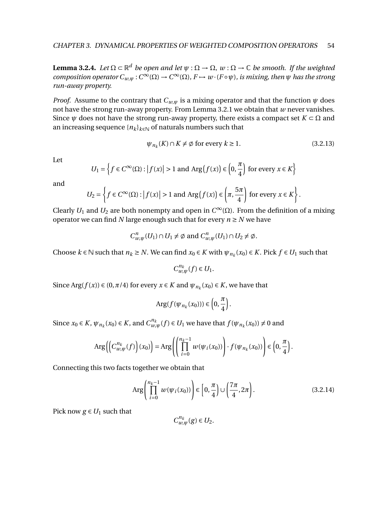**Lemma 3.2.4.** Let  $\Omega \subset \mathbb{R}^d$  be open and let  $\psi : \Omega \to \Omega$ ,  $w : \Omega \to \mathbb{C}$  be smooth. If the weighted *composition operator*  $C_{w,\psi}: C^{\infty}(\Omega) \to C^{\infty}(\Omega)$ ,  $F \mapsto w \cdot (F \circ \psi)$ , is mixing, then  $\psi$  has the strong *run-away property.*

*Proof.* Assume to the contrary that  $C_{w,\psi}$  is a mixing operator and that the function  $\psi$  does not have the strong run-away property. From Lemma 3.2.1 we obtain that *w* never vanishes. Since  $\psi$  does not have the strong run-away property, there exists a compact set  $K \subset \Omega$  and an increasing sequence  ${n_k}_{k \in \mathbb{N}}$  of naturals numbers such that

$$
\psi_{n_k}(K) \cap K \neq \emptyset \text{ for every } k \ge 1. \tag{3.2.13}
$$

.

Let

$$
U_1 = \left\{ f \in C^{\infty}(\Omega) : \left| f(x) \right| > 1 \text{ and } \text{Arg}\left(f(x)\right) \in \left(0, \frac{\pi}{4}\right) \text{ for every } x \in K \right\}
$$

and

$$
U_2 = \left\{ f \in C^{\infty}(\Omega) : |f(x)| > 1 \text{ and } \text{Arg}(f(x)) \in \left( \pi, \frac{5\pi}{4} \right) \text{ for every } x \in K \right\}
$$

Clearly  $U_1$  and  $U_2$  are both nonempty and open in  $C^{\infty}(\Omega)$ . From the definition of a mixing operator we can find *N* large enough such that for every  $n \geq N$  we have

$$
C_{w,\psi}^n(U_1) \cap U_1 \neq \emptyset \text{ and } C_{w,\psi}^n(U_1) \cap U_2 \neq \emptyset.
$$

Choose  $k \in \mathbb{N}$  such that  $n_k \geq N$ . We can find  $x_0 \in K$  with  $\psi_{n_k}(x_0) \in K$ . Pick  $f \in U_1$  such that

 $C_{w,\psi}^{n_k}(f) \in U_1$ .

Since Arg( $f(x)$ )  $\in$  (0,  $\pi$ /4) for every  $x \in K$  and  $\psi_{n_k}(x_0) \in K$ , we have that

$$
\text{Arg}(f(\psi_{n_k}(x_0))) \in \left(0,\frac{\pi}{4}\right).
$$

Since  $x_0 \in K$ ,  $\psi_{n_k}(x_0) \in K$ , and  $C_{w,\psi}^{n_k}(f) \in U_1$  we have that  $f(\psi_{n_k}(x_0)) \neq 0$  and

$$
\operatorname{Arg}\left(\left(C_{w,\psi}^{n_k}(f)\right)(x_0)\right)=\operatorname{Arg}\left(\left(\prod_{i=0}^{n_k-1}w(\psi_i(x_0))\right)\cdot f(\psi_{n_k}(x_0))\right)\in\left(0,\frac{\pi}{4}\right).
$$

Connecting this two facts together we obtain that

$$
\operatorname{Arg}\left(\prod_{i=0}^{n_k-1} w(\psi_i(x_0))\right) \in \left[0, \frac{\pi}{4}\right) \cup \left(\frac{7\pi}{4}, 2\pi\right). \tag{3.2.14}
$$

Pick now  $g \in U_1$  such that

 $C_{w,\psi}^{n_k}(g) \in U_2$ .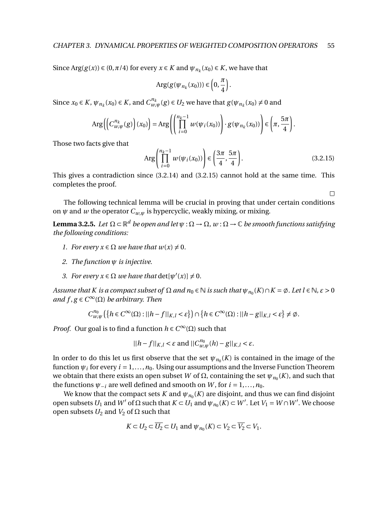Since  $\text{Arg}(g(x)) \in (0, \pi/4)$  for every  $x \in K$  and  $\psi_{n_k}(x_0) \in K$ , we have that

$$
Arg(g(\psi_{n_k}(x_0))) \in \left(0, \frac{\pi}{4}\right).
$$

Since  $x_0 \in K$ ,  $\psi_{n_k}(x_0) \in K$ , and  $C_{w,\psi}^{n_k}(g) \in U_2$  we have that  $g(\psi_{n_k}(x_0) \neq 0$  and

$$
\operatorname{Arg}\left(\left(C_{w,\psi}^{n_k}(g)\right)(x_0)\right)=\operatorname{Arg}\left(\left(\prod_{i=0}^{n_k-1}w(\psi_i(x_0))\right)\cdot g(\psi_{n_k}(x_0))\right)\in\left(\pi,\frac{5\pi}{4}\right).
$$

Those two facts give that

$$
\operatorname{Arg}\left(\prod_{i=0}^{n_k-1} w(\psi_i(x_0))\right) \in \left(\frac{3\pi}{4}, \frac{5\pi}{4}\right). \tag{3.2.15}
$$

 $\Box$ 

This gives a contradiction since (3.2.14) and (3.2.15) cannot hold at the same time. This completes the proof.

The following technical lemma will be crucial in proving that under certain conditions on  $\psi$  and  $\psi$  the operator  $C_{\psi,\psi}$  is hypercyclic, weakly mixing, or mixing.

 ${\bf Lemma 3.2.5.}$  Let  $\Omega\subset \mathbb{R}^d$  be open and let  $\psi:\Omega\to\Omega$  ,  $w:\Omega\to\mathbb{C}$  be smooth functions satisfying *the following conditions:*

- *1. For every*  $x \in \Omega$  *we have that*  $w(x) \neq 0$ *.*
- *2. The function ψ is injective.*
- *3. For every*  $x \in \Omega$  *we have that*  $\det[\psi'(x)] \neq 0$ *.*

*Assume that K is a compact subset of*  $\Omega$  *and*  $n_0 \in \mathbb{N}$  *is such that*  $\psi_{n_0}(K) \cap K = \emptyset$ . Let  $l \in \mathbb{N}$ ,  $\varepsilon > 0$ *and f* , *g* ∈*C* <sup>∞</sup>(Ω) *be arbitrary. Then*

$$
C_{w,\psi}^{n_0}(\left\{h \in C^{\infty}(\Omega) : ||h - f||_{K,l} < \varepsilon\right\}) \cap \left\{h \in C^{\infty}(\Omega) : ||h - g||_{K,l} < \varepsilon\right\} \neq \emptyset.
$$

*Proof.* Our goal is to find a function  $h \in C^{\infty}(\Omega)$  such that

$$
||h-f||_{K,l} < \varepsilon \text{ and } ||C_{w,\psi}^{n_0}(h) - g||_{K,l} < \varepsilon.
$$

In order to do this let us first observe that the set  $\psi_{n_0}(K)$  is contained in the image of the function  $\psi_i$  for every  $i = 1, ..., n_0$ . Using our assumptions and the Inverse Function Theorem we obtain that there exists an open subset  $W$  of  $Ω$ , containing the set  $\psi_{\mathit{n}_0}(K)$ , and such that the functions  $\psi_{-i}$  are well defined and smooth on *W*, for  $i = 1, ..., n_0$ .

We know that the compact sets  $K$  and  $\psi_{n_0}(K)$  are disjoint, and thus we can find disjoint open subsets  $U_1$  and  $W'$  of  $\Omega$  such that  $K \subset U_1$  and  $\psi_{n_0}(K) \subset W'$ . Let  $V_1 = W \cap W'$ . We choose open subsets  $U_2$  and  $V_2$  of  $\Omega$  such that

$$
K \subset U_2 \subset \overline{U_2} \subset U_1 \text{ and } \psi_{n_0}(K) \subset V_2 \subset \overline{V_2} \subset V_1.
$$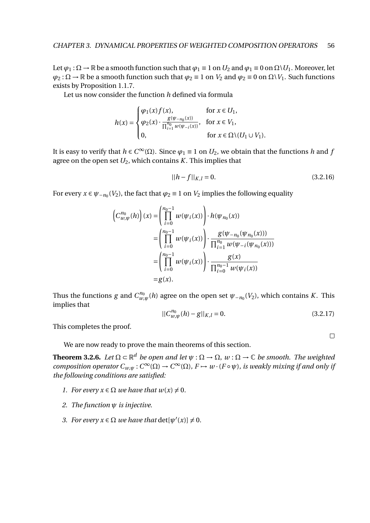Let  $\varphi_1 : \Omega \to \mathbb{R}$  be a smooth function such that  $\varphi_1 \equiv 1$  on  $U_2$  and  $\varphi_1 \equiv 0$  on  $\Omega \setminus U_1$ . Moreover, let  $\varphi_2 : \Omega \to \mathbb{R}$  be a smooth function such that  $\varphi_2 \equiv 1$  on  $V_2$  and  $\varphi_2 \equiv 0$  on  $\Omega \setminus V_1$ . Such functions exists by Proposition 1.1.7.

Let us now consider the function *h* defined via formula

$$
h(x) = \begin{cases} \varphi_1(x)f(x), & \text{for } x \in U_1, \\ \varphi_2(x) \cdot \frac{g(\psi_{-n_0}(x))}{\prod_{i=1}^{n_0} w(\psi_{-i}(x))}, & \text{for } x \in V_1, \\ 0, & \text{for } x \in \Omega \setminus (U_1 \cup V_1). \end{cases}
$$

It is easy to verify that  $h \in C^{\infty}(\Omega)$ . Since  $\varphi_1 \equiv 1$  on  $U_2$ , we obtain that the functions  $h$  and  $f$ agree on the open set  $U_2$ , which contains  $K$ . This implies that

$$
||h - f||_{K,l} = 0.
$$
\n(3.2.16)

For every  $x \in \psi_{-n_0}(V_2)$ , the fact that  $\varphi_2 \equiv 1$  on  $V_2$  implies the following equality

$$
\left(C_{w,\psi}^{n_0}(h)\right)(x) = \left(\prod_{i=0}^{n_0-1} w(\psi_i(x))\right) \cdot h(\psi_{n_0}(x))
$$
  
\n
$$
= \left(\prod_{i=0}^{n_0-1} w(\psi_i(x))\right) \cdot \frac{g(\psi_{-n_0}(\psi_{n_0}(x)))}{\prod_{i=1}^{n_0} w(\psi_{-i}(\psi_{n_0}(x)))}
$$
  
\n
$$
= \left(\prod_{i=0}^{n_0-1} w(\psi_i(x))\right) \cdot \frac{g(x)}{\prod_{i=0}^{n_0-1} w(\psi_i(x))}
$$
  
\n
$$
= g(x).
$$

Thus the functions  $g$  and  $C_{w,\psi}^{n_0}(h)$  agree on the open set  $\psi_{-n_0}(V_2)$ , which contains  $K.$  This implies that

$$
||C_{w,\psi}^{n_0}(h) - g||_{K,l} = 0.
$$
\n(3.2.17)

 $\Box$ 

This completes the proof.

We are now ready to prove the main theorems of this section.

**Theorem 3.2.6.** Let  $\Omega \subset \mathbb{R}^d$  be open and let  $\psi : \Omega \to \Omega$ ,  $w : \Omega \to \mathbb{C}$  be smooth. The weighted *composition operator*  $C_{w,\psi}: C^{\infty}(\Omega) \to C^{\infty}(\Omega)$ ,  $F \mapsto w \cdot (F \circ \psi)$ , is weakly mixing if and only if *the following conditions are satisfied:*

- *1. For every*  $x \in \Omega$  *we have that*  $w(x) \neq 0$ *.*
- *2. The function ψ is injective.*
- *3. For every*  $x \in \Omega$  *we have that*  $det[\psi'(x)] \neq 0$ *.*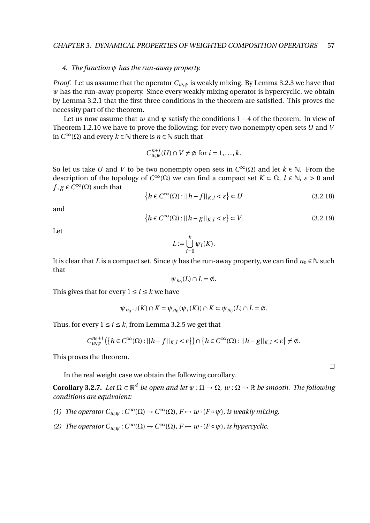#### *4. The function ψ has the run-away property.*

*Proof.* Let us assume that the operator  $C_{w,w}$  is weakly mixing. By Lemma 3.2.3 we have that *ψ* has the run-away property. Since every weakly mixing operator is hypercyclic, we obtain by Lemma 3.2.1 that the first three conditions in the theorem are satisfied. This proves the necessity part of the theorem.

Let us now assume that *w* and  $\psi$  satisfy the conditions 1 – 4 of the theorem. In view of Theorem 1.2.10 we have to prove the following: for every two nonempty open sets *U* and *V* in *C* <sup>∞</sup>(Ω) and every *k* ∈ N there is *n* ∈ N such that

$$
C_{w,\psi}^{n+i}(U) \cap V \neq \emptyset \text{ for } i = 1,\dots,k.
$$

So let us take *U* and *V* to be two nonempty open sets in  $C^{\infty}(\Omega)$  and let  $k \in \mathbb{N}$ . From the description of the topology of  $C^{\infty}(\Omega)$  we can find a compact set  $K \subset \Omega$ ,  $l \in \mathbb{N}$ ,  $\varepsilon > 0$  and  $f, g \in C^{\infty}(\Omega)$  such that

$$
\{h \in C^{\infty}(\Omega) : ||h - f||_{K,l} < \varepsilon\} \subset U \tag{3.2.18}
$$

and

$$
\{h \in C^{\infty}(\Omega) : ||h - g||_{K,l} < \varepsilon\} \subset V. \tag{3.2.19}
$$

Let

$$
L := \bigcup_{i=0}^{k} \psi_i(K).
$$

It is clear that *L* is a compact set. Since  $\psi$  has the run-away property, we can find  $n_0 \in \mathbb{N}$  such that

$$
\psi_{n_0}(L) \cap L = \emptyset.
$$

This gives that for every  $1 \le i \le k$  we have

$$
\psi_{n_0+i}(K) \cap K = \psi_{n_0}(\psi_i(K)) \cap K \subset \psi_{n_0}(L) \cap L = \emptyset.
$$

Thus, for every  $1 \le i \le k$ , from Lemma 3.2.5 we get that

$$
C_{w,\psi}^{n_0+i}\left(\left\{h\in C^\infty(\Omega):||h-f||_{K,l}<\varepsilon\right\}\right)\cap\left\{h\in C^\infty(\Omega):||h-g||_{K,l}<\varepsilon\right\}\neq\emptyset.
$$

This proves the theorem.

In the real weight case we obtain the following corollary.

**Corollary 3.2.7.** *Let* Ω ⊂ R *<sup>d</sup> be open and let ψ* : Ω → Ω, *w* : Ω → R *be smooth. The following conditions are equivalent:*

- *(1) The operator*  $C_{w,\psi}: C^{\infty}(\Omega) \to C^{\infty}(\Omega)$ ,  $F \mapsto w \cdot (F \circ \psi)$ , *is weakly mixing.*
- *(2) The operator*  $C_{w,\psi}: C^{\infty}(\Omega) \to C^{\infty}(\Omega)$ ,  $F \mapsto w \cdot (F \circ \psi)$ , *is hypercyclic.*

 $\Box$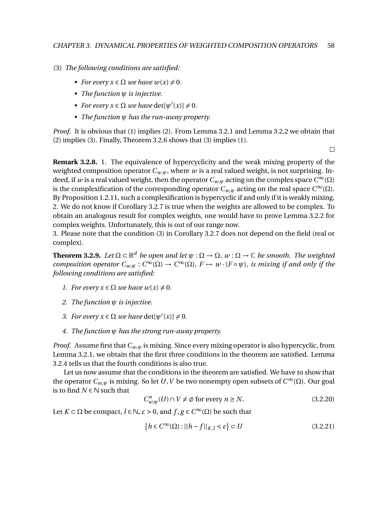- *(3) The following conditions are satisfied:*
	- *For every*  $x \in \Omega$  *we have*  $w(x) \neq 0$ *.*
	- *• The function ψ is injective.*
	- *For every*  $x \in \Omega$  *we have*  $\det[\psi'(x)] \neq 0$ *.*
	- *• The function ψ has the run-away property.*

*Proof.* It is obvious that (1) implies (2). From Lemma 3.2.1 and Lemma 3.2.2 we obtain that (2) implies (3). Finally, Theorem 3.2.6 shows that (3) implies (1).

 $\Box$ 

**Remark 3.2.8.** 1. The equivalence of hypercyclicity and the weak mixing property of the weighted composition operator  $C_{w,w}$ , where *w* is a real valued weight, is not surprising. Indeed, if *w* is a real valued weight, then the operator  $C_{w,\psi}$  acting on the complex space  $C^{\infty}(\Omega)$ is the complexification of the corresponding operator  $C_{w,\psi}$  acting on the real space  $C^{\infty}(\Omega)$ . By Proposition 1.2.11, such a complexification is hypercyclic if and only if it is weakly mixing. 2. We do not know if Corollary 3.2.7 is true when the weights are allowed to be complex. To obtain an analogous result for complex weights, one would have to prove Lemma 3.2.2 for complex weights. Unfortunately, this is out of our range now.

3. Please note that the condition (3) in Corollary 3.2.7 does not depend on the field (real or complex).

**Theorem 3.2.9.** Let  $\Omega \subset \mathbb{R}^d$  be open and let  $\psi : \Omega \to \Omega$ ,  $w : \Omega \to \mathbb{C}$  be smooth. The weighted *composition operator*  $C_{w,\psi}: C^{\infty}(\Omega) \to C^{\infty}(\Omega)$ ,  $F \mapsto w \cdot (F \circ \psi)$ , is mixing if and only if the *following conditions are satisfied:*

- *1. For every*  $x \in \Omega$  *we have*  $w(x) \neq 0$ *.*
- *2. The function ψ is injective.*
- *3. For every*  $x \in \Omega$  *we have*  $\det[\psi'(x)] \neq 0$ *.*
- *4. The function ψ has the strong run-away property.*

*Proof.* Assume first that*Cw*,*<sup>ψ</sup>* is mixing. Since every mixing operator is also hypercyclic, from Lemma 3.2.1, we obtain that the first three conditions in the theorem are satisfied. Lemma 3.2.4 tells us that the fourth conditions is also true.

Let us now assume that the conditions in the theorem are satisfied. We have to show that the operator  $C_{w,\psi}$  is mixing. So let *U*, *V* be two nonempty open subsets of  $C^{\infty}(\Omega)$ . Our goal is to find  $N \in \mathbb{N}$  such that

$$
C_{w,\psi}^n(U) \cap V \neq \emptyset \text{ for every } n \ge N. \tag{3.2.20}
$$

Let  $K \subset \Omega$  be compact,  $l \in \mathbb{N}$ ,  $\varepsilon > 0$ , and  $f, g \in C^\infty(\Omega)$  be such that

$$
\{h \in C^{\infty}(\Omega) : ||h - f||_{K,l} < \varepsilon\} \subset U \tag{3.2.21}
$$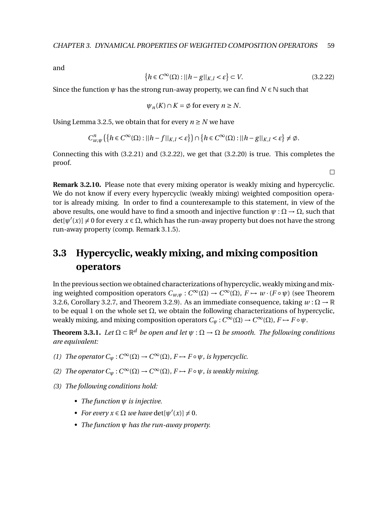and

$$
\{h \in C^{\infty}(\Omega) : ||h - g||_{K, l} < \varepsilon\} \subset V. \tag{3.2.22}
$$

Since the function  $\psi$  has the strong run-away property, we can find  $N \in \mathbb{N}$  such that

$$
\psi_n(K) \cap K = \emptyset
$$
 for every  $n \ge N$ .

Using Lemma 3.2.5, we obtain that for every  $n \geq N$  we have

$$
C_{w,\psi}^n\left(\left\{h \in C^\infty(\Omega) : ||h - f||_{K,l} < \varepsilon\right\}\right) \cap \left\{h \in C^\infty(\Omega) : ||h - g||_{K,l} < \varepsilon\right\} \neq \emptyset.
$$

Connecting this with (3.2.21) and (3.2.22), we get that (3.2.20) is true. This completes the proof.

 $\Box$ 

**Remark 3.2.10.** Please note that every mixing operator is weakly mixing and hypercyclic. We do not know if every every hypercyclic (weakly mixing) weighted composition operator is already mixing. In order to find a counterexample to this statement, in view of the above results, one would have to find a smooth and injective function  $\psi : \Omega \to \Omega$ , such that  $det[\psi'(x)] \neq 0$  for every  $x \in \Omega$ , which has the run-away property but does not have the strong run-away property (comp. Remark 3.1.5).

# **3.3 Hypercyclic, weakly mixing, and mixing composition operators**

In the previous section we obtained characterizations of hypercyclic, weakly mixing and mixing weighted composition operators  $C_{w,\psi}: C^{\infty}(\Omega) \to C^{\infty}(\Omega)$ ,  $F \mapsto w \cdot (F \circ \psi)$  (see Theorem 3.2.6, Corollary 3.2.7, and Theorem 3.2.9). As an immediate consequence, taking  $w : \Omega \to \mathbb{R}$ to be equal 1 on the whole set  $Ω$ , we obtain the following characterizations of hypercyclic, weakly mixing, and mixing composition operators  $C_\psi:C^\infty(\Omega)\to C^\infty(\Omega)$ ,  $F\mapsto F\circ \psi.$ 

**Theorem 3.3.1.** Let  $\Omega \subset \mathbb{R}^d$  be open and let  $\psi : \Omega \to \Omega$  be smooth. The following conditions *are equivalent:*

- *(1) The operator*  $C_{\psi}: C^{\infty}(\Omega) \to C^{\infty}(\Omega)$ ,  $F \mapsto F \circ \psi$ , *is hypercyclic.*
- *(2) The operator*  $C_{\psi}: C^{\infty}(\Omega) \to C^{\infty}(\Omega)$ ,  $F \mapsto F \circ \psi$ , *is weakly mixing.*
- *(3) The following conditions hold:*
	- *• The function ψ is injective.*
	- *For every*  $x \in \Omega$  *we have*  $\det[\psi'(x)] \neq 0$ *.*
	- *• The function ψ has the run-away property.*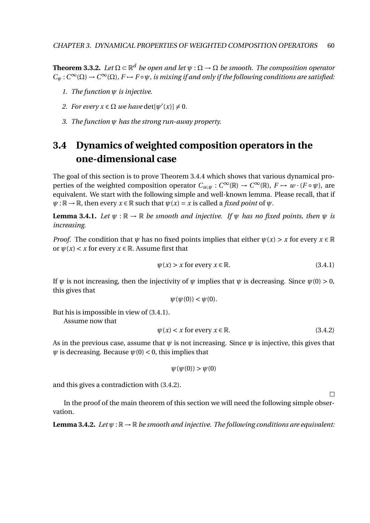**Theorem 3.3.2.** Let  $\Omega \subset \mathbb{R}^d$  be open and let  $\psi : \Omega \to \Omega$  be smooth. The composition operator  $C_{\psi}: C^{\infty}(\Omega) \to C^{\infty}(\Omega)$ ,  $F \mapsto F \circ \psi$ , is mixing if and only if the following conditions are satisfied:

- *1. The function ψ is injective.*
- *2. For every*  $x \in \Omega$  *we have*  $\det[\psi'(x)] \neq 0$ *.*
- *3. The function ψ has the strong run-away property.*

# **3.4 Dynamics of weighted composition operators in the one-dimensional case**

The goal of this section is to prove Theorem 3.4.4 which shows that various dynamical properties of the weighted composition operator  $C_{w,\psi}: C^{\infty}(\mathbb{R}) \to C^{\infty}(\mathbb{R})$ ,  $F \mapsto w \cdot (F \circ \psi)$ , are equivalent. We start with the following simple and well-known lemma. Please recall, that if  $\psi : \mathbb{R} \to \mathbb{R}$ , then every  $x \in \mathbb{R}$  such that  $\psi(x) = x$  is called a *fixed point* of  $\psi$ .

**Lemma 3.4.1.** *Let*  $\psi$  :  $\mathbb{R} \to \mathbb{R}$  *be smooth and injective. If*  $\psi$  *has no fixed points, then*  $\psi$  *is increasing.*

*Proof.* The condition that  $\psi$  has no fixed points implies that either  $\psi(x) > x$  for every  $x \in \mathbb{R}$ or  $\psi(x) < x$  for every  $x \in \mathbb{R}$ . Assume first that

$$
\psi(x) > x \text{ for every } x \in \mathbb{R}.\tag{3.4.1}
$$

If  $\psi$  is not increasing, then the injectivity of  $\psi$  implies that  $\psi$  is decreasing. Since  $\psi(0) > 0$ , this gives that

$$
\psi(\psi(0)) < \psi(0).
$$

But his is impossible in view of (3.4.1).

Assume now that

$$
\psi(x) < x \text{ for every } x \in \mathbb{R}.\tag{3.4.2}
$$

 $\Box$ 

As in the previous case, assume that *ψ* is not increasing. Since *ψ* is injective, this gives that  $\psi$  is decreasing. Because  $\psi(0) < 0$ , this implies that

$$
\psi(\psi(0)) > \psi(0)
$$

and this gives a contradiction with (3.4.2).

In the proof of the main theorem of this section we will need the following simple observation.

**Lemma 3.4.2.** *Let*  $\psi$  :  $\mathbb{R} \to \mathbb{R}$  *be smooth and injective. The following conditions are equivalent:*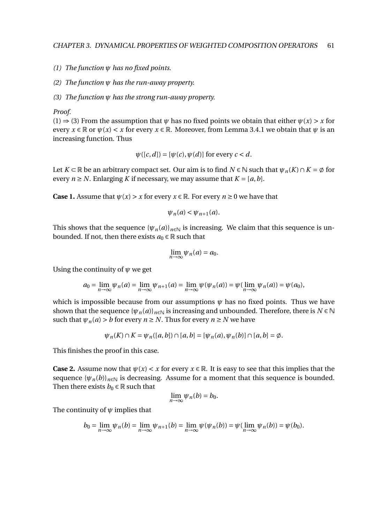- *(1) The function ψ has no fixed points.*
- *(2) The function ψ has the run-away property.*
- *(3) The function ψ has the strong run-away property.*

*Proof.*

(1)  $\Rightarrow$  (3) From the assumption that  $\psi$  has no fixed points we obtain that either  $\psi(x) > x$  for every  $x \in \mathbb{R}$  or  $\psi(x) < x$  for every  $x \in \mathbb{R}$ . Moreover, from Lemma 3.4.1 we obtain that  $\psi$  is an increasing function. Thus

$$
\psi([c,d]) = [\psi(c), \psi(d)]
$$
 for every  $c < d$ .

Let  $K \subset \mathbb{R}$  be an arbitrary compact set. Our aim is to find  $N \in \mathbb{N}$  such that  $\psi_n(K) \cap K = \emptyset$  for every  $n \geq N$ . Enlarging K if necessary, we may assume that  $K = [a, b]$ .

**Case 1.** Assume that  $\psi(x) > x$  for every  $x \in \mathbb{R}$ . For every  $n \ge 0$  we have that

$$
\psi_n(a) < \psi_{n+1}(a).
$$

This shows that the sequence  ${\psi_n(a)}_{n \in \mathbb{N}}$  is increasing. We claim that this sequence is unbounded. If not, then there exists  $a_0 \in \mathbb{R}$  such that

$$
\lim_{n\to\infty}\psi_n(a)=a_0.
$$

Using the continuity of *ψ* we get

$$
a_0 = \lim_{n \to \infty} \psi_n(a) = \lim_{n \to \infty} \psi_{n+1}(a) = \lim_{n \to \infty} \psi(\psi_n(a)) = \psi(\lim_{n \to \infty} \psi_n(a)) = \psi(a_0),
$$

which is impossible because from our assumptions  $\psi$  has no fixed points. Thus we have shown that the sequence  $\{\psi_n(a)\}_{n\in\mathbb{N}}$  is increasing and unbounded. Therefore, there is  $N \in \mathbb{N}$ such that  $\psi_n(a) > b$  for every  $n \geq N$ . Thus for every  $n \geq N$  we have

$$
\psi_n(K) \cap K = \psi_n([a, b]) \cap [a, b] = [\psi_n(a), \psi_n(b)] \cap [a, b] = \emptyset.
$$

This finishes the proof in this case.

**Case 2.** Assume now that  $\psi(x) < x$  for every  $x \in \mathbb{R}$ . It is easy to see that this implies that the sequence  $\{\psi_n(b)\}_{n\in\mathbb{N}}$  is decreasing. Assume for a moment that this sequence is bounded. Then there exists  $b_0 \in \mathbb{R}$  such that

$$
\lim_{n\to\infty}\psi_n(b)=b_0.
$$

The continuity of *ψ* implies that

$$
b_0 = \lim_{n \to \infty} \psi_n(b) = \lim_{n \to \infty} \psi_{n+1}(b) = \lim_{n \to \infty} \psi(\psi_n(b)) = \psi(\lim_{n \to \infty} \psi_n(b)) = \psi(b_0).
$$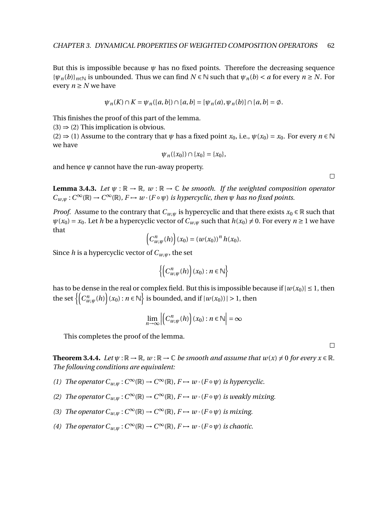But this is impossible because  $\psi$  has no fixed points. Therefore the decreasing sequence  ${\{\psi_n(b)\}}_{n\in\mathbb{N}}$  is unbounded. Thus we can find  $N \in \mathbb{N}$  such that  $\psi_n(b) < a$  for every  $n \ge N$ . For every  $n \geq N$  we have

$$
\psi_n(K) \cap K = \psi_n([a, b]) \cap [a, b] = [\psi_n(a), \psi_n(b)] \cap [a, b] = \emptyset.
$$

This finishes the proof of this part of the lemma.

 $(3) \Rightarrow (2)$  This implication is obvious.

 $(2) \Rightarrow (1)$  Assume to the contrary that  $\psi$  has a fixed point  $x_0$ , i.e.,  $\psi(x_0) = x_0$ . For every  $n \in \mathbb{N}$ we have

$$
\psi_n(\{x_0\}) \cap \{x_0\} = \{x_0\},\
$$

and hence  $\psi$  cannot have the run-away property.

**Lemma 3.4.3.** *Let*  $\psi$  :  $\mathbb{R} \to \mathbb{R}$ *, w* :  $\mathbb{R} \to \mathbb{C}$  *be smooth. If the weighted composition operator*  $C_{w,\psi}: C^{\infty}(\mathbb{R}) \to C^{\infty}(\mathbb{R})$ ,  $F \mapsto w \cdot (F \circ \psi)$  *is hypercyclic, then*  $\psi$  *has no fixed points.* 

*Proof.* Assume to the contrary that  $C_{w,\psi}$  is hypercyclic and that there exists  $x_0 \in \mathbb{R}$  such that  $\psi(x_0) = x_0$ . Let *h* be a hypercyclic vector of  $C_{w,\psi}$  such that  $h(x_0) \neq 0$ . For every  $n \geq 1$  we have that

$$
(C_{w,\psi}^n(h))(x_0) = (w(x_0))^n h(x_0).
$$

Since *h* is a hypercyclic vector of  $C_{w,w}$ , the set

$$
\left\{\left(C_{w,\psi}^n(h)\right)(x_0):n\in\mathbb{N}\right\}
$$

has to be dense in the real or complex field. But this is impossible because if  $|w(x_0)| \le 1$ , then the set  $\left\{ \left( C_{w,\psi}^n(h) \right) (x_0) : n \in \mathbb{N} \right\}$  is bounded, and if  $|w(x_0))| > 1$ , then

$$
\lim_{n\to\infty}\left|\left(C_{w,\psi}^n(h)\right)(x_0):n\in\mathbb{N}\right|=\infty
$$

This completes the proof of the lemma.

 $\Box$ 

**Theorem 3.4.4.** *Let*  $\psi$  :  $\mathbb{R} \to \mathbb{R}$ *, w* :  $\mathbb{R} \to \mathbb{C}$  *be smooth and assume that*  $w(x) \neq 0$  *for every*  $x \in \mathbb{R}$ *. The following conditions are equivalent:*

- *(1) The operator*  $C_{w,\psi}: C^{\infty}(\mathbb{R}) \to C^{\infty}(\mathbb{R})$ *,*  $F \mapsto w \cdot (F \circ \psi)$  *is hypercyclic.*
- *(2) The operator*  $C_{w,\psi}: C^{\infty}(\mathbb{R}) \to C^{\infty}(\mathbb{R})$ ,  $F \mapsto w \cdot (F \circ \psi)$  *is weakly mixing.*
- *(3) The operator*  $C_{w,\psi}: C^{\infty}(\mathbb{R}) \to C^{\infty}(\mathbb{R})$ ,  $F \mapsto w \cdot (F \circ \psi)$  *is mixing.*
- *(4) The operator*  $C_{w,\psi}: C^{\infty}(\mathbb{R}) \to C^{\infty}(\mathbb{R})$ ,  $F \mapsto w \cdot (F \circ \psi)$  *is chaotic.*

 $\Box$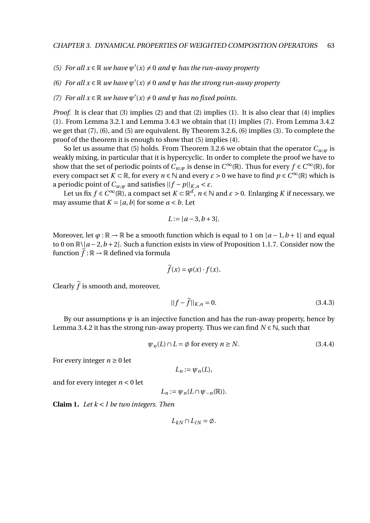- *(5) For all*  $x \in \mathbb{R}$  *we have*  $\psi'(x) \neq 0$  *and*  $\psi$  *has the run-away property*
- *(6) For all*  $x \in \mathbb{R}$  *we have*  $\psi'(x) \neq 0$  *and*  $\psi$  *has the strong run-away property*
- *(7) For all*  $x \in \mathbb{R}$  *we have*  $\psi'(x) \neq 0$  *and*  $\psi$  *has no fixed points.*

*Proof.* It is clear that (3) implies (2) and that (2) implies (1). It is also clear that (4) implies (1). From Lemma 3.2.1 and Lemma 3.4.3 we obtain that (1) implies (7). From Lemma 3.4.2 we get that (7), (6), and (5) are equivalent. By Theorem 3.2.6, (6) implies (3). To complete the proof of the theorem it is enough to show that (5) implies (4).

So let us assume that (5) holds. From Theorem 3.2.6 we obtain that the operator  $C_{w,w}$  is weakly mixing, in particular that it is hypercyclic. In order to complete the proof we have to show that the set of periodic points of  $C_{w,\psi}$  is dense in  $C^{\infty}(\mathbb{R})$ . Thus for every  $f \in C^{\infty}(\mathbb{R})$ , for every compact set  $K \subset \mathbb{R}$ , for every  $n \in \mathbb{N}$  and every  $\varepsilon > 0$  we have to find  $p \in C^\infty(\mathbb{R})$  which is a periodic point of  $C_{w,w}$  and satisfies  $||f - p||_{K,n} < \varepsilon$ .

Let us fix  $f \in C^{\infty}(\mathbb{R})$ , a compact set  $K \subset \mathbb{R}^d$ ,  $n \in \mathbb{N}$  and  $\varepsilon > 0$ . Enlarging  $K$  if necessary, we may assume that  $K = [a, b]$  for some  $a < b$ . Let

$$
L := [a-3, b+3].
$$

Moreover, let  $\varphi : \mathbb{R} \to \mathbb{R}$  be a smooth function which is equal to 1 on  $[a-1, b+1]$  and equal to 0 on  $\mathbb{R} \setminus [a-2, b+2]$ . Such a function exists in view of Proposition 1.1.7. Consider now the function  $\tilde{f}: \mathbb{R} \to \mathbb{R}$  defined via formula

$$
\widetilde{f}(x) = \varphi(x) \cdot f(x).
$$

Clearly  $\tilde{f}$  is smooth and, moreover,

$$
||f - \tilde{f}||_{K,n} = 0.
$$
 (3.4.3)

By our assumptions  $\psi$  is an injective function and has the run-away property, hence by Lemma 3.4.2 it has the strong run-away property. Thus we can find  $N \in \mathbb{N}$ , such that

$$
\psi_n(L) \cap L = \emptyset \text{ for every } n \ge N. \tag{3.4.4}
$$

For every integer  $n \geq 0$  let

$$
L_n:=\psi_n(L),
$$

and for every integer *n* < 0 let

 $L_n := \psi_n(L \cap \psi_{-n}(\mathbb{R})).$ 

**Claim 1.** *Let k* < *l be two integers. Then*

$$
L_{kN}\cap L_{lN}=\emptyset.
$$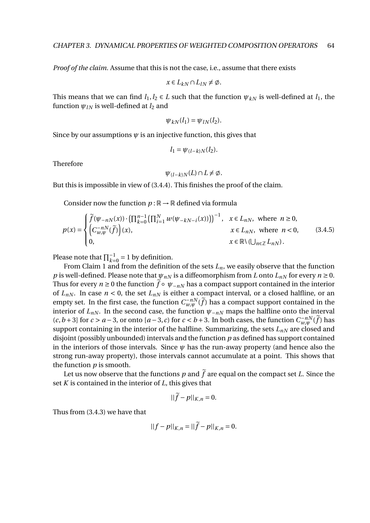*Proof of the claim.* Assume that this is not the case, i.e., assume that there exists

$$
x \in L_{kN} \cap L_{lN} \neq \emptyset.
$$

This means that we can find  $l_1, l_2 \in L$  such that the function  $\psi_{kN}$  is well-defined at  $l_1$ , the function  $\psi_{IN}$  is well-defined at  $l_2$  and

$$
\psi_{kN}(l_1) = \psi_{lN}(l_2).
$$

Since by our assumptions  $\psi$  is an injective function, this gives that

$$
l_1=\psi_{(l-k)N}(l_2).
$$

Therefore

$$
\psi_{(l-k)N}(L)\cap L\neq\emptyset.
$$

But this is impossible in view of (3.4.4). This finishes the proof of the claim.

Consider now the function  $p : \mathbb{R} \to \mathbb{R}$  defined via formula

$$
p(x) = \begin{cases} \widetilde{f}(\psi_{-nN}(x)) \cdot \left(\prod_{k=0}^{n-1} \left(\prod_{i=1}^{N} w(\psi_{-kN-i}(x))\right)\right)^{-1}, & x \in L_{nN}, \text{ where } n \ge 0, \\ \left(C_{w,\psi}^{-nN}(\widetilde{f})\right)(x), & x \in L_{nN}, \text{ where } n < 0, \\ 0, & x \in \mathbb{R} \setminus \left(\bigcup_{n \in \mathbb{Z}} L_{nN}\right). \end{cases}
$$
(3.4.5)

Please note that  $\prod_{k=0}^{-1} = 1$  by definition.

From Claim 1 and from the definition of the sets  $L_n$ , we easily observe that the function *p* is well-defined. Please note that  $\psi_{nN}$  is a diffeomorphism from *L* onto  $L_{nN}$  for every  $n \ge 0$ . Thus for every  $n \geq 0$  the function  $\tilde{f} \circ \psi_{-nN}$  has a compact support contained in the interior of  $L_{nN}$ . In case  $n < 0$ , the set  $L_{nN}$  is either a compact interval, or a closed halfline, or an empty set. In the first case, the function  $C_{w,\psi}^{-n}(\tilde{f})$  has a compact support contained in the interior of  $L_{nN}$ . In the second case, the function  $\psi_{-nN}$  maps the halfline onto the interval  $(c, b+3]$  for *c* > *a* − 3, or onto  $[a-3, c)$  for *c* < *b* + 3. In both cases, the function  $C_{w, \psi}^{-nN}(\tilde{f})$  has support containing in the interior of the halfline. Summarizing, the sets  $L_{nN}$  are closed and disjoint (possibly unbounded) intervals and the function *p* as defined has support contained in the interiors of those intervals. Since  $\psi$  has the run-away property (and hence also the strong run-away property), those intervals cannot accumulate at a point. This shows that the function *p* is smooth.

Let us now observe that the functions  $p$  and  $\tilde{f}$  are equal on the compact set *L*. Since the set *K* is contained in the interior of *L*, this gives that

$$
||\widetilde{f}-p||_{K,n}=0.
$$

Thus from (3.4.3) we have that

$$
||f - p||_{K,n} = ||\widetilde{f} - p||_{K,n} = 0.
$$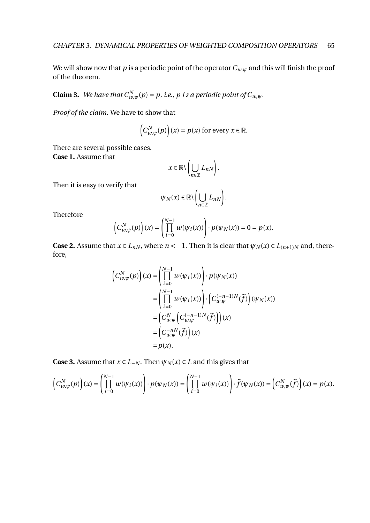We will show now that  $p$  is a periodic point of the operator  $C_{w, \psi}$  and this will finish the proof of the theorem.

**Claim 3.** *We have that*  $C_{w,\psi}^N(p) = p$ , *i.e., p i s a periodic point of*  $C_{w,\psi}$ *.* 

*Proof of the claim.* We have to show that

$$
(C_{w,\psi}^N(p))(x) = p(x) \text{ for every } x \in \mathbb{R}.
$$

There are several possible cases.

**Case 1.** Assume that

$$
x \in \mathbb{R} \setminus \left( \bigcup_{n \in \mathbb{Z}} L_{nN} \right).
$$

Then it is easy to verify that

$$
\psi_N(x) \in \mathbb{R} \setminus \left( \bigcup_{n \in \mathbb{Z}} L_{nN} \right).
$$

Therefore

$$
\left(C_{w,\psi}^N(p)\right)(x) = \left(\prod_{i=0}^{N-1} w(\psi_i(x))\right) \cdot p(\psi_N(x)) = 0 = p(x).
$$

**Case 2.** Assume that  $x \in L_{nN}$ , where  $n < -1$ . Then it is clear that  $\psi_N(x) \in L_{(n+1)N}$  and, therefore,

$$
\left(C_{w,\psi}^{N}(p)\right)(x) = \left(\prod_{i=0}^{N-1} w(\psi_i(x))\right) \cdot p(\psi_N(x))
$$
  
\n
$$
= \left(\prod_{i=0}^{N-1} w(\psi_i(x))\right) \cdot \left(C_{w,\psi}^{(-n-1)N}(\tilde{f})\right)(\psi_N(x))
$$
  
\n
$$
= \left(C_{w,\psi}^{N}\left(C_{w,\psi}^{(-n-1)N}(\tilde{f})\right)\right)(x)
$$
  
\n
$$
= \left(C_{w,\psi}^{-nN}(\tilde{f})\right)(x)
$$
  
\n
$$
= p(x).
$$

**Case 3.** Assume that  $x \in L_{-N}$ . Then  $\psi_N(x) \in L$  and this gives that

$$
\left(C_{w,\psi}^N(p)\right)(x) = \left(\prod_{i=0}^{N-1} w(\psi_i(x))\right) \cdot p(\psi_N(x)) = \left(\prod_{i=0}^{N-1} w(\psi_i(x))\right) \cdot \widetilde{f}(\psi_N(x)) = \left(C_{w,\psi}^N(\widetilde{f})\right)(x) = p(x).
$$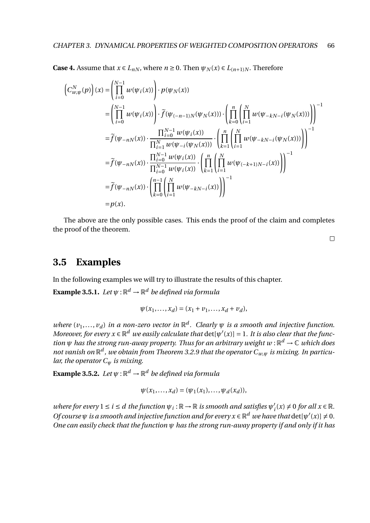**Case 4.** Assume that *x* ∈ *L*<sub>*nN*</sub></sub>, where *n* ≥ 0. Then  $\psi_N(x)$  ∈ *L*<sub>(*n*+1)*N*</sub>. Therefore

$$
\left(C_{w,\psi}^{N}(p)\right)(x) = \left(\prod_{i=0}^{N-1} w(\psi_i(x))\right) \cdot p(\psi_N(x))
$$
\n
$$
= \left(\prod_{i=0}^{N-1} w(\psi_i(x))\right) \cdot \tilde{f}(\psi_{(-n-1)N}(\psi_N(x))) \cdot \left(\prod_{k=0}^{n} \left(\prod_{i=1}^{N} w(\psi_{-kN-i}(\psi_N(x)))\right)\right)^{-1}
$$
\n
$$
= \tilde{f}(\psi_{-nN}(x)) \cdot \frac{\prod_{i=0}^{N-1} w(\psi_i(x))}{\prod_{i=1}^{N} w(\psi_{-i}(\psi_N(x)))} \cdot \left(\prod_{k=1}^{n} \left(\prod_{i=1}^{N} w(\psi_{-kN-i}(\psi_N(x)))\right)\right)^{-1}
$$
\n
$$
= \tilde{f}(\psi_{-nN}(x)) \cdot \frac{\prod_{i=0}^{N-1} w(\psi_i(x))}{\prod_{i=0}^{N-1} w(\psi_i(x))} \cdot \left(\prod_{k=1}^{n} \left(\prod_{i=1}^{N} w(\psi_{(-k+1)N-i}(x))\right)\right)^{-1}
$$
\n
$$
= \tilde{f}(\psi_{-nN}(x)) \cdot \left(\prod_{k=0}^{n-1} \left(\prod_{i=1}^{N} w(\psi_{-kN-i}(x))\right)\right)^{-1}
$$
\n
$$
= p(x).
$$

The above are the only possible cases. This ends the proof of the claim and completes the proof of the theorem.

 $\hfill \square$ 

## **3.5 Examples**

In the following examples we will try to illustrate the results of this chapter.

**Example 3.5.1.** Let  $\psi: \mathbb{R}^d \to \mathbb{R}^d$  be defined via formula

$$
\psi(x_1, ..., x_d) = (x_1 + v_1, ..., x_d + v_d),
$$

*where*  $(v_1, \ldots, v_d)$  *in a non-zero vector in*  $\mathbb{R}^d$ . Clearly  $\psi$  *is a smooth and injective function. Moreover, for every*  $x \in \mathbb{R}^d$  *we easily calculate that*  $\det[\psi'(x)] = 1$ . It is also clear that the func*tion ψ has the strong run-away property. Thus for an arbitrary weight w* : R *<sup>d</sup>* → C *which does*  $m$ ot vanish on  $\mathbb{R}^d$  , we obtain from Theorem 3.2.9 that the operator  $C_{w,\psi}$  is mixing. In particu*lar, the operator C<sup>ψ</sup> is mixing.*

**Example 3.5.2.** Let  $\psi: \mathbb{R}^d \to \mathbb{R}^d$  be defined via formula

$$
\psi(x_1,...,x_d) = (\psi_1(x_1),...,\psi_d(x_d)),
$$

 $where for every 1 \leq i \leq d$  the function  $\psi_i : \mathbb{R} \to \mathbb{R}$  is smooth and satisfies  $\psi'_i(x) \neq 0$  for all  $x \in \mathbb{R}$ . *Of course*  $\psi$  *is a smooth and injective function and for every*  $x \in \mathbb{R}^d$  *we have that* det[ $\psi'(x)$ ]  $\neq 0$ . *One can easily check that the function ψ has the strong run-away property if and only if it has*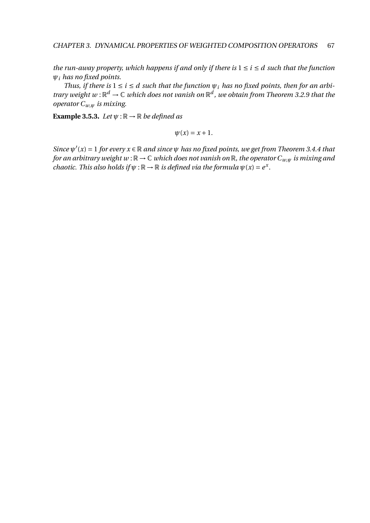*the run-away property, which happens if and only if there is*  $1 \le i \le d$  *such that the function ψ<sup>i</sup> has no fixed points.*

*Thus, if there is*  $1 \le i \le d$  *such that the function*  $\psi_i$  *has no fixed points, then for an arbitrary weight*  $w : \mathbb{R}^d \to \mathbb{C}$  which does not vanish on  $\mathbb{R}^d$ , we obtain from Theorem 3.2.9 that the *operator Cw*,*<sup>ψ</sup> is mixing.*

**Example 3.5.3.** *Let*  $\psi$  :  $\mathbb{R} \to \mathbb{R}$  *be defined as* 

$$
\psi(x)=x+1.
$$

*Since*  $\psi'(x) = 1$  *for every*  $x \in \mathbb{R}$  *and since*  $\psi$  *has no fixed points, we get from Theorem 3.4.4 that for an arbitrary weight w* :  $\mathbb{R} \to \mathbb{C}$  *which does not vanish on*  $\mathbb{R}$ *, the operator*  $C_{w,w}$  *is mixing and chaotic. This also holds if*  $\psi$  :  $\mathbb{R} \to \mathbb{R}$  *is defined via the formula*  $\psi(x) = e^x$ .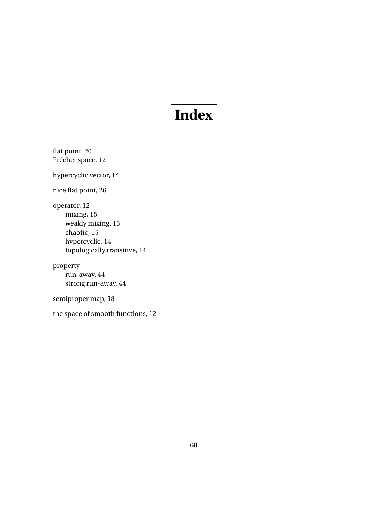## **Index**

flat point, 20 Fréchet space, 12 hypercyclic vector, 14 nice flat point, 26 operator, 12 mixing, 15 weakly mixing, 15 chaotic, 15 hypercyclic, 14 topologically transitive, 14 property run-away, 44 strong run-away, 44

semiproper map, 18

the space of smooth functions, 12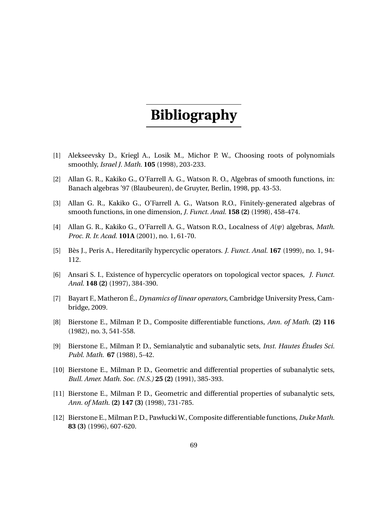## **Bibliography**

- [1] Alekseevsky D., Kriegl A., Losik M., Michor P. W., Choosing roots of polynomials smoothly, *Israel J. Math.* **105** (1998), 203-233.
- [2] Allan G. R., Kakiko G., O'Farrell A. G., Watson R. O., Algebras of smooth functions, in: Banach algebras '97 (Blaubeuren), de Gruyter, Berlin, 1998, pp. 43-53.
- [3] Allan G. R., Kakiko G., O'Farrell A. G., Watson R.O., Finitely-generated algebras of smooth functions, in one dimension, *J. Funct. Anal.* **158 (2)** (1998), 458-474.
- [4] Allan G. R., Kakiko G., O'Farrell A. G., Watson R.O., Localness of *A*(*ψ*) algebras, *Math. Proc. R. Ir. Acad.* **101A** (2001), no. 1, 61-70.
- [5] Bès J., Peris A., Hereditarily hypercyclic operators. *J. Funct. Anal.* **167** (1999), no. 1, 94- 112.
- [6] Ansari S. I., Existence of hypercyclic operators on topological vector spaces, *J. Funct. Anal.* **148 (2)** (1997), 384-390.
- [7] Bayart F., Matheron É., *Dynamics of linear operators*, Cambridge University Press, Cambridge, 2009.
- [8] Bierstone E., Milman P. D., Composite differentiable functions, *Ann. of Math.* **(2) 116** (1982), no. 3, 541-558.
- [9] Bierstone E., Milman P. D., Semianalytic and subanalytic sets, *Inst. Hautes Études Sci. Publ. Math.* **67** (1988), 5-42.
- [10] Bierstone E., Milman P. D., Geometric and differential properties of subanalytic sets, *Bull. Amer. Math. Soc. (N.S.)* **25 (2)** (1991), 385-393.
- [11] Bierstone E., Milman P. D., Geometric and differential properties of subanalytic sets, *Ann. of Math.* **(2) 147 (3)** (1998), 731-785.
- [12] Bierstone E., Milman P. D., Pawłucki W., Composite differentiable functions, *Duke Math.* **83 (3)** (1996), 607-620.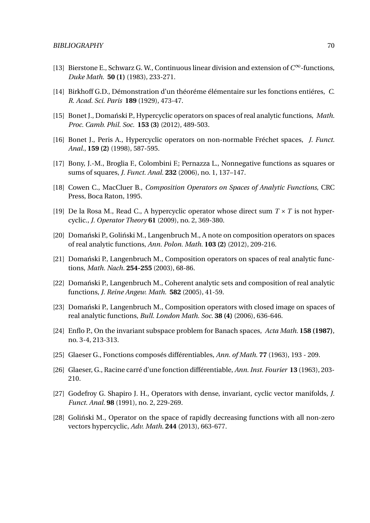- [13] Bierstone E., Schwarz G. W., Continuous linear division and extension of *C* <sup>∞</sup>-functions, *Duke Math.* **50 (1)** (1983), 233-271.
- [14] Birkhoff G.D., Démonstration d'un théoréme élémentaire sur les fonctions entiéres, *C. R. Acad. Sci. Paris* **189** (1929), 473-47.
- [15] Bonet J., Domański P., Hypercyclic operators on spaces of real analytic functions, *Math. Proc. Camb. Phil. Soc.* **153 (3)** (2012), 489-503.
- [16] Bonet J., Peris A., Hypercyclic operators on non-normable Fréchet spaces, *J. Funct. Anal.*, **159 (2)** (1998), 587-595.
- [17] Bony, J.-M., Broglia F., Colombini F.; Pernazza L., Nonnegative functions as squares or sums of squares, *J. Funct. Anal.* **232** (2006), no. 1, 137–147.
- [18] Cowen C., MacCluer B., *Composition Operators on Spaces of Analytic Functions*, CRC Press, Boca Raton, 1995.
- [19] De la Rosa M., Read C., A hypercyclic operator whose direct sum  $T \times T$  is not hypercyclic., *J. Operator Theory* **61** (2009), no. 2, 369-380.
- [20] Domański P., Goliński M., Langenbruch M., A note on composition operators on spaces of real analytic functions, *Ann. Polon. Math.* **103 (2)** (2012), 209-216.
- [21] Domant in Equipment P., Langenbruch M., Composition operators on spaces of real analytic functions, *Math. Nach.* **254-255** (2003), 68-86.
- [22] Domański P., Langenbruch M., Coherent analytic sets and composition of real analytic functions, *J. Reine Angew. Math.* **582** (2005), 41-59.
- [23] Domański P., Langenbruch M., Composition operators with closed image on spaces of real analytic functions, *Bull. London Math. Soc.* **38 (4)** (2006), 636-646.
- [24] Enflo P., On the invariant subspace problem for Banach spaces, *Acta Math.* **158 (1987)**, no. 3-4, 213-313.
- [25] Glaeser G., Fonctions composés différentiables, *Ann. of Math.* **77** (1963), 193 209.
- [26] Glaeser, G., Racine carré d'une fonction différentiable, *Ann. Inst. Fourier* **13** (1963), 203- 210.
- [27] Godefroy G. Shapiro J. H., Operators with dense, invariant, cyclic vector manifolds, *J. Funct. Anal.* **98** (1991), no. 2, 229-269.
- [28] Goliński M., Operator on the space of rapidly decreasing functions with all non-zero vectors hypercyclic, *Adv. Math.* **244** (2013), 663-677.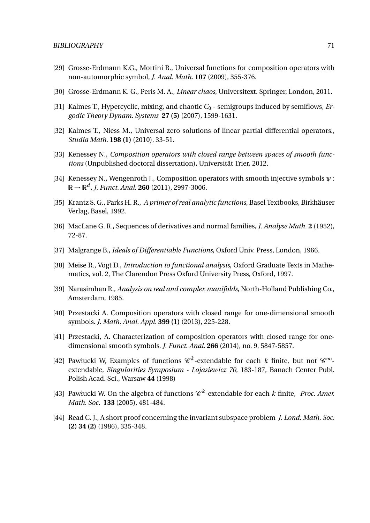- [29] Grosse-Erdmann K.G., Mortini R., Universal functions for composition operators with non-automorphic symbol, *J. Anal. Math.* **107** (2009), 355-376.
- [30] Grosse-Erdmann K. G., Peris M. A., *Linear chaos*, Universitext. Springer, London, 2011.
- [31] Kalmes T., Hypercyclic, mixing, and chaotic *C*<sup>0</sup> semigroups induced by semiflows, *Ergodic Theory Dynam. Systems* **27 (5)** (2007), 1599-1631.
- [32] Kalmes T., Niess M., Universal zero solutions of linear partial differential operators., *Studia Math.* **198 (1)** (2010), 33-51.
- [33] Kenessey N., *Composition operators with closed range between spaces of smooth functions* (Unpublished doctoral dissertation), Universität Trier, 2012.
- [34] Kenessey N., Wengenroth J., Composition operators with smooth injective symbols *ψ* :  $\mathbb{R} \to \mathbb{R}^d$ , J. Funct. Anal. **260** (2011), 2997-3006.
- [35] Krantz S. G., Parks H. R., *A primer of real analytic functions*, Basel Textbooks, Birkhäuser Verlag, Basel, 1992.
- [36] MacLane G. R., Sequences of derivatives and normal families, *J. Analyse Math.* **2** (1952), 72-87.
- [37] Malgrange B., *Ideals of Differentiable Functions*, Oxford Univ. Press, London, 1966.
- [38] Meise R., Vogt D., *Introduction to functional analysis*, Oxford Graduate Texts in Mathematics, vol. 2, The Clarendon Press Oxford University Press, Oxford, 1997.
- [39] Narasimhan R., *Analysis on real and complex manifolds*, North-Holland Publishing Co., Amsterdam, 1985.
- [40] Przestacki A. Composition operators with closed range for one-dimensional smooth symbols. *J. Math. Anal. Appl.* **399 (1)** (2013), 225-228.
- [41] Przestacki, A. Characterization of composition operators with closed range for onedimensional smooth symbols. *J. Funct. Anal.* **266** (2014), no. 9, 5847-5857.
- [42] Pawłucki W, Examples of functions  $\mathscr{C}^k$ -extendable for each *k* finite, but not  $\mathscr{C}^{\infty}$ extendable, *Singularities Symposium - Lojasiewicz 70*, 183-187, Banach Center Publ. Polish Acad. Sci., Warsaw **44** (1998)
- [43] Pawłucki W. On the algebra of functions  $\mathcal{C}^k$ -extendable for each *k* finite, *Proc. Amer. Math. Soc.* **133** (2005), 481-484.
- [44] Read C. J., A short proof concerning the invariant subspace problem *J. Lond. Math. Soc.* **(2) 34 (2)** (1986), 335-348.